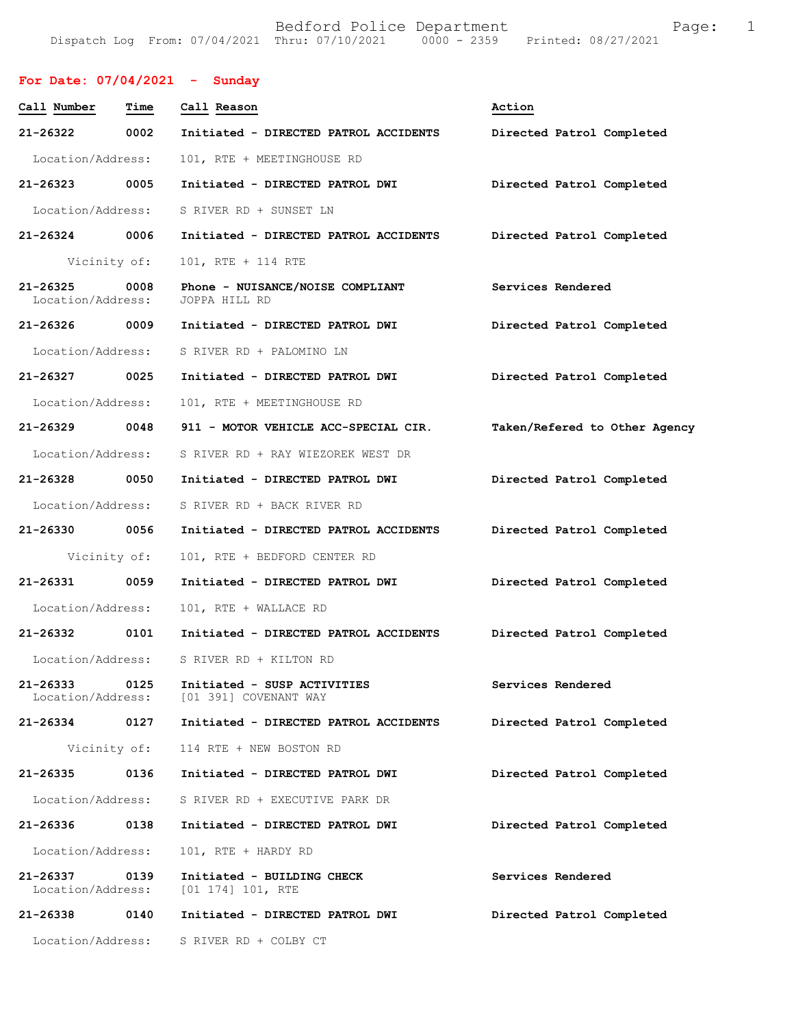# **For Date: 07/04/2021 - Sunday**

| Call Number                       | Time | Call Reason                                          | Action                        |
|-----------------------------------|------|------------------------------------------------------|-------------------------------|
| 21-26322                          | 0002 | Initiated - DIRECTED PATROL ACCIDENTS                | Directed Patrol Completed     |
| Location/Address:                 |      | 101, RTE + MEETINGHOUSE RD                           |                               |
| 21-26323 0005                     |      | Initiated - DIRECTED PATROL DWI                      | Directed Patrol Completed     |
| Location/Address:                 |      | S RIVER RD + SUNSET LN                               |                               |
| 21-26324                          | 0006 | Initiated - DIRECTED PATROL ACCIDENTS                | Directed Patrol Completed     |
| Vicinity of:                      |      | 101, RTE + 114 RTE                                   |                               |
| $21 - 26325$<br>Location/Address: | 0008 | Phone - NUISANCE/NOISE COMPLIANT<br>JOPPA HILL RD    | Services Rendered             |
| 21-26326 0009                     |      | Initiated - DIRECTED PATROL DWI                      | Directed Patrol Completed     |
| Location/Address:                 |      | S RIVER RD + PALOMINO LN                             |                               |
| 21-26327                          | 0025 | Initiated - DIRECTED PATROL DWI                      | Directed Patrol Completed     |
| Location/Address:                 |      | 101, RTE + MEETINGHOUSE RD                           |                               |
| 21-26329                          | 0048 | 911 - MOTOR VEHICLE ACC-SPECIAL CIR.                 | Taken/Refered to Other Agency |
| Location/Address:                 |      | S RIVER RD + RAY WIEZOREK WEST DR                    |                               |
| 21-26328                          | 0050 | Initiated - DIRECTED PATROL DWI                      | Directed Patrol Completed     |
| Location/Address:                 |      | S RIVER RD + BACK RIVER RD                           |                               |
| 21-26330                          | 0056 | Initiated - DIRECTED PATROL ACCIDENTS                | Directed Patrol Completed     |
| Vicinity of:                      |      | 101, RTE + BEDFORD CENTER RD                         |                               |
| 21-26331                          | 0059 | Initiated - DIRECTED PATROL DWI                      | Directed Patrol Completed     |
| Location/Address:                 |      | 101, RTE + WALLACE RD                                |                               |
| 21-26332                          | 0101 | Initiated - DIRECTED PATROL ACCIDENTS                | Directed Patrol Completed     |
| Location/Address:                 |      | S RIVER RD + KILTON RD                               |                               |
| 21-26333<br>Location/Address:     | 0125 | Initiated - SUSP ACTIVITIES<br>[01 391] COVENANT WAY | Services Rendered             |
| 21-26334                          | 0127 | Initiated - DIRECTED PATROL ACCIDENTS                | Directed Patrol Completed     |
| Vicinity of:                      |      | 114 RTE + NEW BOSTON RD                              |                               |
| 21-26335                          | 0136 | Initiated - DIRECTED PATROL DWI                      | Directed Patrol Completed     |
| Location/Address:                 |      | S RIVER RD + EXECUTIVE PARK DR                       |                               |
| 21-26336                          | 0138 | Initiated - DIRECTED PATROL DWI                      | Directed Patrol Completed     |
| Location/Address:                 |      | 101, RTE + HARDY RD                                  |                               |
| 21-26337<br>Location/Address:     | 0139 | Initiated - BUILDING CHECK<br>$[01 174] 101$ , RTE   | Services Rendered             |
| 21-26338                          | 0140 | Initiated - DIRECTED PATROL DWI                      | Directed Patrol Completed     |
| Location/Address:                 |      | S RIVER RD + COLBY CT                                |                               |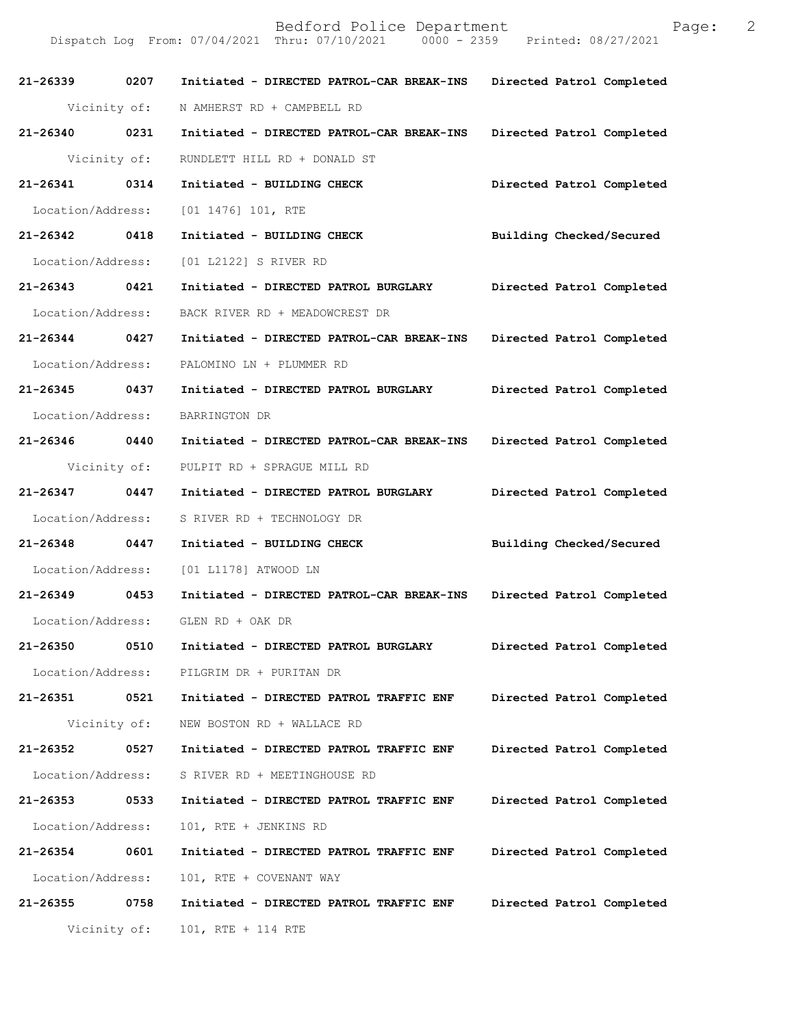| 21-26339 0207     |              | Initiated - DIRECTED PATROL-CAR BREAK-INS | Directed Patrol Completed |
|-------------------|--------------|-------------------------------------------|---------------------------|
|                   | Vicinity of: | N AMHERST RD + CAMPBELL RD                |                           |
| 21-26340 0231     |              | Initiated - DIRECTED PATROL-CAR BREAK-INS | Directed Patrol Completed |
|                   | Vicinity of: | RUNDLETT HILL RD + DONALD ST              |                           |
| 21-26341 0314     |              | Initiated - BUILDING CHECK                | Directed Patrol Completed |
| Location/Address: |              | [01 1476] 101, RTE                        |                           |
| 21-26342 0418     |              | Initiated - BUILDING CHECK                | Building Checked/Secured  |
| Location/Address: |              | [01 L2122] S RIVER RD                     |                           |
| 21-26343 0421     |              | Initiated - DIRECTED PATROL BURGLARY      | Directed Patrol Completed |
| Location/Address: |              | BACK RIVER RD + MEADOWCREST DR            |                           |
| 21-26344 0427     |              | Initiated - DIRECTED PATROL-CAR BREAK-INS | Directed Patrol Completed |
| Location/Address: |              | PALOMINO LN + PLUMMER RD                  |                           |
| 21-26345 0437     |              | Initiated - DIRECTED PATROL BURGLARY      | Directed Patrol Completed |
| Location/Address: |              | BARRINGTON DR                             |                           |
| 21-26346 0440     |              | Initiated - DIRECTED PATROL-CAR BREAK-INS | Directed Patrol Completed |
|                   | Vicinity of: | PULPIT RD + SPRAGUE MILL RD               |                           |
| 21-26347 0447     |              | Initiated - DIRECTED PATROL BURGLARY      | Directed Patrol Completed |
| Location/Address: |              | S RIVER RD + TECHNOLOGY DR                |                           |
| 21-26348 0447     |              | Initiated - BUILDING CHECK                | Building Checked/Secured  |
|                   |              | Location/Address: [01 L1178] ATWOOD LN    |                           |
| 21-26349 0453     |              | Initiated - DIRECTED PATROL-CAR BREAK-INS | Directed Patrol Completed |
| Location/Address: |              | GLEN RD + OAK DR                          |                           |
| 21-26350          | 0510         | Initiated - DIRECTED PATROL BURGLARY      | Directed Patrol Completed |
| Location/Address: |              | PILGRIM DR + PURITAN DR                   |                           |
| 21-26351          | 0521         | Initiated - DIRECTED PATROL TRAFFIC ENF   | Directed Patrol Completed |
|                   | Vicinity of: | NEW BOSTON RD + WALLACE RD                |                           |
| 21-26352          | 0527         | Initiated - DIRECTED PATROL TRAFFIC ENF   | Directed Patrol Completed |
| Location/Address: |              | S RIVER RD + MEETINGHOUSE RD              |                           |
| 21-26353          | 0533         | Initiated - DIRECTED PATROL TRAFFIC ENF   | Directed Patrol Completed |
| Location/Address: |              | 101, RTE + JENKINS RD                     |                           |
| 21-26354          | 0601         | Initiated - DIRECTED PATROL TRAFFIC ENF   | Directed Patrol Completed |
| Location/Address: |              | 101, RTE + COVENANT WAY                   |                           |
| 21-26355          | 0758         | Initiated - DIRECTED PATROL TRAFFIC ENF   | Directed Patrol Completed |
|                   | Vicinity of: | 101, RTE + 114 RTE                        |                           |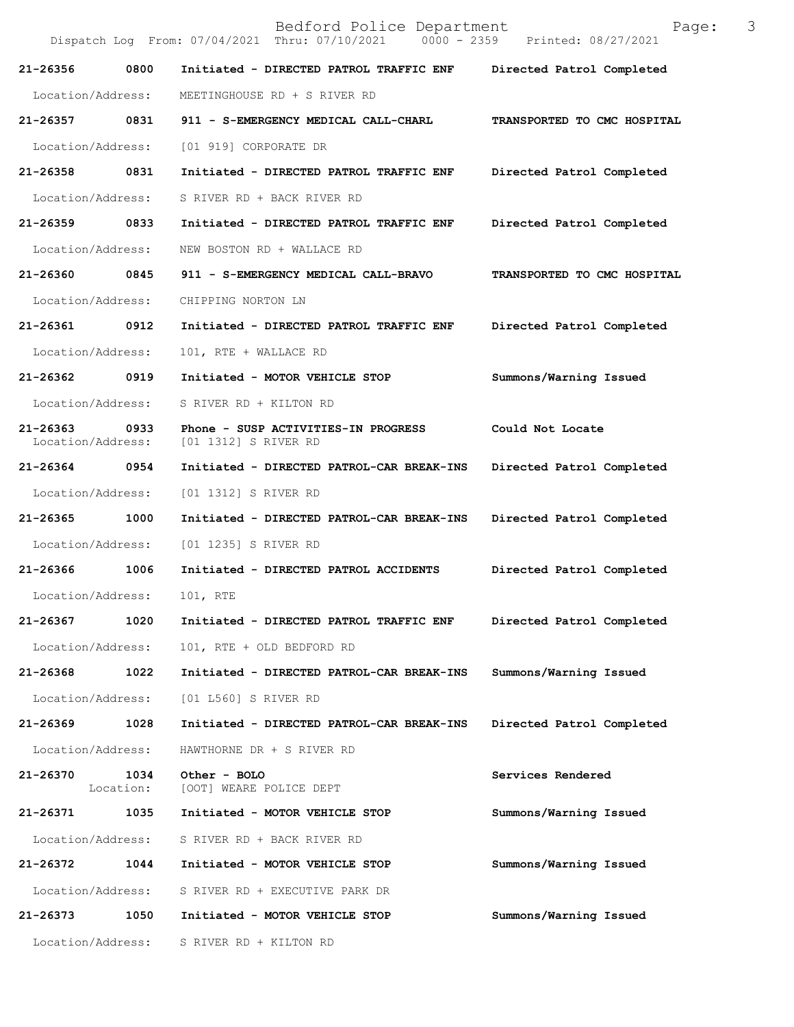Bedford Police Department Page: 3 Dispatch Log From: 07/04/2021 Thru: 07/10/2021 **21-26356 0800 Initiated - DIRECTED PATROL TRAFFIC ENF Directed Patrol Completed**  Location/Address: MEETINGHOUSE RD + S RIVER RD **21-26357 0831 911 - S-EMERGENCY MEDICAL CALL-CHARL TRANSPORTED TO CMC HOSPITAL**  Location/Address: [01 919] CORPORATE DR **21-26358 0831 Initiated - DIRECTED PATROL TRAFFIC ENF Directed Patrol Completed**  Location/Address: S RIVER RD + BACK RIVER RD **21-26359 0833 Initiated - DIRECTED PATROL TRAFFIC ENF Directed Patrol Completed**  Location/Address: NEW BOSTON RD + WALLACE RD **21-26360 0845 911 - S-EMERGENCY MEDICAL CALL-BRAVO TRANSPORTED TO CMC HOSPITAL**  Location/Address: CHIPPING NORTON LN **21-26361 0912 Initiated - DIRECTED PATROL TRAFFIC ENF Directed Patrol Completed**  Location/Address: 101, RTE + WALLACE RD **21-26362 0919 Initiated - MOTOR VEHICLE STOP Summons/Warning Issued**  Location/Address: S RIVER RD + KILTON RD **21-26363 0933 Phone - SUSP ACTIVITIES-IN PROGRESS Could Not Locate**  [01 1312] S RIVER RD **21-26364 0954 Initiated - DIRECTED PATROL-CAR BREAK-INS Directed Patrol Completed**  Location/Address: [01 1312] S RIVER RD **21-26365 1000 Initiated - DIRECTED PATROL-CAR BREAK-INS Directed Patrol Completed**  Location/Address: [01 1235] S RIVER RD **21-26366 1006 Initiated - DIRECTED PATROL ACCIDENTS Directed Patrol Completed**  Location/Address: 101, RTE **21-26367 1020 Initiated - DIRECTED PATROL TRAFFIC ENF Directed Patrol Completed**  Location/Address: 101, RTE + OLD BEDFORD RD **21-26368 1022 Initiated - DIRECTED PATROL-CAR BREAK-INS Summons/Warning Issued**  Location/Address: [01 L560] S RIVER RD **21-26369 1028 Initiated - DIRECTED PATROL-CAR BREAK-INS Directed Patrol Completed**  Location/Address: HAWTHORNE DR + S RIVER RD **21-26370 1034 Other - BOLO Services Rendered**  Location: [OOT] WEARE POLICE DEPT **21-26371 1035 Initiated - MOTOR VEHICLE STOP Summons/Warning Issued**  Location/Address: S RIVER RD + BACK RIVER RD **21-26372 1044 Initiated - MOTOR VEHICLE STOP Summons/Warning Issued**  Location/Address: S RIVER RD + EXECUTIVE PARK DR **21-26373 1050 Initiated - MOTOR VEHICLE STOP Summons/Warning Issued**  Location/Address: S RIVER RD + KILTON RD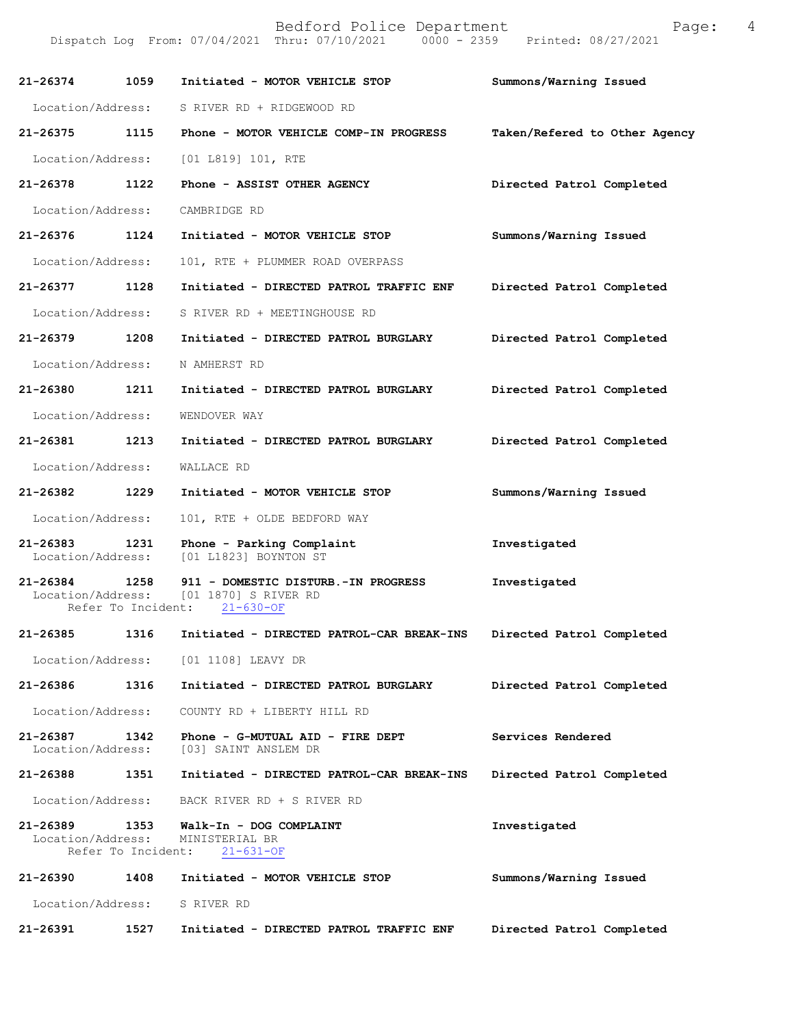| 21-26374                          | 1059                       | Initiated - MOTOR VEHICLE STOP                                                                   | Summons/Warning Issued        |
|-----------------------------------|----------------------------|--------------------------------------------------------------------------------------------------|-------------------------------|
| Location/Address:                 |                            | S RIVER RD + RIDGEWOOD RD                                                                        |                               |
| 21-26375                          | 1115                       | Phone - MOTOR VEHICLE COMP-IN PROGRESS                                                           | Taken/Refered to Other Agency |
| Location/Address:                 |                            | [01 L819] 101, RTE                                                                               |                               |
| 21-26378                          | 1122                       | Phone - ASSIST OTHER AGENCY                                                                      | Directed Patrol Completed     |
| Location/Address:                 |                            | CAMBRIDGE RD                                                                                     |                               |
| 21-26376                          | 1124                       | Initiated - MOTOR VEHICLE STOP                                                                   | Summons/Warning Issued        |
| Location/Address:                 |                            | 101, RTE + PLUMMER ROAD OVERPASS                                                                 |                               |
| 21-26377                          | 1128                       | Initiated - DIRECTED PATROL TRAFFIC ENF                                                          | Directed Patrol Completed     |
| Location/Address:                 |                            | S RIVER RD + MEETINGHOUSE RD                                                                     |                               |
| 21-26379                          | 1208                       | Initiated - DIRECTED PATROL BURGLARY                                                             | Directed Patrol Completed     |
| Location/Address:                 |                            | N AMHERST RD                                                                                     |                               |
| 21-26380                          | 1211                       | Initiated - DIRECTED PATROL BURGLARY                                                             | Directed Patrol Completed     |
| Location/Address:                 |                            | WENDOVER WAY                                                                                     |                               |
| 21-26381                          | 1213                       | Initiated - DIRECTED PATROL BURGLARY                                                             | Directed Patrol Completed     |
| Location/Address:                 |                            | WALLACE RD                                                                                       |                               |
| 21-26382                          | 1229                       | Initiated - MOTOR VEHICLE STOP                                                                   | Summons/Warning Issued        |
| Location/Address:                 |                            | 101, RTE + OLDE BEDFORD WAY                                                                      |                               |
| 21-26383<br>Location/Address:     | 1231                       | Phone - Parking Complaint<br>[01 L1823] BOYNTON ST                                               | Investigated                  |
| 21-26384                          | 1258<br>Refer To Incident: | 911 - DOMESTIC DISTURB.-IN PROGRESS<br>Location/Address: [01 1870] S RIVER RD<br>$21 - 630 - OF$ | Investigated                  |
| $21 - 26385$                      | 1316                       | Initiated - DIRECTED PATROL-CAR BREAK-INS                                                        | Directed Patrol Completed     |
| Location/Address:                 |                            | [01 1108] LEAVY DR                                                                               |                               |
| 21-26386                          | 1316                       | Initiated - DIRECTED PATROL BURGLARY                                                             | Directed Patrol Completed     |
| Location/Address:                 |                            | COUNTY RD + LIBERTY HILL RD                                                                      |                               |
| $21 - 26387$<br>Location/Address: | 1342                       | Phone - G-MUTUAL AID - FIRE DEPT<br>[03] SAINT ANSLEM DR                                         | Services Rendered             |
| 21-26388                          | 1351                       | Initiated - DIRECTED PATROL-CAR BREAK-INS                                                        | Directed Patrol Completed     |
| Location/Address:                 |                            | BACK RIVER RD + S RIVER RD                                                                       |                               |
| 21-26389<br>Location/Address:     | 1353<br>Refer To Incident: | Walk-In - DOG COMPLAINT<br>MINISTERIAL BR<br>$21 - 631 - OF$                                     | Investigated                  |
| 21-26390                          | 1408                       | Initiated - MOTOR VEHICLE STOP                                                                   | Summons/Warning Issued        |
| Location/Address:                 |                            | S RIVER RD                                                                                       |                               |
| 21-26391                          | 1527                       | Initiated - DIRECTED PATROL TRAFFIC ENF                                                          | Directed Patrol Completed     |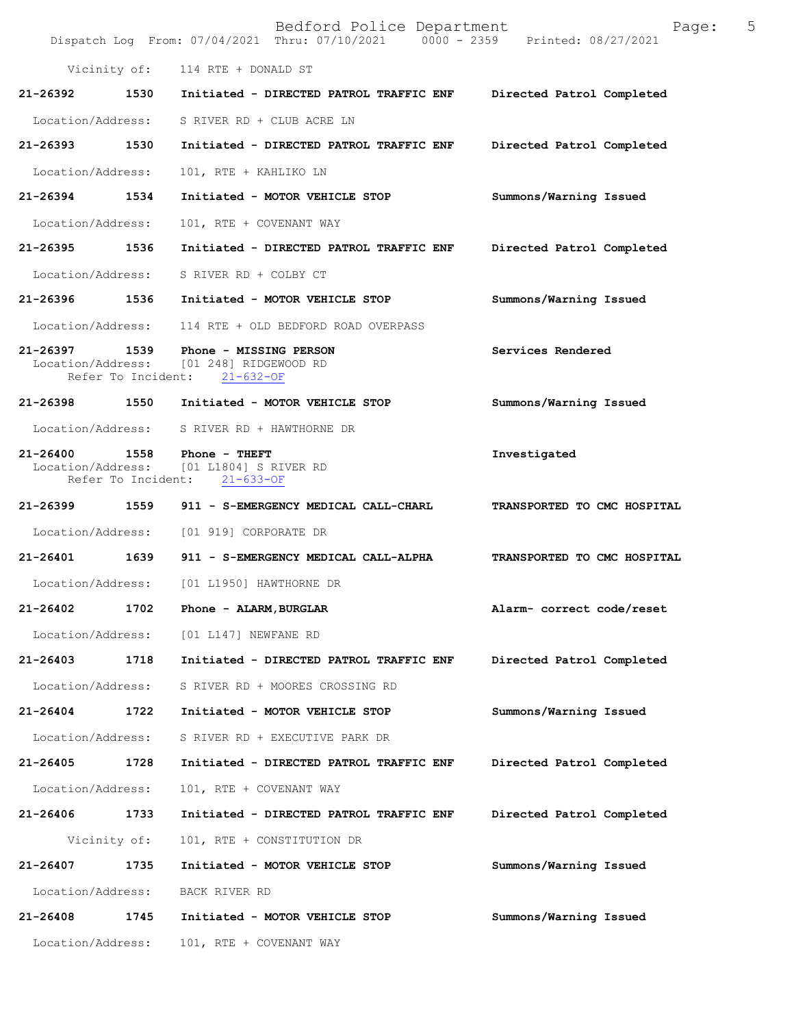|                   |              | Bedford Police Department<br>Dispatch Log From: 07/04/2021 Thru: 07/10/2021   0000 - 2359   Printed: 08/27/2021 | Page:                       | 5 |
|-------------------|--------------|-----------------------------------------------------------------------------------------------------------------|-----------------------------|---|
|                   |              | Vicinity of: 114 RTE + DONALD ST                                                                                |                             |   |
| 21-26392          | 1530         | Initiated - DIRECTED PATROL TRAFFIC ENF                                                                         | Directed Patrol Completed   |   |
| Location/Address: |              | S RIVER RD + CLUB ACRE LN                                                                                       |                             |   |
| 21-26393 1530     |              | Initiated - DIRECTED PATROL TRAFFIC ENF                                                                         | Directed Patrol Completed   |   |
| Location/Address: |              | 101, RTE + KAHLIKO LN                                                                                           |                             |   |
| 21-26394 1534     |              | Initiated - MOTOR VEHICLE STOP                                                                                  | Summons/Warning Issued      |   |
| Location/Address: |              | 101, RTE + COVENANT WAY                                                                                         |                             |   |
| 21-26395          | 1536         | Initiated - DIRECTED PATROL TRAFFIC ENF                                                                         | Directed Patrol Completed   |   |
|                   |              | Location/Address: S RIVER RD + COLBY CT                                                                         |                             |   |
| 21-26396 1536     |              | Initiated - MOTOR VEHICLE STOP                                                                                  | Summons/Warning Issued      |   |
|                   |              | Location/Address: 114 RTE + OLD BEDFORD ROAD OVERPASS                                                           |                             |   |
|                   |              | 21-26397 1539 Phone - MISSING PERSON<br>Location/Address: [01 248] RIDGEWOOD RD<br>Refer To Incident: 21-632-OF | Services Rendered           |   |
|                   |              | 21-26398 1550 Initiated - MOTOR VEHICLE STOP                                                                    | Summons/Warning Issued      |   |
|                   |              | Location/Address: S RIVER RD + HAWTHORNE DR                                                                     |                             |   |
|                   |              | 21-26400 1558 Phone - THEFT<br>Location/Address: [01 L1804] S RIVER RD<br>Refer To Incident: 21-633-OF          | Investigated                |   |
| 21-26399 1559     |              | 911 - S-EMERGENCY MEDICAL CALL-CHARL                                                                            | TRANSPORTED TO CMC HOSPITAL |   |
| Location/Address: |              | [01 919] CORPORATE DR                                                                                           |                             |   |
| 21-26401 1639     |              | 911 - S-EMERGENCY MEDICAL CALL-ALPHA                                                                            | TRANSPORTED TO CMC HOSPITAL |   |
|                   |              | Location/Address: [01 L1950] HAWTHORNE DR                                                                       |                             |   |
| 21-26402          | 1702         | Phone - ALARM, BURGLAR                                                                                          | Alarm- correct code/reset   |   |
| Location/Address: |              | [01 L147] NEWFANE RD                                                                                            |                             |   |
| 21-26403          | 1718         | Initiated - DIRECTED PATROL TRAFFIC ENF                                                                         | Directed Patrol Completed   |   |
| Location/Address: |              | S RIVER RD + MOORES CROSSING RD                                                                                 |                             |   |
| 21-26404          | 1722         | Initiated - MOTOR VEHICLE STOP                                                                                  | Summons/Warning Issued      |   |
| Location/Address: |              | S RIVER RD + EXECUTIVE PARK DR                                                                                  |                             |   |
| 21-26405          | 1728         | Initiated - DIRECTED PATROL TRAFFIC ENF                                                                         | Directed Patrol Completed   |   |
| Location/Address: |              | 101, RTE + COVENANT WAY                                                                                         |                             |   |
| 21-26406          | 1733         | Initiated - DIRECTED PATROL TRAFFIC ENF                                                                         | Directed Patrol Completed   |   |
|                   | Vicinity of: | 101, RTE + CONSTITUTION DR                                                                                      |                             |   |
| 21-26407          | 1735         | Initiated - MOTOR VEHICLE STOP                                                                                  | Summons/Warning Issued      |   |
| Location/Address: |              | BACK RIVER RD                                                                                                   |                             |   |
| 21-26408          | 1745         | Initiated - MOTOR VEHICLE STOP                                                                                  | Summons/Warning Issued      |   |
| Location/Address: |              | 101, RTE + COVENANT WAY                                                                                         |                             |   |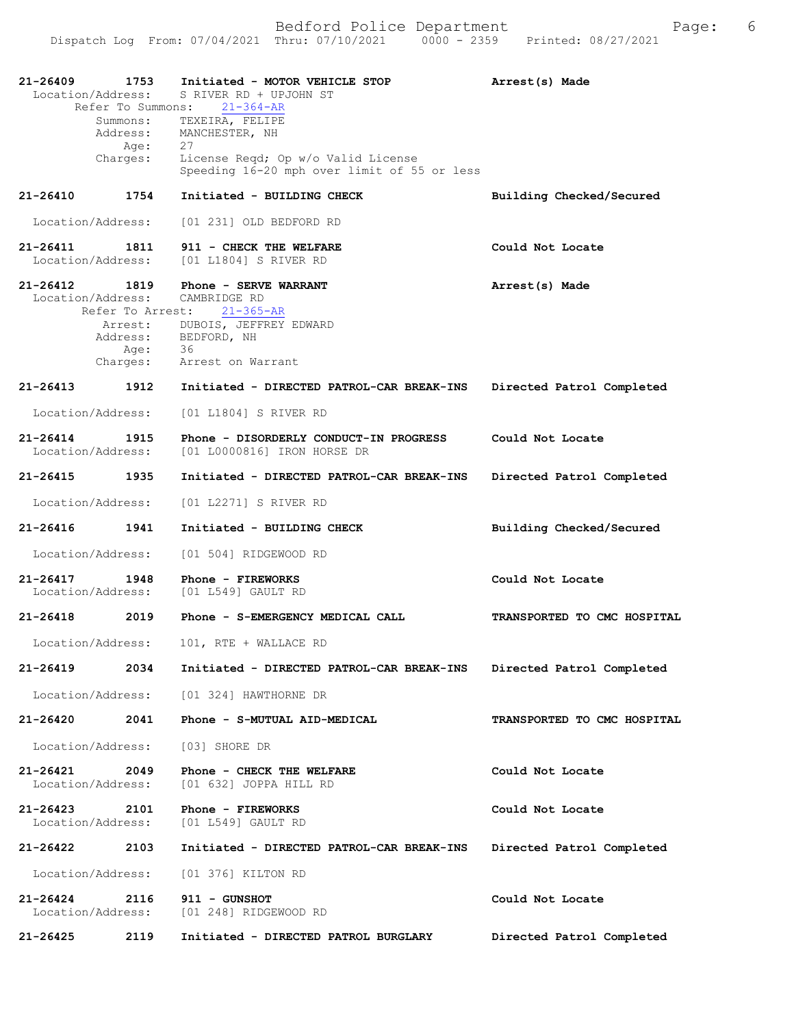| 21-26409<br>Location/Address:      | 1753<br>Summons:<br>Address:<br>Age: | Initiated - MOTOR VEHICLE STOP<br>S RIVER RD + UPJOHN ST<br>Refer To Summons: 21-364-AR<br>TEXEIRA, FELIPE<br>MANCHESTER, NH<br>27 | Arrest(s) Made              |
|------------------------------------|--------------------------------------|------------------------------------------------------------------------------------------------------------------------------------|-----------------------------|
|                                    | Charges:                             | License Reqd; Op w/o Valid License<br>Speeding 16-20 mph over limit of 55 or less                                                  |                             |
| 21-26410                           | 1754                                 | Initiated - BUILDING CHECK                                                                                                         | Building Checked/Secured    |
| Location/Address:                  |                                      | [01 231] OLD BEDFORD RD                                                                                                            |                             |
| 21-26411 1811<br>Location/Address: |                                      | 911 - CHECK THE WELFARE<br>[01 L1804] S RIVER RD                                                                                   | Could Not Locate            |
| 21-26412<br>Location/Address:      | 1819                                 | Phone - SERVE WARRANT<br>CAMBRIDGE RD<br>Refer To Arrest: 21-365-AR                                                                | Arrest(s) Made              |
|                                    |                                      | Arrest: DUBOIS, JEFFREY EDWARD<br>Address: BEDFORD, NH<br>Age: 36<br>Charges: Arrest on Warrant                                    |                             |
| $21 - 26413$                       | 1912                                 | Initiated - DIRECTED PATROL-CAR BREAK-INS                                                                                          | Directed Patrol Completed   |
| Location/Address:                  |                                      | [01 L1804] S RIVER RD                                                                                                              |                             |
| $21 - 26414$<br>Location/Address:  | 1915                                 | Phone - DISORDERLY CONDUCT-IN PROGRESS<br>[01 L0000816] IRON HORSE DR                                                              | Could Not Locate            |
| 21-26415                           | 1935                                 | Initiated - DIRECTED PATROL-CAR BREAK-INS                                                                                          | Directed Patrol Completed   |
| Location/Address:                  |                                      | [01 L2271] S RIVER RD                                                                                                              |                             |
| 21-26416                           | 1941                                 | Initiated - BUILDING CHECK                                                                                                         | Building Checked/Secured    |
| Location/Address:                  |                                      | [01 504] RIDGEWOOD RD                                                                                                              |                             |
| 21-26417                           | 1948                                 | Phone - FIREWORKS<br>Location/Address: [01 L549] GAULT RD                                                                          | Could Not Locate            |
| 21-26418                           | 2019                                 | Phone - S-EMERGENCY MEDICAL CALL                                                                                                   | TRANSPORTED TO CMC HOSPITAL |
| Location/Address:                  |                                      | 101, RTE + WALLACE RD                                                                                                              |                             |
| 21-26419                           | 2034                                 | Initiated - DIRECTED PATROL-CAR BREAK-INS                                                                                          | Directed Patrol Completed   |
| Location/Address:                  |                                      | [01 324] HAWTHORNE DR                                                                                                              |                             |
| 21-26420                           | 2041                                 | Phone - S-MUTUAL AID-MEDICAL                                                                                                       | TRANSPORTED TO CMC HOSPITAL |
| Location/Address:                  |                                      | [03] SHORE DR                                                                                                                      |                             |
| $21 - 26421$<br>Location/Address:  | 2049                                 | Phone - CHECK THE WELFARE<br>[01 632] JOPPA HILL RD                                                                                | Could Not Locate            |
| 21-26423<br>Location/Address:      | 2101                                 | Phone - FIREWORKS<br>[01 L549] GAULT RD                                                                                            | Could Not Locate            |
| 21-26422                           | 2103                                 | Initiated - DIRECTED PATROL-CAR BREAK-INS                                                                                          | Directed Patrol Completed   |
| Location/Address:                  |                                      | [01 376] KILTON RD                                                                                                                 |                             |
| $21 - 26424$<br>Location/Address:  | 2116                                 | 911 - GUNSHOT<br>[01 248] RIDGEWOOD RD                                                                                             | Could Not Locate            |
| 21-26425                           | 2119                                 | Initiated - DIRECTED PATROL BURGLARY                                                                                               | Directed Patrol Completed   |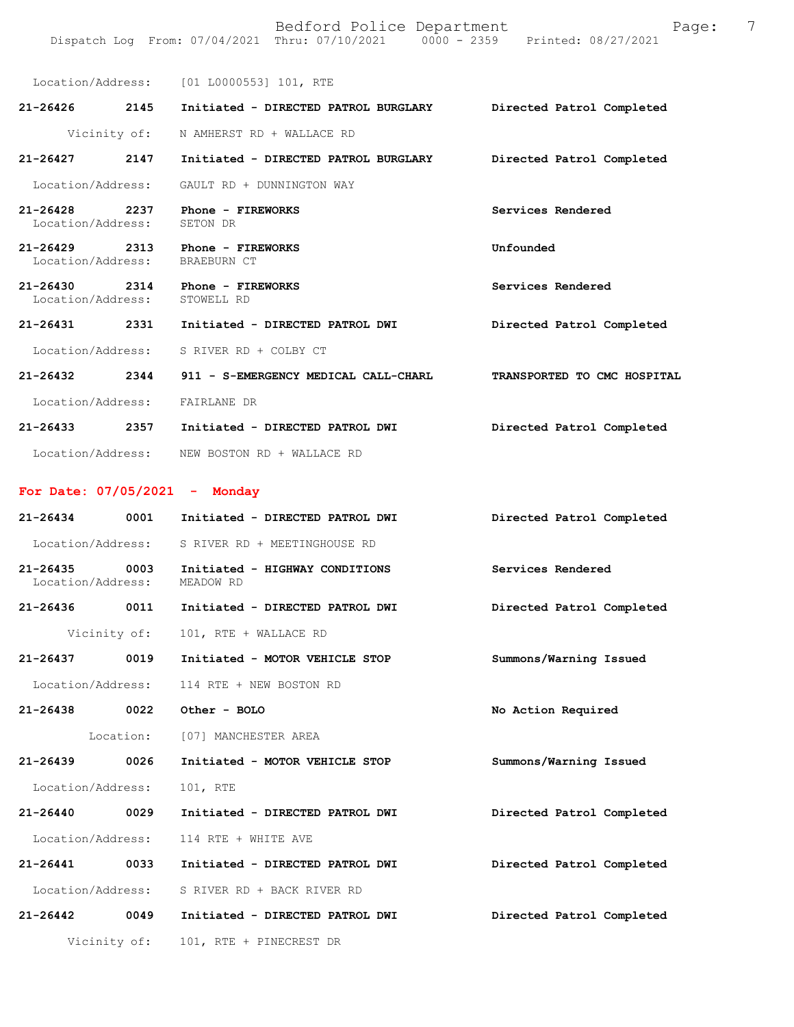Location/Address: [01 L0000553] 101, RTE **21-26426 2145 Initiated - DIRECTED PATROL BURGLARY Directed Patrol Completed**  Vicinity of: N AMHERST RD + WALLACE RD **21-26427 2147 Initiated - DIRECTED PATROL BURGLARY Directed Patrol Completed**  Location/Address: GAULT RD + DUNNINGTON WAY **21-26428 2237 Phone - FIREWORKS Services Rendered**  Location/Address: SETON DR **21-26429 2313 Phone - FIREWORKS Unfounded**  Location/Address: 21-26430 2314 Phone - FIREWORKS Services Rendered Location/Address: STOWELL RD Location/Address: **21-26431 2331 Initiated - DIRECTED PATROL DWI Directed Patrol Completed**  Location/Address: S RIVER RD + COLBY CT **21-26432 2344 911 - S-EMERGENCY MEDICAL CALL-CHARL TRANSPORTED TO CMC HOSPITAL**  Location/Address: FAIRLANE DR **21-26433 2357 Initiated - DIRECTED PATROL DWI Directed Patrol Completed**  Location/Address: NEW BOSTON RD + WALLACE RD **For Date: 07/05/2021 - Monday 21-26434 0001 Initiated - DIRECTED PATROL DWI Directed Patrol Completed**  Location/Address: S RIVER RD + MEETINGHOUSE RD **21-26435 0003 Initiated - HIGHWAY CONDITIONS Services Rendered**  Location/Address: MEADOW RD **21-26436 0011 Initiated - DIRECTED PATROL DWI Directed Patrol Completed**  Vicinity of: 101, RTE + WALLACE RD **21-26437 0019 Initiated - MOTOR VEHICLE STOP Summons/Warning Issued**  Location/Address: 114 RTE + NEW BOSTON RD **21-26438 0022 Other - BOLO No Action Required**  Location: [07] MANCHESTER AREA **21-26439 0026 Initiated - MOTOR VEHICLE STOP Summons/Warning Issued**  Location/Address: 101, RTE **21-26440 0029 Initiated - DIRECTED PATROL DWI Directed Patrol Completed**  Location/Address: 114 RTE + WHITE AVE **21-26441 0033 Initiated - DIRECTED PATROL DWI Directed Patrol Completed** 

Location/Address: S RIVER RD + BACK RIVER RD

**21-26442 0049 Initiated - DIRECTED PATROL DWI Directed Patrol Completed**  Vicinity of: 101, RTE + PINECREST DR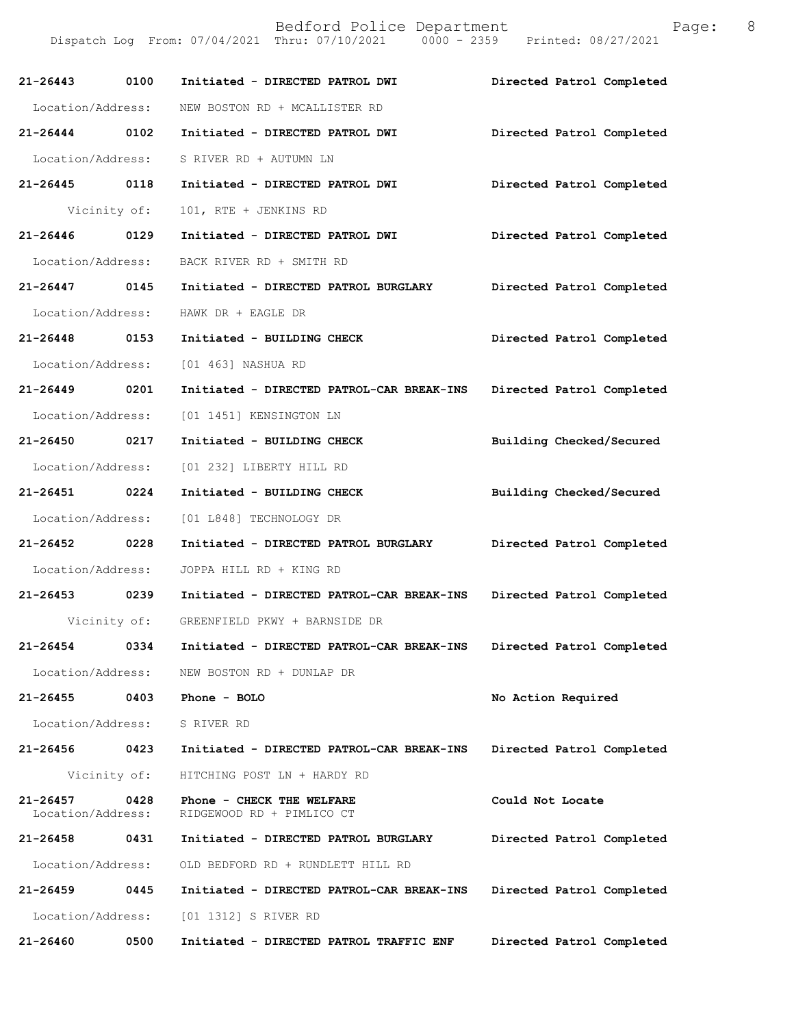Dispatch Log From: 07/04/2021 Thru: 07/10/2021 0000 - 2359 Printed: 08/27/2021

| 21-26443 0100                     |              | Initiated - DIRECTED PATROL DWI                        | Directed Patrol Completed |
|-----------------------------------|--------------|--------------------------------------------------------|---------------------------|
| Location/Address:                 |              | NEW BOSTON RD + MCALLISTER RD                          |                           |
| 21-26444 0102                     |              | Initiated - DIRECTED PATROL DWI                        | Directed Patrol Completed |
| Location/Address:                 |              | S RIVER RD + AUTUMN LN                                 |                           |
| 21-26445 0118                     |              | Initiated - DIRECTED PATROL DWI                        | Directed Patrol Completed |
|                                   | Vicinity of: | 101, RTE + JENKINS RD                                  |                           |
| 21-26446 0129                     |              | Initiated - DIRECTED PATROL DWI                        | Directed Patrol Completed |
| Location/Address:                 |              | BACK RIVER RD + SMITH RD                               |                           |
| 21-26447 0145                     |              | Initiated - DIRECTED PATROL BURGLARY                   | Directed Patrol Completed |
| Location/Address:                 |              | HAWK DR + EAGLE DR                                     |                           |
| 21-26448 0153                     |              | Initiated - BUILDING CHECK                             | Directed Patrol Completed |
|                                   |              | Location/Address: [01 463] NASHUA RD                   |                           |
| 21-26449 0201                     |              | Initiated - DIRECTED PATROL-CAR BREAK-INS              | Directed Patrol Completed |
| Location/Address:                 |              | [01 1451] KENSINGTON LN                                |                           |
| 21-26450 0217                     |              | Initiated - BUILDING CHECK                             | Building Checked/Secured  |
| Location/Address:                 |              | [01 232] LIBERTY HILL RD                               |                           |
| 21-26451 0224                     |              | Initiated - BUILDING CHECK                             | Building Checked/Secured  |
| Location/Address:                 |              | [01 L848] TECHNOLOGY DR                                |                           |
| 21-26452 0228                     |              | Initiated - DIRECTED PATROL BURGLARY                   | Directed Patrol Completed |
| Location/Address:                 |              | JOPPA HILL RD + KING RD                                |                           |
| 21-26453 0239                     |              | Initiated - DIRECTED PATROL-CAR BREAK-INS              | Directed Patrol Completed |
|                                   |              | Vicinity of: GREENFIELD PKWY + BARNSIDE DR             |                           |
| 21-26454                          | 0334         | Initiated - DIRECTED PATROL-CAR BREAK-INS              | Directed Patrol Completed |
| Location/Address:                 |              | NEW BOSTON RD + DUNLAP DR                              |                           |
| 21-26455                          | 0403         | Phone - BOLO                                           | No Action Required        |
| Location/Address:                 |              | S RIVER RD                                             |                           |
| 21-26456                          | 0423         | Initiated - DIRECTED PATROL-CAR BREAK-INS              | Directed Patrol Completed |
|                                   | Vicinity of: | HITCHING POST LN + HARDY RD                            |                           |
| $21 - 26457$<br>Location/Address: | 0428         | Phone - CHECK THE WELFARE<br>RIDGEWOOD RD + PIMLICO CT | Could Not Locate          |
| 21-26458                          | 0431         | Initiated - DIRECTED PATROL BURGLARY                   | Directed Patrol Completed |
| Location/Address:                 |              | OLD BEDFORD RD + RUNDLETT HILL RD                      |                           |
| 21-26459                          | 0445         | Initiated - DIRECTED PATROL-CAR BREAK-INS              | Directed Patrol Completed |
| Location/Address:                 |              | [01 1312] S RIVER RD                                   |                           |
| 21-26460                          | 0500         | Initiated - DIRECTED PATROL TRAFFIC ENF                | Directed Patrol Completed |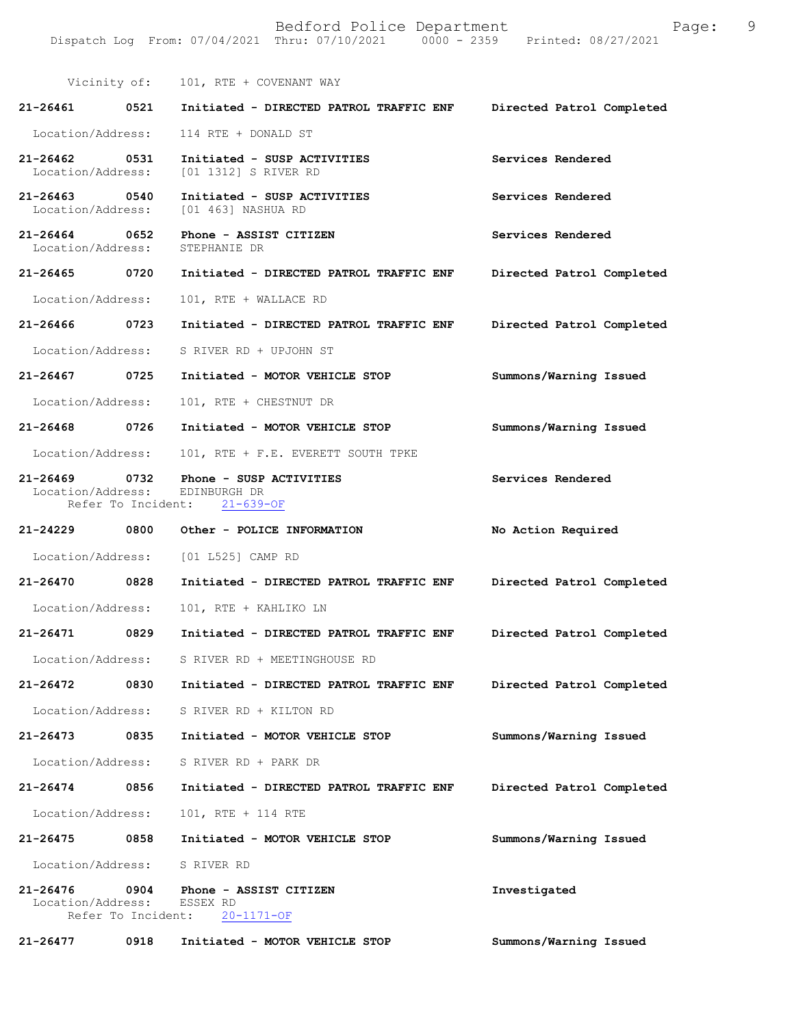Vicinity of: 101, RTE + COVENANT WAY **21-26461 0521 Initiated - DIRECTED PATROL TRAFFIC ENF Directed Patrol Completed**  Location/Address: 114 RTE + DONALD ST **21-26462 0531 Initiated - SUSP ACTIVITIES Services Rendered**  [01 1312] S RIVER RD **21-26463 0540 Initiated - SUSP ACTIVITIES Services Rendered**  Location/Address: [01 463] NASHUA RD **21-26464 0652 Phone - ASSIST CITIZEN Services Rendered**  Location/Address: **21-26465 0720 Initiated - DIRECTED PATROL TRAFFIC ENF Directed Patrol Completed**  Location/Address: 101, RTE + WALLACE RD **21-26466 0723 Initiated - DIRECTED PATROL TRAFFIC ENF Directed Patrol Completed**  Location/Address: S RIVER RD + UPJOHN ST **21-26467 0725 Initiated - MOTOR VEHICLE STOP Summons/Warning Issued**  Location/Address: 101, RTE + CHESTNUT DR **21-26468 0726 Initiated - MOTOR VEHICLE STOP Summons/Warning Issued**  Location/Address: 101, RTE + F.E. EVERETT SOUTH TPKE **21-26469 0732 Phone - SUSP ACTIVITIES Services Rendered**  Location/Address: EDINBURGH DR Refer To Incident: 21-639-OF **21-24229 0800 Other - POLICE INFORMATION No Action Required**  Location/Address: [01 L525] CAMP RD **21-26470 0828 Initiated - DIRECTED PATROL TRAFFIC ENF Directed Patrol Completed**  Location/Address: 101, RTE + KAHLIKO LN **21-26471 0829 Initiated - DIRECTED PATROL TRAFFIC ENF Directed Patrol Completed**  Location/Address: S RIVER RD + MEETINGHOUSE RD **21-26472 0830 Initiated - DIRECTED PATROL TRAFFIC ENF Directed Patrol Completed**  Location/Address: S RIVER RD + KILTON RD **21-26473 0835 Initiated - MOTOR VEHICLE STOP Summons/Warning Issued**  Location/Address: S RIVER RD + PARK DR **21-26474 0856 Initiated - DIRECTED PATROL TRAFFIC ENF Directed Patrol Completed**  Location/Address: 101, RTE + 114 RTE **21-26475 0858 Initiated - MOTOR VEHICLE STOP Summons/Warning Issued**  Location/Address: S RIVER RD **21-26476 0904 Phone - ASSIST CITIZEN Investigated**  Location/Address: ESSEX RD Refer To Incident: 20-1171-OF

**21-26477 0918 Initiated - MOTOR VEHICLE STOP Summons/Warning Issued**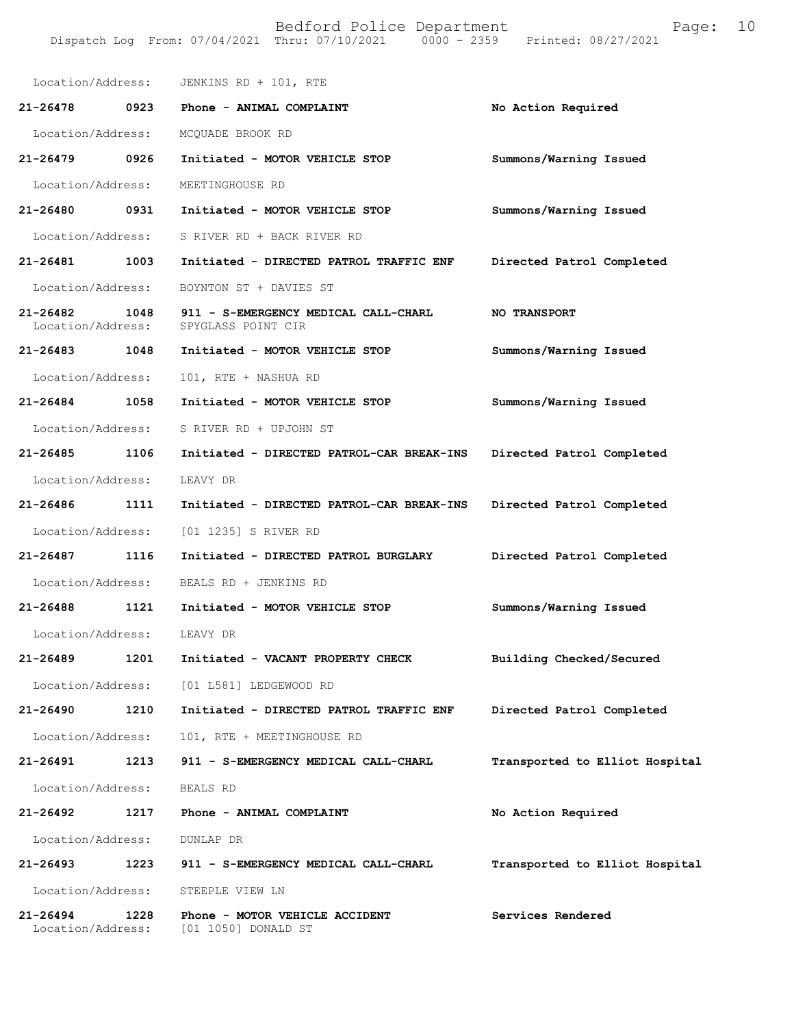| Location/Address:                 |      | JENKINS RD + 101, RTE                                      |                                |
|-----------------------------------|------|------------------------------------------------------------|--------------------------------|
| 21-26478                          | 0923 | Phone - ANIMAL COMPLAINT                                   | No Action Required             |
| Location/Address:                 |      | MCQUADE BROOK RD                                           |                                |
| 21-26479                          | 0926 | Initiated - MOTOR VEHICLE STOP                             | Summons/Warning Issued         |
| Location/Address:                 |      | MEETINGHOUSE RD                                            |                                |
| 21-26480                          | 0931 | Initiated - MOTOR VEHICLE STOP                             | Summons/Warning Issued         |
| Location/Address:                 |      | S RIVER RD + BACK RIVER RD                                 |                                |
| 21-26481                          | 1003 | Initiated - DIRECTED PATROL TRAFFIC ENF                    | Directed Patrol Completed      |
| Location/Address:                 |      | BOYNTON ST + DAVIES ST                                     |                                |
| 21-26482<br>Location/Address:     | 1048 | 911 - S-EMERGENCY MEDICAL CALL-CHARL<br>SPYGLASS POINT CIR | <b>NO TRANSPORT</b>            |
| 21-26483                          | 1048 | Initiated - MOTOR VEHICLE STOP                             | Summons/Warning Issued         |
| Location/Address:                 |      | 101, RTE + NASHUA RD                                       |                                |
| $21 - 26484$                      | 1058 | Initiated - MOTOR VEHICLE STOP                             | Summons/Warning Issued         |
| Location/Address:                 |      | S RIVER RD + UPJOHN ST                                     |                                |
| 21-26485                          | 1106 | Initiated - DIRECTED PATROL-CAR BREAK-INS                  | Directed Patrol Completed      |
| Location/Address:                 |      | LEAVY DR                                                   |                                |
| 21-26486                          | 1111 | Initiated - DIRECTED PATROL-CAR BREAK-INS                  | Directed Patrol Completed      |
| Location/Address:                 |      | [01 1235] S RIVER RD                                       |                                |
| 21-26487                          | 1116 | Initiated - DIRECTED PATROL BURGLARY                       | Directed Patrol Completed      |
| Location/Address:                 |      | BEALS RD + JENKINS RD                                      |                                |
| 21-26488                          | 1121 | Initiated - MOTOR VEHICLE STOP                             | Summons/Warning Issued         |
| Location/Address:                 |      | LEAVY DR                                                   |                                |
| 21-26489                          | 1201 | Initiated - VACANT PROPERTY CHECK                          | Building Checked/Secured       |
| Location/Address:                 |      | [01 L581] LEDGEWOOD RD                                     |                                |
| 21-26490                          | 1210 | Initiated - DIRECTED PATROL TRAFFIC ENF                    | Directed Patrol Completed      |
| Location/Address:                 |      | 101, RTE + MEETINGHOUSE RD                                 |                                |
| 21-26491                          | 1213 | 911 - S-EMERGENCY MEDICAL CALL-CHARL                       | Transported to Elliot Hospital |
| Location/Address:                 |      | BEALS RD                                                   |                                |
| 21-26492                          | 1217 | Phone - ANIMAL COMPLAINT                                   | No Action Required             |
| Location/Address:                 |      | DUNLAP DR                                                  |                                |
| 21-26493                          | 1223 | 911 - S-EMERGENCY MEDICAL CALL-CHARL                       | Transported to Elliot Hospital |
| Location/Address:                 |      | STEEPLE VIEW LN                                            |                                |
| $21 - 26494$<br>Location/Address: | 1228 | Phone - MOTOR VEHICLE ACCIDENT<br>[01 1050] DONALD ST      | Services Rendered              |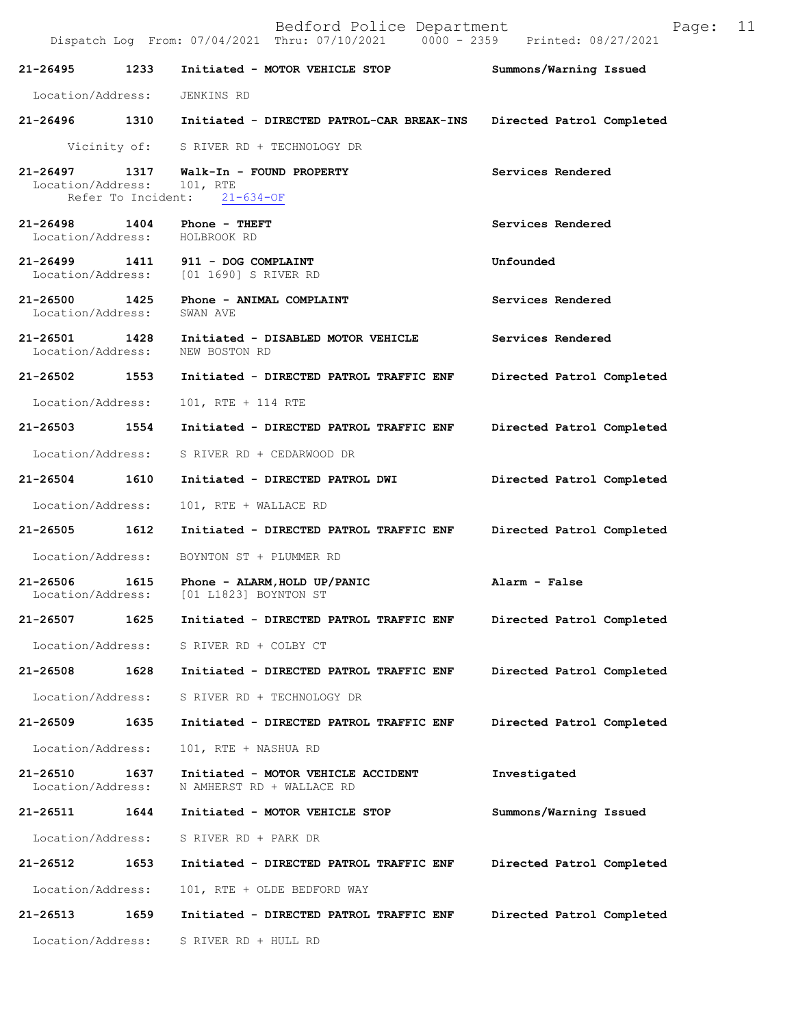|                                                              | Dispatch Log From: 07/04/2021 Thru: 07/10/2021 0000 - 2359 Printed: 08/27/2021    |                           |
|--------------------------------------------------------------|-----------------------------------------------------------------------------------|---------------------------|
|                                                              | 21-26495 1233 Initiated - MOTOR VEHICLE STOP                                      | Summons/Warning Issued    |
| Location/Address: JENKINS RD                                 |                                                                                   |                           |
|                                                              | 21-26496 1310 Initiated - DIRECTED PATROL-CAR BREAK-INS Directed Patrol Completed |                           |
|                                                              | Vicinity of: S RIVER RD + TECHNOLOGY DR                                           |                           |
| Location/Address: 101, RTE                                   | 21-26497 1317 Walk-In - FOUND PROPERTY<br>Refer To Incident: 21-634-OF            | Services Rendered         |
| 21-26498 1404 Phone - THEFT<br>Location/Address: HOLBROOK RD |                                                                                   | Services Rendered         |
|                                                              | 21-26499 1411 911 - DOG COMPLAINT<br>Location/Address: [01 1690] S RIVER RD       | Unfounded                 |
|                                                              | 21-26500 1425 Phone - ANIMAL COMPLAINT<br>Location/Address: SWAN AVE              | Services Rendered         |
| Location/Address: NEW BOSTON RD                              | 21-26501 1428 Initiated - DISABLED MOTOR VEHICLE                                  | Services Rendered         |
|                                                              | 21-26502 1553 Initiated - DIRECTED PATROL TRAFFIC ENF Directed Patrol Completed   |                           |
| Location/Address:                                            | 101, RTE + 114 RTE                                                                |                           |
|                                                              | 21-26503 1554 Initiated - DIRECTED PATROL TRAFFIC ENF Directed Patrol Completed   |                           |
|                                                              | Location/Address: S RIVER RD + CEDARWOOD DR                                       |                           |
|                                                              | 21-26504 1610 Initiated - DIRECTED PATROL DWI                                     | Directed Patrol Completed |
| Location/Address:                                            | 101, RTE + WALLACE RD                                                             |                           |
| 21-26505 1612                                                | Initiated - DIRECTED PATROL TRAFFIC ENF Directed Patrol Completed                 |                           |
|                                                              | Location/Address: BOYNTON ST + PLUMMER RD                                         |                           |
|                                                              |                                                                                   |                           |
|                                                              | 21-26507 1625 Initiated - DIRECTED PATROL TRAFFIC ENF Directed Patrol Completed   |                           |
|                                                              | Location/Address: S RIVER RD + COLBY CT                                           |                           |
| 21-26508                                                     | 1628 Initiated - DIRECTED PATROL TRAFFIC ENF                                      | Directed Patrol Completed |
|                                                              | Location/Address: S RIVER RD + TECHNOLOGY DR                                      |                           |
| 21-26509 1635                                                | Initiated - DIRECTED PATROL TRAFFIC ENF                                           | Directed Patrol Completed |
| Location/Address:                                            | 101, RTE + NASHUA RD                                                              |                           |
| 21-26510<br>1637<br>Location/Address:                        | Initiated - MOTOR VEHICLE ACCIDENT<br>N AMHERST RD + WALLACE RD                   | Investigated              |
|                                                              | 21-26511 1644 Initiated - MOTOR VEHICLE STOP                                      | Summons/Warning Issued    |
| Location/Address:                                            | S RIVER RD + PARK DR                                                              |                           |
| 21-26512 1653                                                | Initiated - DIRECTED PATROL TRAFFIC ENF                                           | Directed Patrol Completed |
| Location/Address:                                            | 101, RTE + OLDE BEDFORD WAY                                                       |                           |
| 21-26513<br>1659                                             | Initiated - DIRECTED PATROL TRAFFIC ENF                                           | Directed Patrol Completed |

Location/Address: S RIVER RD + HULL RD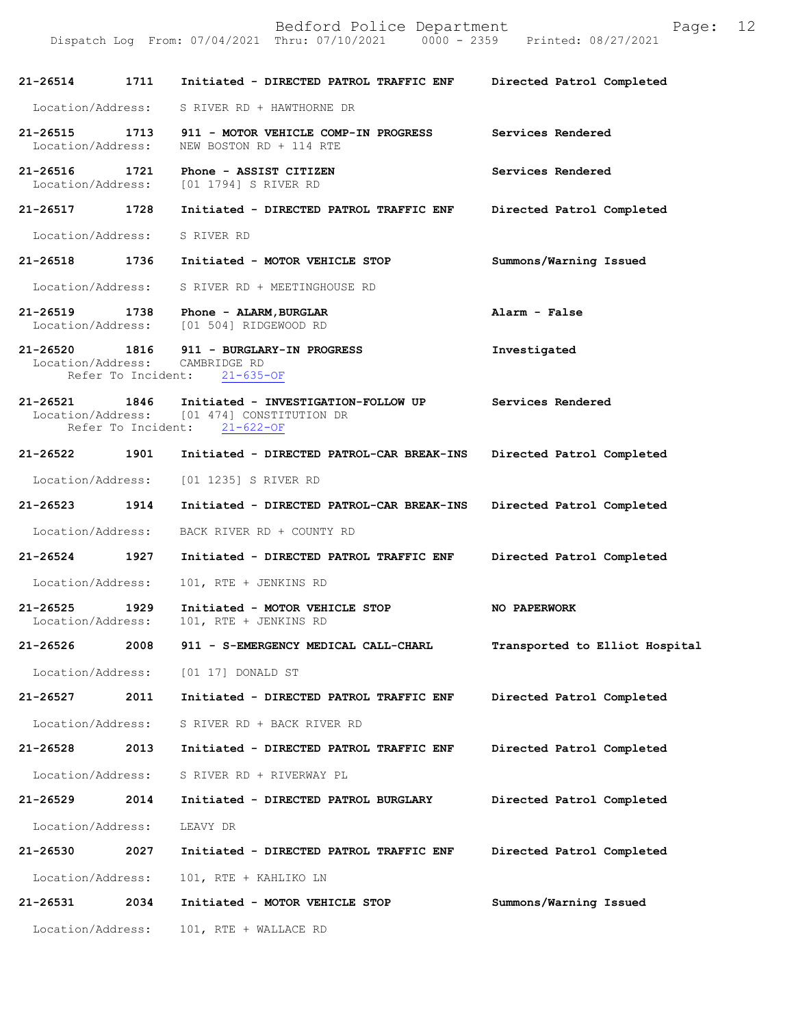Dispatch Log From: 07/04/2021 Thru: 07/10/2021

**21-26514 1711 Initiated - DIRECTED PATROL TRAFFIC ENF Directed Patrol Completed**  Location/Address: S RIVER RD + HAWTHORNE DR **21-26515 1713 911 - MOTOR VEHICLE COMP-IN PROGRESS Services Rendered**  Location/Address: NEW BOSTON RD + 114 RTE **21-26516 1721 Phone - ASSIST CITIZEN Services Rendered**  Location/Address: [01 1794] S RIVER RD **21-26517 1728 Initiated - DIRECTED PATROL TRAFFIC ENF Directed Patrol Completed**  Location/Address: S RIVER RD **21-26518 1736 Initiated - MOTOR VEHICLE STOP Summons/Warning Issued**  Location/Address: S RIVER RD + MEETINGHOUSE RD **21-26519 1738 Phone - ALARM,BURGLAR Alarm - False**  Location/Address: [01 504] RIDGEWOOD RD **21-26520 1816 911 - BURGLARY-IN PROGRESS Investigated**  Location/Address: CAMBRIDGE RD Refer To Incident: 21-635-OF **21-26521 1846 Initiated - INVESTIGATION-FOLLOW UP Services Rendered**   $[01 474]$  CONSTITUTION DR<br>ent:  $21-622-OF$ Refer To Incident: **21-26522 1901 Initiated - DIRECTED PATROL-CAR BREAK-INS Directed Patrol Completed**  Location/Address: [01 1235] S RIVER RD **21-26523 1914 Initiated - DIRECTED PATROL-CAR BREAK-INS Directed Patrol Completed**  Location/Address: BACK RIVER RD + COUNTY RD **21-26524 1927 Initiated - DIRECTED PATROL TRAFFIC ENF Directed Patrol Completed**  Location/Address: 101, RTE + JENKINS RD **21-26525 1929 Initiated - MOTOR VEHICLE STOP NO PAPERWORK**  101, RTE + JENKINS RD **21-26526 2008 911 - S-EMERGENCY MEDICAL CALL-CHARL Transported to Elliot Hospital** Location/Address: [01 17] DONALD ST **21-26527 2011 Initiated - DIRECTED PATROL TRAFFIC ENF Directed Patrol Completed**  Location/Address: S RIVER RD + BACK RIVER RD **21-26528 2013 Initiated - DIRECTED PATROL TRAFFIC ENF Directed Patrol Completed**  Location/Address: S RIVER RD + RIVERWAY PL **21-26529 2014 Initiated - DIRECTED PATROL BURGLARY Directed Patrol Completed**  Location/Address: LEAVY DR **21-26530 2027 Initiated - DIRECTED PATROL TRAFFIC ENF Directed Patrol Completed**  Location/Address: 101, RTE + KAHLIKO LN **21-26531 2034 Initiated - MOTOR VEHICLE STOP Summons/Warning Issued**  Location/Address: 101, RTE + WALLACE RD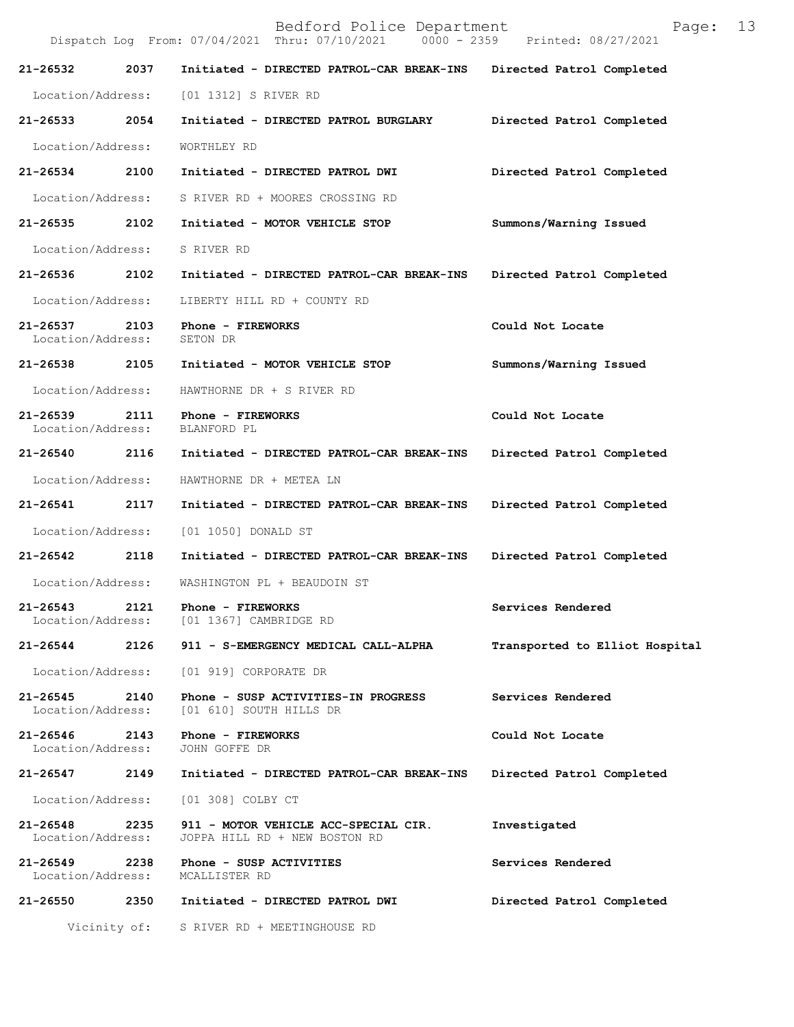| Bedford Police Department<br>13<br>Page:<br>Dispatch Log From: 07/04/2021 Thru: 07/10/2021 0000 - 2359 Printed: 08/27/2021 |              |                                                                       |                                |  |
|----------------------------------------------------------------------------------------------------------------------------|--------------|-----------------------------------------------------------------------|--------------------------------|--|
| 21-26532                                                                                                                   | 2037         | Initiated - DIRECTED PATROL-CAR BREAK-INS                             | Directed Patrol Completed      |  |
| Location/Address:                                                                                                          |              | [01 1312] S RIVER RD                                                  |                                |  |
| 21-26533                                                                                                                   | 2054         | Initiated - DIRECTED PATROL BURGLARY                                  | Directed Patrol Completed      |  |
| Location/Address:                                                                                                          |              | WORTHLEY RD                                                           |                                |  |
| 21-26534                                                                                                                   | 2100         | Initiated - DIRECTED PATROL DWI                                       | Directed Patrol Completed      |  |
| Location/Address:                                                                                                          |              | S RIVER RD + MOORES CROSSING RD                                       |                                |  |
| 21-26535                                                                                                                   | 2102         | Initiated - MOTOR VEHICLE STOP                                        | Summons/Warning Issued         |  |
| Location/Address:                                                                                                          |              | S RIVER RD                                                            |                                |  |
| 21-26536                                                                                                                   | 2102         | Initiated - DIRECTED PATROL-CAR BREAK-INS                             | Directed Patrol Completed      |  |
| Location/Address:                                                                                                          |              | LIBERTY HILL RD + COUNTY RD                                           |                                |  |
| $21 - 26537$<br>Location/Address:                                                                                          | 2103         | Phone - FIREWORKS<br>SETON DR                                         | Could Not Locate               |  |
| 21-26538                                                                                                                   | 2105         | Initiated - MOTOR VEHICLE STOP                                        | Summons/Warning Issued         |  |
| Location/Address:                                                                                                          |              | HAWTHORNE DR + S RIVER RD                                             |                                |  |
| 21-26539<br>Location/Address:                                                                                              | 2111         | Phone - FIREWORKS<br>BLANFORD PL                                      | Could Not Locate               |  |
| 21-26540                                                                                                                   | 2116         | Initiated - DIRECTED PATROL-CAR BREAK-INS                             | Directed Patrol Completed      |  |
| Location/Address:                                                                                                          |              | HAWTHORNE DR + METEA LN                                               |                                |  |
| 21-26541                                                                                                                   | 2117         | Initiated - DIRECTED PATROL-CAR BREAK-INS                             | Directed Patrol Completed      |  |
| Location/Address:                                                                                                          |              | [01 1050] DONALD ST                                                   |                                |  |
| 21-26542                                                                                                                   | 2118         | Initiated - DIRECTED PATROL-CAR BREAK-INS                             | Directed Patrol Completed      |  |
| Location/Address:                                                                                                          |              | WASHINGTON PL + BEAUDOIN ST                                           |                                |  |
| $21 - 26543$<br>Location/Address:                                                                                          | 2121         | Phone - FIREWORKS<br>[01 1367] CAMBRIDGE RD                           | Services Rendered              |  |
| 21-26544                                                                                                                   | 2126         | 911 - S-EMERGENCY MEDICAL CALL-ALPHA                                  | Transported to Elliot Hospital |  |
| Location/Address:                                                                                                          |              | [01 919] CORPORATE DR                                                 |                                |  |
| 21-26545<br>Location/Address:                                                                                              | 2140         | Phone - SUSP ACTIVITIES-IN PROGRESS<br>[01 610] SOUTH HILLS DR        | Services Rendered              |  |
| 21-26546<br>Location/Address:                                                                                              | 2143         | Phone - FIREWORKS<br>JOHN GOFFE DR                                    | Could Not Locate               |  |
| 21-26547                                                                                                                   | 2149         | Initiated - DIRECTED PATROL-CAR BREAK-INS                             | Directed Patrol Completed      |  |
| Location/Address:                                                                                                          |              | [01 308] COLBY CT                                                     |                                |  |
| 21-26548<br>Location/Address:                                                                                              | 2235         | 911 - MOTOR VEHICLE ACC-SPECIAL CIR.<br>JOPPA HILL RD + NEW BOSTON RD | Investigated                   |  |
| 21-26549<br>Location/Address:                                                                                              | 2238         | Phone - SUSP ACTIVITIES<br>MCALLISTER RD                              | Services Rendered              |  |
| 21-26550                                                                                                                   | 2350         | Initiated - DIRECTED PATROL DWI                                       | Directed Patrol Completed      |  |
|                                                                                                                            | Vicinity of: | S RIVER RD + MEETINGHOUSE RD                                          |                                |  |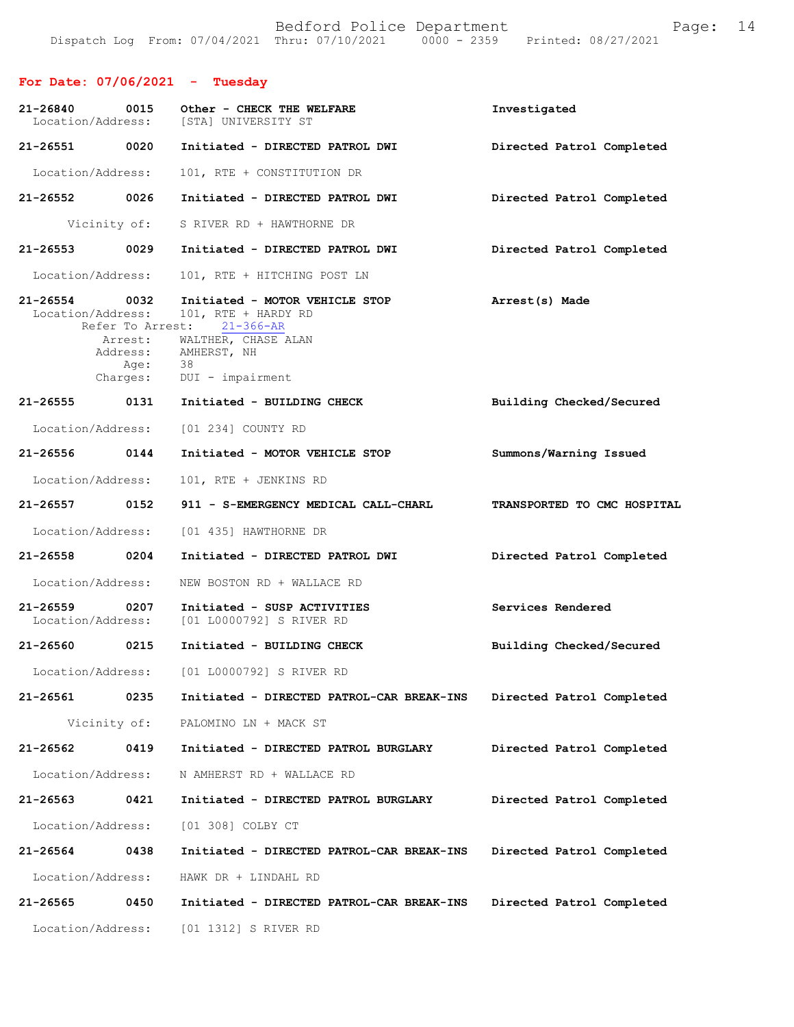# **For Date: 07/06/2021 - Tuesday**

| 21-26840<br>Location/Address: | 0015                     | Other - CHECK THE WELFARE<br>[STA] UNIVERSITY ST                         | Investigated                |
|-------------------------------|--------------------------|--------------------------------------------------------------------------|-----------------------------|
| 21-26551                      | 0020                     | Initiated - DIRECTED PATROL DWI                                          | Directed Patrol Completed   |
| Location/Address:             |                          | 101, RTE + CONSTITUTION DR                                               |                             |
| 21-26552 0026                 |                          | Initiated - DIRECTED PATROL DWI                                          | Directed Patrol Completed   |
|                               | Vicinity of:             | S RIVER RD + HAWTHORNE DR                                                |                             |
| 21-26553                      | 0029                     | Initiated - DIRECTED PATROL DWI                                          | Directed Patrol Completed   |
| Location/Address:             |                          | 101, RTE + HITCHING POST LN                                              |                             |
| 21-26554<br>Location/Address: | 0032<br>Refer To Arrest: | Initiated - MOTOR VEHICLE STOP<br>101, RTE + HARDY RD<br>$21 - 366 - AR$ | Arrest(s) Made              |
|                               | Arrest:<br>Age:          | WALTHER, CHASE ALAN<br>Address: AMHERST, NH<br>38                        |                             |
|                               | Charges:                 | DUI - impairment                                                         |                             |
| 21-26555 0131                 |                          | Initiated - BUILDING CHECK                                               | Building Checked/Secured    |
| Location/Address:             |                          | [01 234] COUNTY RD                                                       |                             |
| 21-26556                      | 0144                     | Initiated - MOTOR VEHICLE STOP                                           | Summons/Warning Issued      |
| Location/Address:             |                          | 101, RTE + JENKINS RD                                                    |                             |
| 21-26557                      | 0152                     | 911 - S-EMERGENCY MEDICAL CALL-CHARL                                     | TRANSPORTED TO CMC HOSPITAL |
| Location/Address:             |                          | [01 435] HAWTHORNE DR                                                    |                             |
| 21-26558                      | $\sim$ 0204              | Initiated - DIRECTED PATROL DWI                                          | Directed Patrol Completed   |
| Location/Address:             |                          | NEW BOSTON RD + WALLACE RD                                               |                             |
| 21-26559<br>Location/Address: | 0207                     | Initiated - SUSP ACTIVITIES<br>[01 L0000792] S RIVER RD                  | Services Rendered           |
| 21-26560                      | 0215                     | Initiated - BUILDING CHECK                                               | Building Checked/Secured    |
| Location/Address:             |                          | [01 L0000792] S RIVER RD                                                 |                             |
| 21-26561                      | 0235                     | Initiated - DIRECTED PATROL-CAR BREAK-INS                                | Directed Patrol Completed   |
| Vicinity of:                  |                          | PALOMINO LN + MACK ST                                                    |                             |
| 21-26562                      | 0419                     | Initiated - DIRECTED PATROL BURGLARY                                     | Directed Patrol Completed   |
| Location/Address:             |                          | N AMHERST RD + WALLACE RD                                                |                             |
| 21-26563                      | 0421                     | Initiated - DIRECTED PATROL BURGLARY                                     | Directed Patrol Completed   |
| Location/Address:             |                          | [01 308] COLBY CT                                                        |                             |
| 21-26564                      | 0438                     | Initiated - DIRECTED PATROL-CAR BREAK-INS                                | Directed Patrol Completed   |
| Location/Address:             |                          | HAWK DR + LINDAHL RD                                                     |                             |
| 21-26565                      | 0450                     | Initiated - DIRECTED PATROL-CAR BREAK-INS                                | Directed Patrol Completed   |
| Location/Address:             |                          | [01 1312] S RIVER RD                                                     |                             |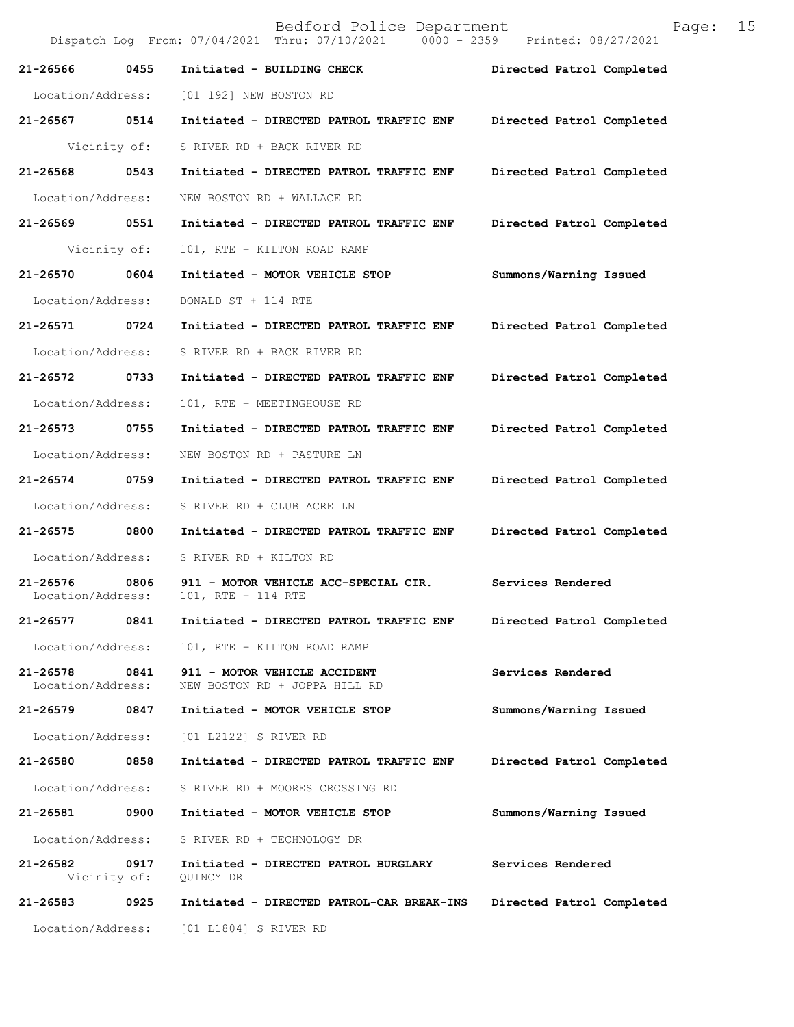Bedford Police Department Page: 15 Dispatch Log From: 07/04/2021 Thru: 07/10/2021 **21-26566 0455 Initiated - BUILDING CHECK Directed Patrol Completed**  Location/Address: [01 192] NEW BOSTON RD **21-26567 0514 Initiated - DIRECTED PATROL TRAFFIC ENF Directed Patrol Completed**  Vicinity of: S RIVER RD + BACK RIVER RD **21-26568 0543 Initiated - DIRECTED PATROL TRAFFIC ENF Directed Patrol Completed**  Location/Address: NEW BOSTON RD + WALLACE RD **21-26569 0551 Initiated - DIRECTED PATROL TRAFFIC ENF Directed Patrol Completed**  Vicinity of: 101, RTE + KILTON ROAD RAMP **21-26570 0604 Initiated - MOTOR VEHICLE STOP Summons/Warning Issued**  Location/Address: DONALD ST + 114 RTE **21-26571 0724 Initiated - DIRECTED PATROL TRAFFIC ENF Directed Patrol Completed**  Location/Address: S RIVER RD + BACK RIVER RD **21-26572 0733 Initiated - DIRECTED PATROL TRAFFIC ENF Directed Patrol Completed**  Location/Address: 101, RTE + MEETINGHOUSE RD **21-26573 0755 Initiated - DIRECTED PATROL TRAFFIC ENF Directed Patrol Completed**  Location/Address: NEW BOSTON RD + PASTURE LN **21-26574 0759 Initiated - DIRECTED PATROL TRAFFIC ENF Directed Patrol Completed**  Location/Address: S RIVER RD + CLUB ACRE LN **21-26575 0800 Initiated - DIRECTED PATROL TRAFFIC ENF Directed Patrol Completed**  Location/Address: S RIVER RD + KILTON RD 21-26576 0806 911 - MOTOR VEHICLE ACC-SPECIAL CIR. Services Rendered Location/Address: 101. RTE + 114 RTE Location/Address: **21-26577 0841 Initiated - DIRECTED PATROL TRAFFIC ENF Directed Patrol Completed**  Location/Address: 101, RTE + KILTON ROAD RAMP **21-26578 0841 911 - MOTOR VEHICLE ACCIDENT Services Rendered Services Rendered Iocation/Address:** NEW BOSTON RD + JOPPA HILL RD NEW BOSTON RD + JOPPA HILL RD **21-26579 0847 Initiated - MOTOR VEHICLE STOP Summons/Warning Issued**  Location/Address: [01 L2122] S RIVER RD **21-26580 0858 Initiated - DIRECTED PATROL TRAFFIC ENF Directed Patrol Completed**  Location/Address: S RIVER RD + MOORES CROSSING RD **21-26581 0900 Initiated - MOTOR VEHICLE STOP Summons/Warning Issued**  Location/Address: S RIVER RD + TECHNOLOGY DR **21-26582 0917 Initiated - DIRECTED PATROL BURGLARY Services Rendered**  Vicinity of: QUINCY DR **21-26583 0925 Initiated - DIRECTED PATROL-CAR BREAK-INS Directed Patrol Completed**  Location/Address: [01 L1804] S RIVER RD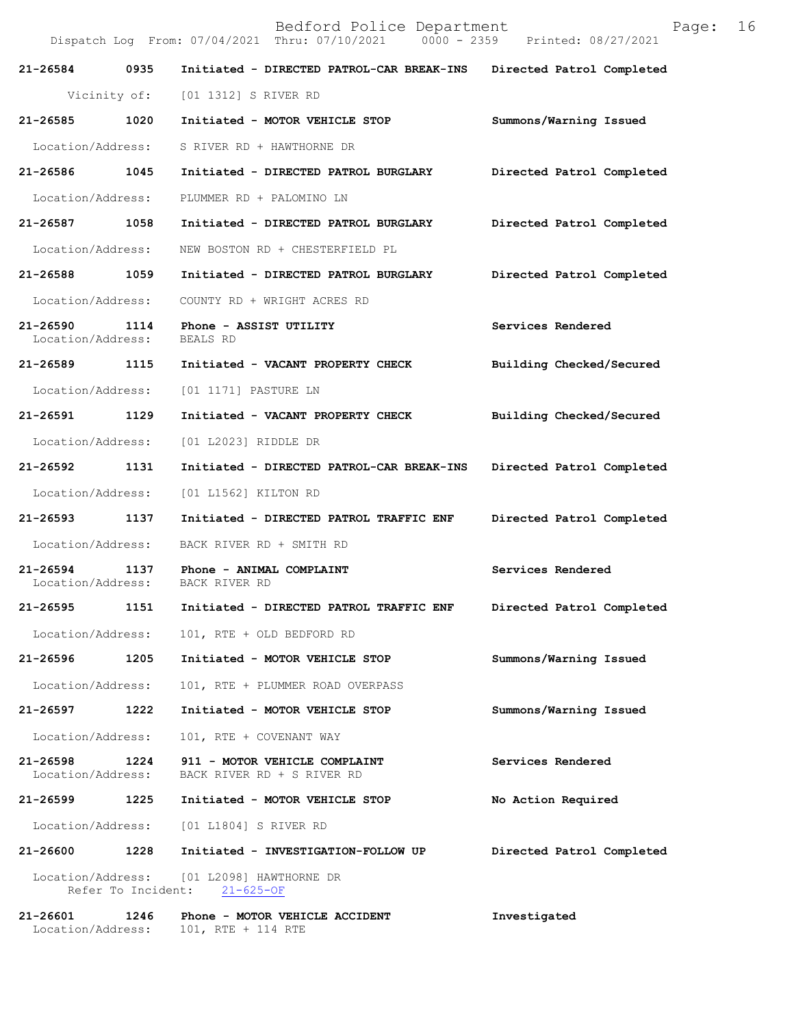|                                       | Dispatch Log From: 07/04/2021 Thru: 07/10/2021 0000 - 2359 Printed: 08/27/2021 |                           |
|---------------------------------------|--------------------------------------------------------------------------------|---------------------------|
| 21-26584 0935                         | Initiated - DIRECTED PATROL-CAR BREAK-INS                                      | Directed Patrol Completed |
|                                       | Vicinity of: [01 1312] S RIVER RD                                              |                           |
| 21-26585 1020                         | Initiated - MOTOR VEHICLE STOP                                                 | Summons/Warning Issued    |
| Location/Address:                     | S RIVER RD + HAWTHORNE DR                                                      |                           |
| 21-26586 1045                         | Initiated - DIRECTED PATROL BURGLARY                                           | Directed Patrol Completed |
| Location/Address:                     | PLUMMER RD + PALOMINO LN                                                       |                           |
| 21-26587 1058                         | Initiated - DIRECTED PATROL BURGLARY                                           | Directed Patrol Completed |
| Location/Address:                     | NEW BOSTON RD + CHESTERFIELD PL                                                |                           |
| 21-26588 1059                         | Initiated - DIRECTED PATROL BURGLARY                                           | Directed Patrol Completed |
| Location/Address:                     | COUNTY RD + WRIGHT ACRES RD                                                    |                           |
| 21-26590 1114<br>Location/Address:    | Phone - ASSIST UTILITY<br>BEALS RD                                             | Services Rendered         |
| 21-26589 1115                         | Initiated - VACANT PROPERTY CHECK                                              | Building Checked/Secured  |
| Location/Address:                     | [01 1171] PASTURE LN                                                           |                           |
| 21-26591 1129                         | Initiated - VACANT PROPERTY CHECK                                              | Building Checked/Secured  |
| Location/Address:                     | [01 L2023] RIDDLE DR                                                           |                           |
| 21-26592 1131                         | Initiated - DIRECTED PATROL-CAR BREAK-INS                                      | Directed Patrol Completed |
| Location/Address:                     | [01 L1562] KILTON RD                                                           |                           |
| 21-26593 1137                         | Initiated - DIRECTED PATROL TRAFFIC ENF                                        | Directed Patrol Completed |
| Location/Address:                     | BACK RIVER RD + SMITH RD                                                       |                           |
| 21-26594 1137<br>Location/Address:    | Phone - ANIMAL COMPLAINT<br>BACK RIVER RD                                      | Services Rendered         |
| 21-26595 1151                         | Initiated - DIRECTED PATROL TRAFFIC ENF                                        | Directed Patrol Completed |
|                                       | Location/Address: 101, RTE + OLD BEDFORD RD                                    |                           |
| 21-26596 1205                         | Initiated - MOTOR VEHICLE STOP                                                 | Summons/Warning Issued    |
| Location/Address:                     | 101, RTE + PLUMMER ROAD OVERPASS                                               |                           |
| 21-26597<br>1222                      | Initiated - MOTOR VEHICLE STOP                                                 | Summons/Warning Issued    |
| Location/Address:                     | 101, RTE + COVENANT WAY                                                        |                           |
| 21-26598<br>1224<br>Location/Address: | 911 - MOTOR VEHICLE COMPLAINT<br>BACK RIVER RD + S RIVER RD                    | Services Rendered         |
|                                       | 21-26599 1225 Initiated - MOTOR VEHICLE STOP                                   | No Action Required        |
|                                       | Location/Address: [01 L1804] S RIVER RD                                        |                           |
| 21-26600<br>1228                      | Initiated - INVESTIGATION-FOLLOW UP                                            | Directed Patrol Completed |
|                                       | Location/Address: [01 L2098] HAWTHORNE DR<br>Refer To Incident: 21-625-OF      |                           |
| 21-26601<br>1246                      | Phone - MOTOR VEHICLE ACCIDENT                                                 | Investigated              |

Location/Address: 101, RTE + 114 RTE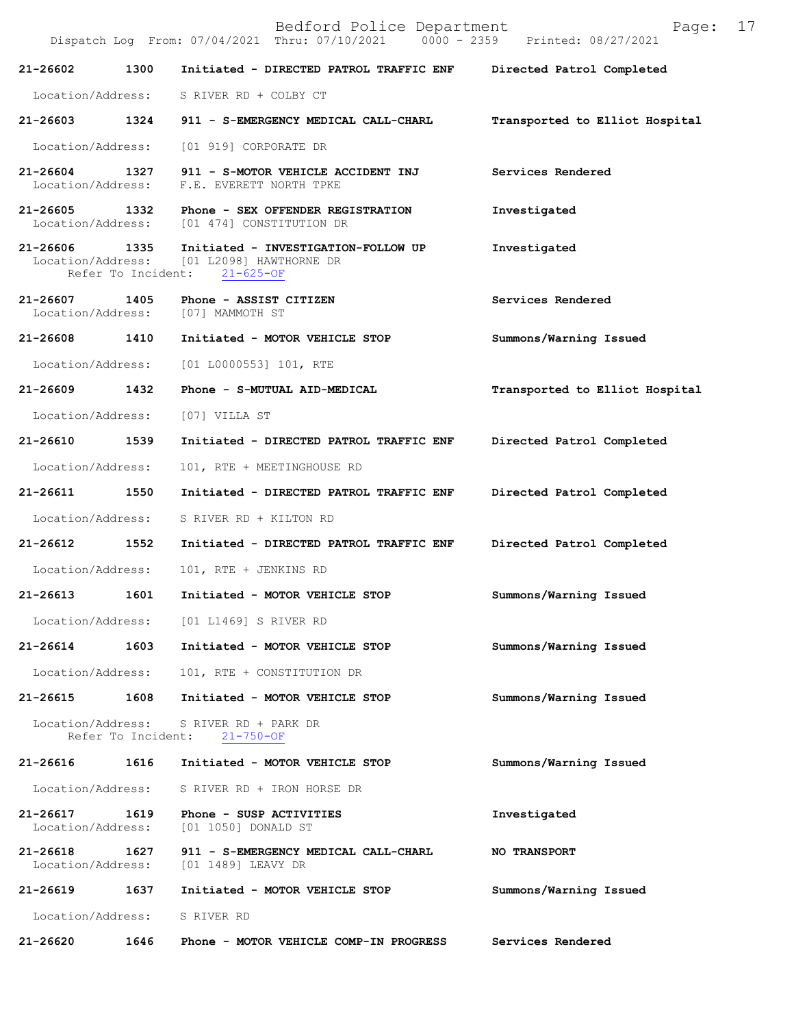Bedford Police Department Page: 17 Dispatch Log From: 07/04/2021 Thru: 07/10/2021 **21-26602 1300 Initiated - DIRECTED PATROL TRAFFIC ENF Directed Patrol Completed**  Location/Address: S RIVER RD + COLBY CT **21-26603 1324 911 - S-EMERGENCY MEDICAL CALL-CHARL Transported to Elliot Hospital** Location/Address: [01 919] CORPORATE DR **21-26604 1327 911 - S-MOTOR VEHICLE ACCIDENT INJ Services Rendered**  Location/Address: F.E. EVERETT NORTH TPKE **21-26605 1332 Phone - SEX OFFENDER REGISTRATION Investigated**  Location/Address: [01 474] CONSTITUTION DR **21-26606 1335 Initiated - INVESTIGATION-FOLLOW UP Investigated**   $[01 L2098]$  HAWTHORNE DR<br>nt:  $21-625-OF$ Refer To Incident: **21-26607 1405 Phone - ASSIST CITIZEN Services Rendered**  Location/Address: [07] MAMMOTH ST **21-26608 1410 Initiated - MOTOR VEHICLE STOP Summons/Warning Issued**  Location/Address: [01 L0000553] 101, RTE **21-26609 1432 Phone - S-MUTUAL AID-MEDICAL Transported to Elliot Hospital** Location/Address: [07] VILLA ST **21-26610 1539 Initiated - DIRECTED PATROL TRAFFIC ENF Directed Patrol Completed**  Location/Address: 101, RTE + MEETINGHOUSE RD **21-26611 1550 Initiated - DIRECTED PATROL TRAFFIC ENF Directed Patrol Completed**  Location/Address: S RIVER RD + KILTON RD **21-26612 1552 Initiated - DIRECTED PATROL TRAFFIC ENF Directed Patrol Completed**  Location/Address: 101, RTE + JENKINS RD **21-26613 1601 Initiated - MOTOR VEHICLE STOP Summons/Warning Issued**  Location/Address: [01 L1469] S RIVER RD **21-26614 1603 Initiated - MOTOR VEHICLE STOP Summons/Warning Issued**  Location/Address: 101, RTE + CONSTITUTION DR **21-26615 1608 Initiated - MOTOR VEHICLE STOP Summons/Warning Issued**  Location/Address: S RIVER RD + PARK DR Refer To Incident: 21-750-OF **21-26616 1616 Initiated - MOTOR VEHICLE STOP Summons/Warning Issued**  Location/Address: S RIVER RD + IRON HORSE DR **21-26617 1619 Phone - SUSP ACTIVITIES Investigated**  Location/Address: [01 1050] DONALD ST **21-26618 1627 911 - S-EMERGENCY MEDICAL CALL-CHARL NO TRANSPORT**  Location/Address: [01 1489] LEAVY DR **21-26619 1637 Initiated - MOTOR VEHICLE STOP Summons/Warning Issued**  Location/Address: S RIVER RD

**21-26620 1646 Phone - MOTOR VEHICLE COMP-IN PROGRESS Services Rendered**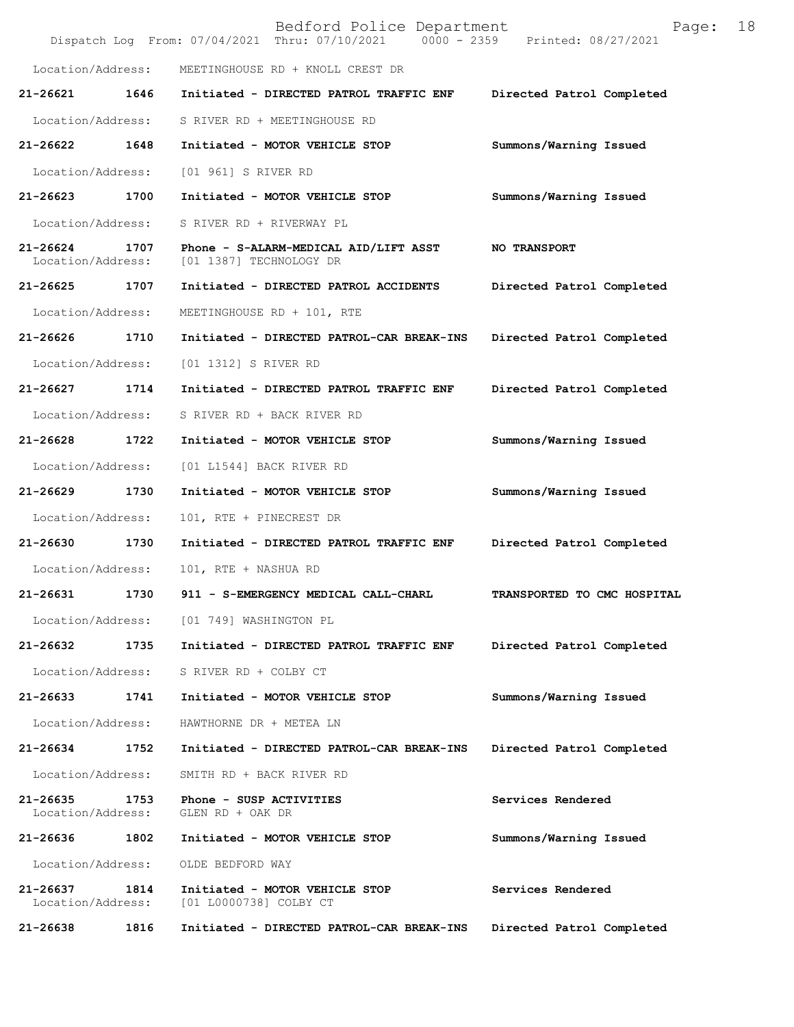|                               |      | Bedford Police Department<br>Dispatch Log From: 07/04/2021 Thru: 07/10/2021 0000 - 2359 Printed: 08/27/2021 | 18<br>Page:                 |
|-------------------------------|------|-------------------------------------------------------------------------------------------------------------|-----------------------------|
| Location/Address:             |      | MEETINGHOUSE RD + KNOLL CREST DR                                                                            |                             |
| 21-26621                      | 1646 | Initiated - DIRECTED PATROL TRAFFIC ENF                                                                     | Directed Patrol Completed   |
| Location/Address:             |      | S RIVER RD + MEETINGHOUSE RD                                                                                |                             |
| 21-26622                      | 1648 | Initiated - MOTOR VEHICLE STOP                                                                              | Summons/Warning Issued      |
| Location/Address:             |      | [01 961] S RIVER RD                                                                                         |                             |
| 21-26623 1700                 |      | Initiated - MOTOR VEHICLE STOP                                                                              | Summons/Warning Issued      |
| Location/Address:             |      | S RIVER RD + RIVERWAY PL                                                                                    |                             |
| 21-26624<br>Location/Address: | 1707 | Phone - S-ALARM-MEDICAL AID/LIFT ASST<br>[01 1387] TECHNOLOGY DR                                            | <b>NO TRANSPORT</b>         |
| 21-26625                      | 1707 | Initiated - DIRECTED PATROL ACCIDENTS                                                                       | Directed Patrol Completed   |
| Location/Address:             |      | MEETINGHOUSE RD + 101, RTE                                                                                  |                             |
| 21-26626                      | 1710 | Initiated - DIRECTED PATROL-CAR BREAK-INS                                                                   | Directed Patrol Completed   |
| Location/Address:             |      | [01 1312] S RIVER RD                                                                                        |                             |
| 21-26627                      | 1714 | Initiated - DIRECTED PATROL TRAFFIC ENF                                                                     | Directed Patrol Completed   |
| Location/Address:             |      | S RIVER RD + BACK RIVER RD                                                                                  |                             |
| 21-26628                      | 1722 | Initiated - MOTOR VEHICLE STOP                                                                              | Summons/Warning Issued      |
| Location/Address:             |      | [01 L1544] BACK RIVER RD                                                                                    |                             |
| 21-26629                      | 1730 | Initiated - MOTOR VEHICLE STOP                                                                              | Summons/Warning Issued      |
| Location/Address:             |      | 101, RTE + PINECREST DR                                                                                     |                             |
| 21-26630                      | 1730 | Initiated - DIRECTED PATROL TRAFFIC ENF                                                                     | Directed Patrol Completed   |
| Location/Address:             |      | 101, RTE + NASHUA RD                                                                                        |                             |
| 21-26631                      | 1730 | 911 - S-EMERGENCY MEDICAL CALL-CHARL                                                                        | TRANSPORTED TO CMC HOSPITAL |
| Location/Address:             |      | [01 749] WASHINGTON PL                                                                                      |                             |
| 21-26632                      | 1735 | Initiated - DIRECTED PATROL TRAFFIC ENF                                                                     | Directed Patrol Completed   |
| Location/Address:             |      | S RIVER RD + COLBY CT                                                                                       |                             |
| $21 - 26633$                  | 1741 | Initiated - MOTOR VEHICLE STOP                                                                              | Summons/Warning Issued      |
| Location/Address:             |      | HAWTHORNE DR + METEA LN                                                                                     |                             |
| 21-26634                      | 1752 | Initiated - DIRECTED PATROL-CAR BREAK-INS                                                                   | Directed Patrol Completed   |
| Location/Address:             |      | SMITH RD + BACK RIVER RD                                                                                    |                             |
| 21-26635<br>Location/Address: | 1753 | Phone - SUSP ACTIVITIES<br>GLEN RD + OAK DR                                                                 | Services Rendered           |
| 21-26636                      | 1802 | Initiated - MOTOR VEHICLE STOP                                                                              | Summons/Warning Issued      |
| Location/Address:             |      | OLDE BEDFORD WAY                                                                                            |                             |
| 21-26637<br>Location/Address: | 1814 | Initiated - MOTOR VEHICLE STOP<br>[01 L0000738] COLBY CT                                                    | Services Rendered           |
| 21-26638                      | 1816 | Initiated - DIRECTED PATROL-CAR BREAK-INS                                                                   | Directed Patrol Completed   |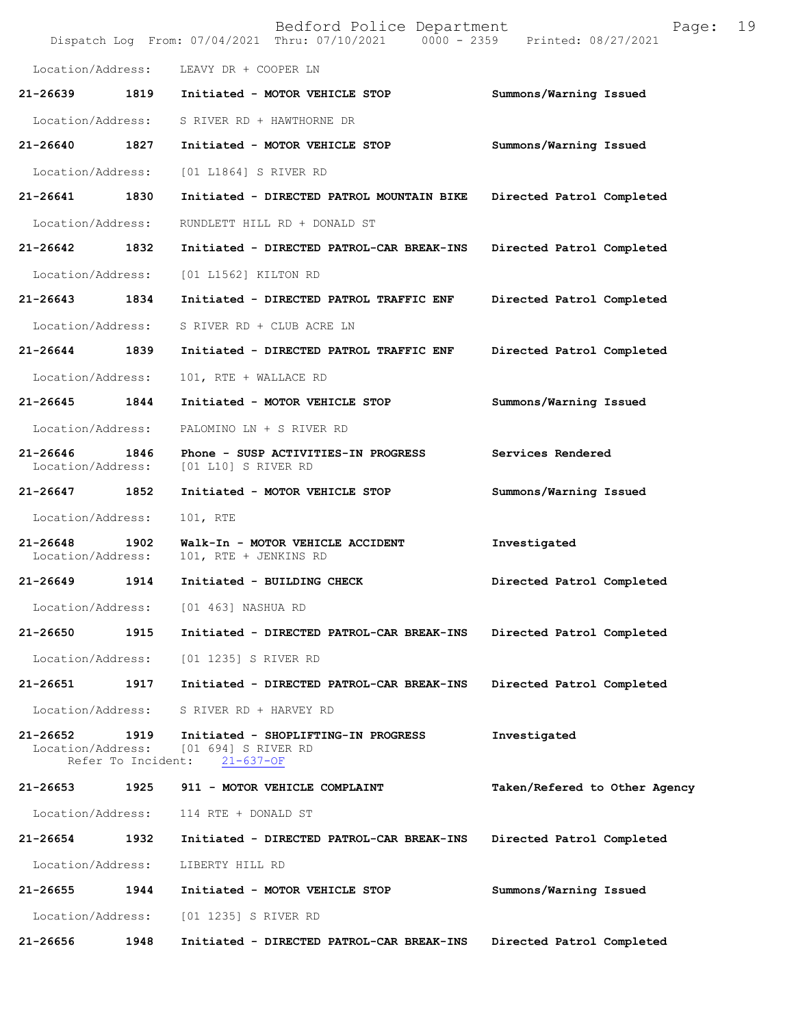|                                   |                            | Bedford Police Department<br>Dispatch Log From: 07/04/2021 Thru: 07/10/2021 0000 - 2359 | 19<br>Page:<br>Printed: 08/27/2021 |
|-----------------------------------|----------------------------|-----------------------------------------------------------------------------------------|------------------------------------|
| Location/Address:                 |                            | LEAVY DR + COOPER LN                                                                    |                                    |
| 21-26639                          | 1819                       | Initiated - MOTOR VEHICLE STOP                                                          | Summons/Warning Issued             |
| Location/Address:                 |                            | S RIVER RD + HAWTHORNE DR                                                               |                                    |
| 21-26640                          | 1827                       | Initiated - MOTOR VEHICLE STOP                                                          | Summons/Warning Issued             |
| Location/Address:                 |                            | [01 L1864] S RIVER RD                                                                   |                                    |
| 21-26641                          | 1830                       | Initiated - DIRECTED PATROL MOUNTAIN BIKE                                               | Directed Patrol Completed          |
| Location/Address:                 |                            | RUNDLETT HILL RD + DONALD ST                                                            |                                    |
| 21-26642                          | 1832                       | Initiated - DIRECTED PATROL-CAR BREAK-INS                                               | Directed Patrol Completed          |
| Location/Address:                 |                            | [01 L1562] KILTON RD                                                                    |                                    |
| 21-26643                          | 1834                       | Initiated - DIRECTED PATROL TRAFFIC ENF                                                 | Directed Patrol Completed          |
| Location/Address:                 |                            | S RIVER RD + CLUB ACRE LN                                                               |                                    |
| 21-26644                          | 1839                       | Initiated - DIRECTED PATROL TRAFFIC ENF                                                 | Directed Patrol Completed          |
| Location/Address:                 |                            | 101, RTE + WALLACE RD                                                                   |                                    |
| 21-26645                          | 1844                       | Initiated - MOTOR VEHICLE STOP                                                          | Summons/Warning Issued             |
| Location/Address:                 |                            | PALOMINO LN + S RIVER RD                                                                |                                    |
| $21 - 26646$<br>Location/Address: | 1846                       | Phone - SUSP ACTIVITIES-IN PROGRESS<br>[01 L10] S RIVER RD                              | Services Rendered                  |
| 21-26647                          | 1852                       | Initiated - MOTOR VEHICLE STOP                                                          | Summons/Warning Issued             |
| Location/Address:                 |                            | 101, RTE                                                                                |                                    |
| $21 - 26648$<br>Location/Address: | 1902                       | Walk-In - MOTOR VEHICLE ACCIDENT<br>101, RTE + JENKINS RD                               | Investigated                       |
| 21-26649                          | 1914                       | Initiated - BUILDING CHECK                                                              | Directed Patrol Completed          |
| Location/Address:                 |                            | [01 463] NASHUA RD                                                                      |                                    |
| $21 - 26650$                      | 1915                       | Initiated - DIRECTED PATROL-CAR BREAK-INS                                               | Directed Patrol Completed          |
| Location/Address:                 |                            | [01 1235] S RIVER RD                                                                    |                                    |
| 21-26651                          | 1917                       | Initiated - DIRECTED PATROL-CAR BREAK-INS                                               | Directed Patrol Completed          |
| Location/Address:                 |                            | S RIVER RD + HARVEY RD                                                                  |                                    |
| $21 - 26652$<br>Location/Address: | 1919<br>Refer To Incident: | Initiated - SHOPLIFTING-IN PROGRESS<br>[01 694] S RIVER RD<br>$21 - 637 - OF$           | Investigated                       |
| 21-26653                          | 1925                       | 911 - MOTOR VEHICLE COMPLAINT                                                           | Taken/Refered to Other Agency      |
| Location/Address:                 |                            | 114 RTE + DONALD ST                                                                     |                                    |
| 21-26654                          | 1932                       | Initiated - DIRECTED PATROL-CAR BREAK-INS                                               | Directed Patrol Completed          |
| Location/Address:                 |                            | LIBERTY HILL RD                                                                         |                                    |
| 21-26655                          | 1944                       | Initiated - MOTOR VEHICLE STOP                                                          | Summons/Warning Issued             |
| Location/Address:                 |                            | [01 1235] S RIVER RD                                                                    |                                    |
| 21-26656                          | 1948                       | Initiated - DIRECTED PATROL-CAR BREAK-INS                                               | Directed Patrol Completed          |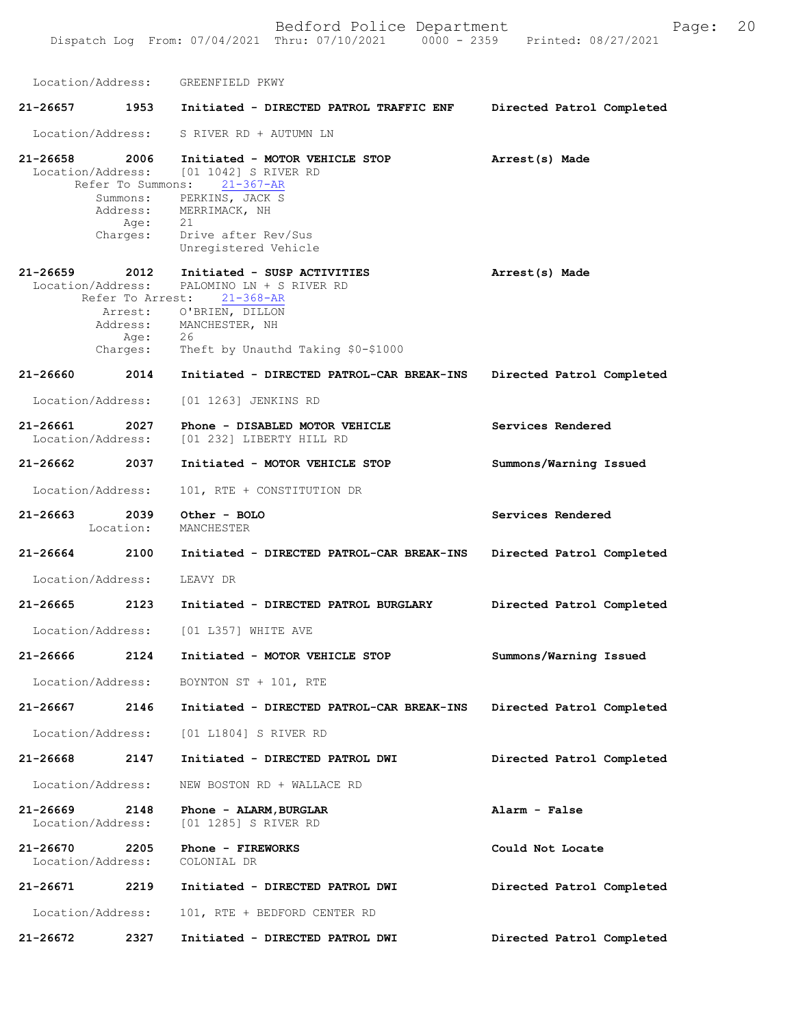Location/Address: GREENFIELD PKWY **21-26657 1953 Initiated - DIRECTED PATROL TRAFFIC ENF Directed Patrol Completed**  Location/Address: S RIVER RD + AUTUMN LN **21-26658 2006 Initiated - MOTOR VEHICLE STOP Arrest(s) Made**  Location/Address: [01 1042] S RIVER RD<br>Refer To Summons: 21-367-AR Refer To Summons: **21-26659 2012 Initiated - SUSP ACTIVITIES Arrest(s) Made**  Location/Address: PALOMINO LN + S RIVER RD Refer To Arrest: 21-368-AR **Directed Patrol Completed 21-26660 2014 Initiated - DIRECTED PATROL-CAR BREAK-INS Services Rendered Summons/Warning Issued Services Rendered Directed Patrol Completed 21-26664 2100 Initiated - DIRECTED PATROL-CAR BREAK-INS Directed Patrol Completed Summons/Warning Issued Directed Patrol Completed Directed Patrol Completed Alarm - False Could Not Locate Directed Patrol Completed Directed Patrol Completed**  Summons: PERKINS, JACK S Address: MERRIMACK, NH Age: 21 Charges: Drive after Rev/Sus Unregistered Vehicle Arrest: O'BRIEN, DILLON Address: MANCHESTER, NH<br>Age: 26 Age : Charges: Theft by Unauthd Taking \$0-\$1000 Location/Address: [01 1263] JENKINS RD **21-26661 2027 Phone - DISABLED MOTOR VEHICLE** Location/Address: [01 232] LIBERTY HILL RD **21-26662 2037 Initiated - MOTOR VEHICLE STOP** Location/Address: 101, RTE + CONSTITUTION DR **21-26663 2039 Other - BOLO** Location: MANCHESTER Location/Address: LEAVY DR **21-26665 2123 Initiated - DIRECTED PATROL BURGLARY** Location/Address: [01 L357] WHITE AVE **21-26666 2124 Initiated - MOTOR VEHICLE STOP** Location/Address: BOYNTON ST + 101, RTE **21-26667 2146 Initiated - DIRECTED PATROL-CAR BREAK-INS** Location/Address: [01 L1804] S RIVER RD **21-26668 2147 Initiated - DIRECTED PATROL DWI** Location/Address: NEW BOSTON RD + WALLACE RD **21-26669 2148 Phone - ALARM,BURGLAR** Location/Address: [01 1285] S RIVER RD **21-26670 2205 Phone - FIREWORKS** Location/Address: **21-26671 2219 Initiated - DIRECTED PATROL DWI** Location/Address: 101, RTE + BEDFORD CENTER RD **21-26672 2327 Initiated - DIRECTED PATROL DWI**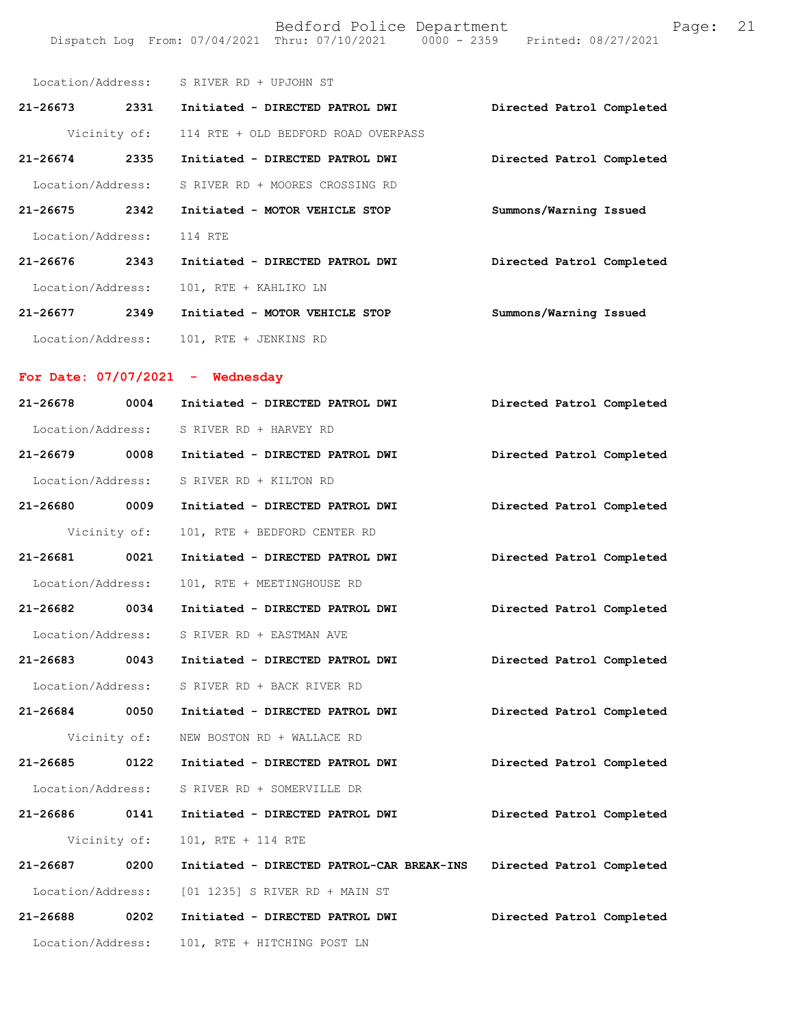| Location/Address:    | S RIVER RD + UPJOHN ST              |                           |
|----------------------|-------------------------------------|---------------------------|
| $21 - 26673$<br>2331 | Initiated - DIRECTED PATROL DWI     | Directed Patrol Completed |
| Vicinity of:         | 114 RTE + OLD BEDFORD ROAD OVERPASS |                           |
| $21 - 26674$<br>2335 | Initiated - DIRECTED PATROL DWI     | Directed Patrol Completed |
| Location/Address:    | S RIVER RD + MOORES CROSSING RD     |                           |
| 21-26675<br>2342     | Initiated - MOTOR VEHICLE STOP      | Summons/Warning Issued    |
| Location/Address:    | 114 RTE                             |                           |
| $21 - 26676$<br>2343 | Initiated - DIRECTED PATROL DWI     | Directed Patrol Completed |
| Location/Address:    | 101, RTE + KAHLIKO LN               |                           |
| $21 - 26677$<br>2349 | Initiated - MOTOR VEHICLE STOP      | Summons/Warning Issued    |
| Location/Address:    | 101, RTE + JENKINS RD               |                           |

Dispatch Log From: 07/04/2021 Thru: 07/10/2021 0000 - 2359 Printed: 08/27/2021

### **For Date: 07/07/2021 - Wednesday**

| 21-26678          | 0004         | Initiated - DIRECTED PATROL DWI           | Directed Patrol Completed |
|-------------------|--------------|-------------------------------------------|---------------------------|
| Location/Address: |              | S RIVER RD + HARVEY RD                    |                           |
| 21-26679 0008     |              | Initiated - DIRECTED PATROL DWI           | Directed Patrol Completed |
| Location/Address: |              | S RIVER RD + KILTON RD                    |                           |
| 21-26680 0009     |              | Initiated - DIRECTED PATROL DWI           | Directed Patrol Completed |
|                   | Vicinity of: | 101, RTE + BEDFORD CENTER RD              |                           |
| 21-26681 0021     |              | Initiated - DIRECTED PATROL DWI           | Directed Patrol Completed |
| Location/Address: |              | 101, RTE + MEETINGHOUSE RD                |                           |
| 21-26682 0034     |              | Initiated - DIRECTED PATROL DWI           | Directed Patrol Completed |
| Location/Address: |              | S RIVER RD + EASTMAN AVE                  |                           |
| 21-26683 0043     |              | Initiated - DIRECTED PATROL DWI           | Directed Patrol Completed |
| Location/Address: |              | S RIVER RD + BACK RIVER RD                |                           |
| 21-26684 0050     |              | Initiated - DIRECTED PATROL DWI           | Directed Patrol Completed |
|                   | Vicinity of: | NEW BOSTON RD + WALLACE RD                |                           |
| $21 - 26685$ 0122 |              | Initiated - DIRECTED PATROL DWI           | Directed Patrol Completed |
| Location/Address: |              | S RIVER RD + SOMERVILLE DR                |                           |
| 21-26686 0141     |              | Initiated - DIRECTED PATROL DWI           | Directed Patrol Completed |
|                   | Vicinity of: | 101, RTE + 114 RTE                        |                           |
| 21-26687 0200     |              | Initiated - DIRECTED PATROL-CAR BREAK-INS | Directed Patrol Completed |
| Location/Address: |              | [01 1235] S RIVER RD + MAIN ST            |                           |
| 21-26688 0202     |              | Initiated - DIRECTED PATROL DWI           | Directed Patrol Completed |
| Location/Address: |              | 101, RTE + HITCHING POST LN               |                           |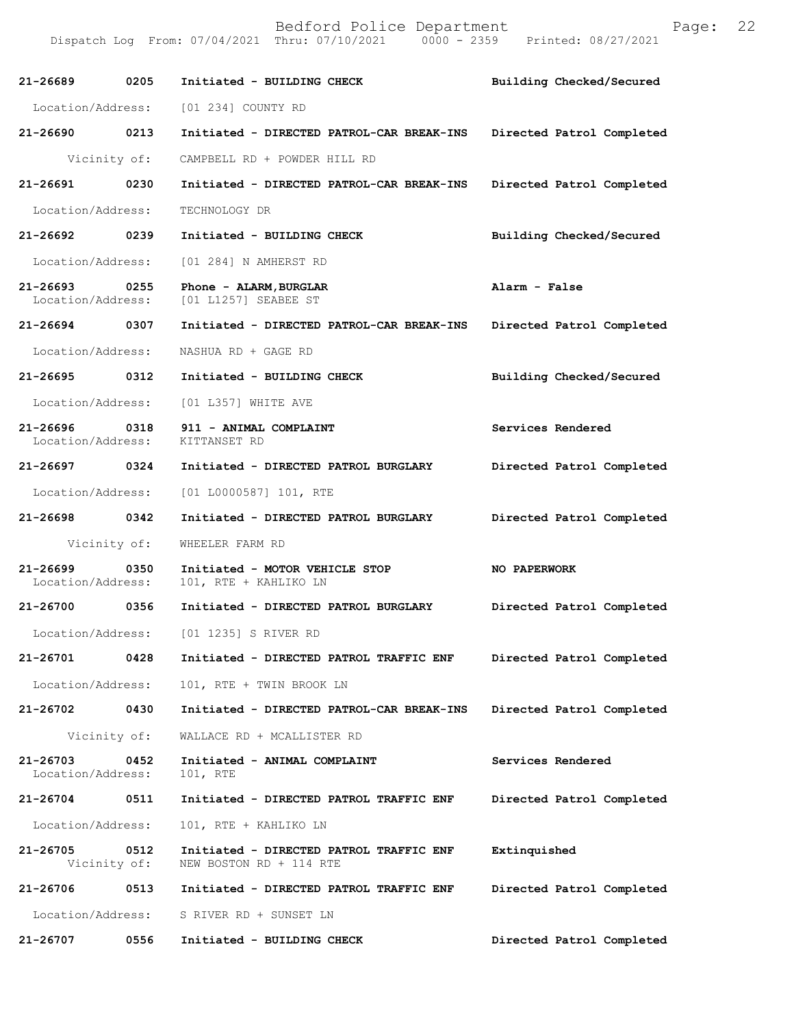| 21-26689 0205                      |      | Initiated - BUILDING CHECK                                         | Building Checked/Secured  |
|------------------------------------|------|--------------------------------------------------------------------|---------------------------|
|                                    |      | Location/Address: [01 234] COUNTY RD                               |                           |
| 21-26690 0213                      |      | Initiated - DIRECTED PATROL-CAR BREAK-INS                          | Directed Patrol Completed |
| Vicinity of:                       |      | CAMPBELL RD + POWDER HILL RD                                       |                           |
| 21-26691 0230                      |      | Initiated - DIRECTED PATROL-CAR BREAK-INS                          | Directed Patrol Completed |
| Location/Address:                  |      | TECHNOLOGY DR                                                      |                           |
| 21-26692 0239                      |      | Initiated - BUILDING CHECK                                         | Building Checked/Secured  |
| Location/Address:                  |      | [01 284] N AMHERST RD                                              |                           |
| 21-26693 0255<br>Location/Address: |      | Phone - ALARM, BURGLAR<br>[01 L1257] SEABEE ST                     | Alarm - False             |
| 21-26694 0307                      |      | Initiated - DIRECTED PATROL-CAR BREAK-INS                          | Directed Patrol Completed |
| Location/Address:                  |      | NASHUA RD + GAGE RD                                                |                           |
| 21-26695 0312                      |      | Initiated - BUILDING CHECK                                         | Building Checked/Secured  |
| Location/Address:                  |      | [01 L357] WHITE AVE                                                |                           |
| 21-26696 0318<br>Location/Address: |      | 911 - ANIMAL COMPLAINT<br>KITTANSET RD                             | Services Rendered         |
| 21-26697 0324                      |      | Initiated - DIRECTED PATROL BURGLARY                               | Directed Patrol Completed |
| Location/Address:                  |      | $[01 L0000587] 101$ , RTE                                          |                           |
| 21-26698 0342                      |      | Initiated - DIRECTED PATROL BURGLARY                               | Directed Patrol Completed |
| Vicinity of:                       |      | WHEELER FARM RD                                                    |                           |
| 21-26699<br>Location/Address:      | 0350 | Initiated - MOTOR VEHICLE STOP<br>101, RTE + KAHLIKO LN            | NO PAPERWORK              |
| 21-26700 0356                      |      | Initiated - DIRECTED PATROL BURGLARY                               | Directed Patrol Completed |
|                                    |      | Location/Address: [01 1235] S RIVER RD                             |                           |
| 21-26701                           | 0428 | Initiated - DIRECTED PATROL TRAFFIC ENF                            | Directed Patrol Completed |
| Location/Address:                  |      | 101, RTE + TWIN BROOK LN                                           |                           |
| 21-26702                           | 0430 | Initiated - DIRECTED PATROL-CAR BREAK-INS                          | Directed Patrol Completed |
| Vicinity of:                       |      | WALLACE RD + MCALLISTER RD                                         |                           |
| 21-26703<br>Location/Address:      | 0452 | Initiated - ANIMAL COMPLAINT<br>101, RTE                           | Services Rendered         |
| $21 - 26704$                       | 0511 | Initiated - DIRECTED PATROL TRAFFIC ENF                            | Directed Patrol Completed |
| Location/Address:                  |      | 101, RTE + KAHLIKO LN                                              |                           |
| 21-26705<br>Vicinity of:           | 0512 | Initiated - DIRECTED PATROL TRAFFIC ENF<br>NEW BOSTON RD + 114 RTE | Extinquished              |
| 21-26706                           | 0513 | Initiated - DIRECTED PATROL TRAFFIC ENF                            | Directed Patrol Completed |
|                                    |      |                                                                    |                           |
| Location/Address:                  |      | S RIVER RD + SUNSET LN                                             |                           |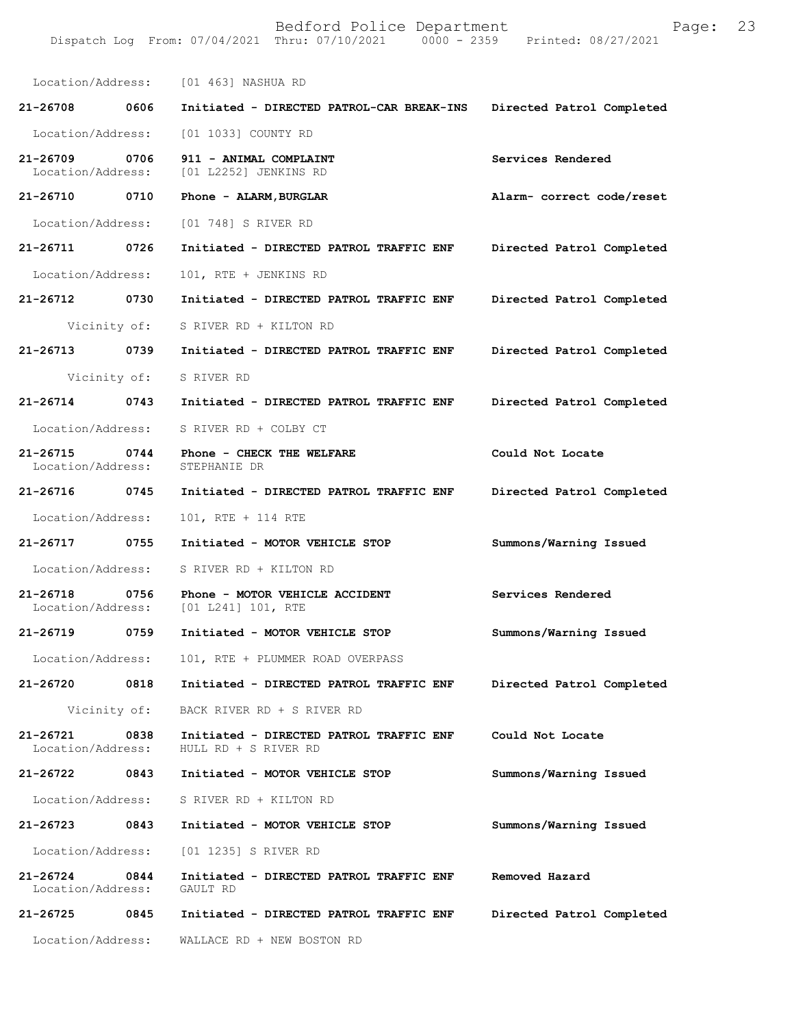|                                   |      | Location/Address: [01 463] NASHUA RD                            |                           |
|-----------------------------------|------|-----------------------------------------------------------------|---------------------------|
| 21-26708                          | 0606 | Initiated - DIRECTED PATROL-CAR BREAK-INS                       | Directed Patrol Completed |
| Location/Address:                 |      | [01 1033] COUNTY RD                                             |                           |
| $21 - 26709$<br>Location/Address: | 0706 | 911 - ANIMAL COMPLAINT<br>[01 L2252] JENKINS RD                 | Services Rendered         |
| 21-26710 0710                     |      | Phone - ALARM, BURGLAR                                          | Alarm- correct code/reset |
| Location/Address:                 |      | [01 748] S RIVER RD                                             |                           |
| 21-26711                          | 0726 | Initiated - DIRECTED PATROL TRAFFIC ENF                         | Directed Patrol Completed |
| Location/Address:                 |      | 101, RTE + JENKINS RD                                           |                           |
| 21-26712                          | 0730 | Initiated - DIRECTED PATROL TRAFFIC ENF                         | Directed Patrol Completed |
| Vicinity of:                      |      | S RIVER RD + KILTON RD                                          |                           |
| 21-26713                          | 0739 | Initiated - DIRECTED PATROL TRAFFIC ENF                         | Directed Patrol Completed |
| Vicinity of:                      |      | S RIVER RD                                                      |                           |
| $21 - 26714$                      | 0743 | Initiated - DIRECTED PATROL TRAFFIC ENF                         | Directed Patrol Completed |
| Location/Address:                 |      | S RIVER RD + COLBY CT                                           |                           |
| 21-26715<br>Location/Address:     | 0744 | Phone - CHECK THE WELFARE<br>STEPHANIE DR                       | Could Not Locate          |
| 21-26716 0745                     |      | Initiated - DIRECTED PATROL TRAFFIC ENF                         | Directed Patrol Completed |
| Location/Address:                 |      | 101, RTE + 114 RTE                                              |                           |
| 21-26717                          | 0755 | Initiated - MOTOR VEHICLE STOP                                  | Summons/Warning Issued    |
| Location/Address:                 |      | S RIVER RD + KILTON RD                                          |                           |
| 21-26718<br>Location/Address:     | 0756 | Phone - MOTOR VEHICLE ACCIDENT<br>[01 L241] 101, RTE            | Services Rendered         |
| $21 - 26719$                      | 0759 | Initiated - MOTOR VEHICLE STOP                                  | Summons/Warning Issued    |
| Location/Address:                 |      | 101, RTE + PLUMMER ROAD OVERPASS                                |                           |
| 21-26720                          | 0818 | Initiated - DIRECTED PATROL TRAFFIC ENF                         | Directed Patrol Completed |
| Vicinity of:                      |      | BACK RIVER RD + S RIVER RD                                      |                           |
| 21-26721<br>Location/Address:     | 0838 | Initiated - DIRECTED PATROL TRAFFIC ENF<br>HULL RD + S RIVER RD | Could Not Locate          |
| 21-26722                          | 0843 | Initiated - MOTOR VEHICLE STOP                                  | Summons/Warning Issued    |
| Location/Address:                 |      | S RIVER RD + KILTON RD                                          |                           |
| 21-26723                          | 0843 | Initiated - MOTOR VEHICLE STOP                                  | Summons/Warning Issued    |
| Location/Address:                 |      | [01 1235] S RIVER RD                                            |                           |
| 21-26724<br>Location/Address:     | 0844 | Initiated - DIRECTED PATROL TRAFFIC ENF<br>GAULT RD             | Removed Hazard            |
| 21-26725                          | 0845 | Initiated - DIRECTED PATROL TRAFFIC ENF                         | Directed Patrol Completed |
| Location/Address:                 |      | WALLACE RD + NEW BOSTON RD                                      |                           |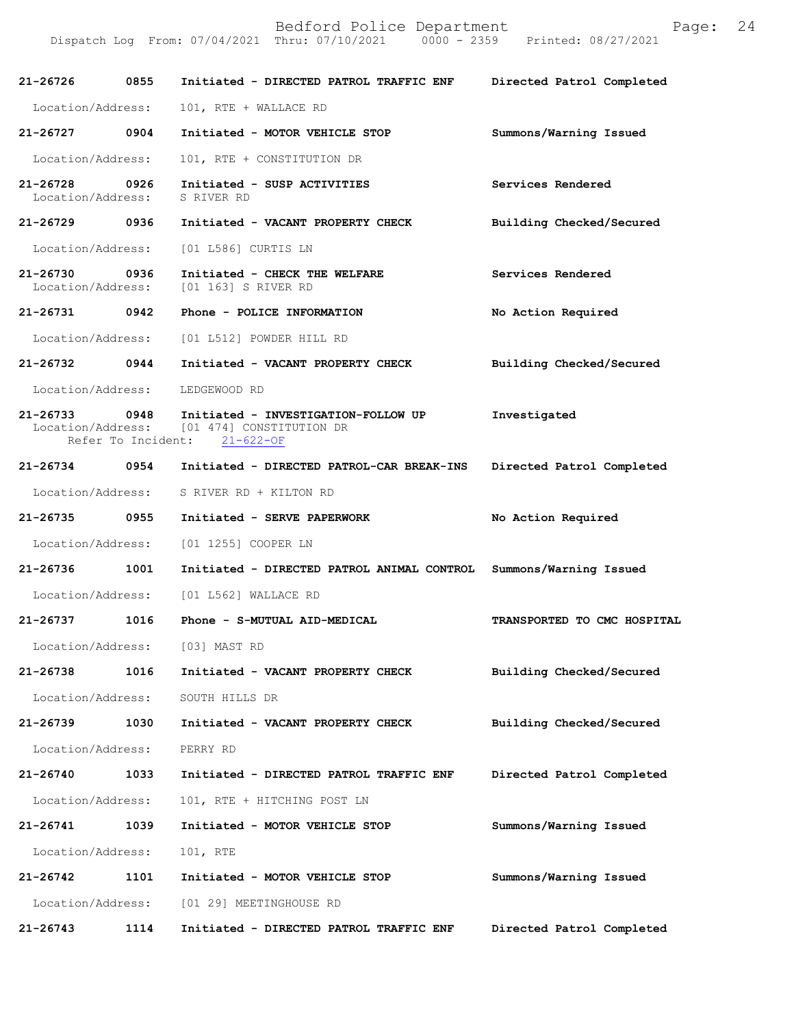| 21-26726 0855                     |      | Initiated - DIRECTED PATROL TRAFFIC ENF                                                              | Directed Patrol Completed   |
|-----------------------------------|------|------------------------------------------------------------------------------------------------------|-----------------------------|
| Location/Address:                 |      | 101, RTE + WALLACE RD                                                                                |                             |
| 21-26727                          | 0904 | Initiated - MOTOR VEHICLE STOP                                                                       | Summons/Warning Issued      |
| Location/Address:                 |      | 101, RTE + CONSTITUTION DR                                                                           |                             |
| $21 - 26728$<br>Location/Address: | 0926 | Initiated - SUSP ACTIVITIES<br>S RIVER RD                                                            | Services Rendered           |
| 21-26729 0936                     |      | Initiated - VACANT PROPERTY CHECK                                                                    | Building Checked/Secured    |
| Location/Address:                 |      | [01 L586] CURTIS LN                                                                                  |                             |
| 21-26730<br>Location/Address:     | 0936 | Initiated - CHECK THE WELFARE<br>[01 163] S RIVER RD                                                 | Services Rendered           |
| 21-26731 0942                     |      | Phone - POLICE INFORMATION                                                                           | No Action Required          |
|                                   |      | Location/Address: [01 L512] POWDER HILL RD                                                           |                             |
| 21-26732 0944                     |      | Initiated - VACANT PROPERTY CHECK                                                                    | Building Checked/Secured    |
| Location/Address:                 |      | LEDGEWOOD RD                                                                                         |                             |
| 21-26733<br>Refer To Incident:    | 0948 | Initiated - INVESTIGATION-FOLLOW UP<br>Location/Address: [01 474] CONSTITUTION DR<br>$21 - 622 - OF$ | Investigated                |
| 21-26734 0954                     |      | Initiated - DIRECTED PATROL-CAR BREAK-INS                                                            | Directed Patrol Completed   |
| Location/Address:                 |      | S RIVER RD + KILTON RD                                                                               |                             |
| 21-26735 0955                     |      | Initiated - SERVE PAPERWORK                                                                          | No Action Required          |
| Location/Address:                 |      | [01 1255] COOPER LN                                                                                  |                             |
| 21-26736                          | 1001 | Initiated - DIRECTED PATROL ANIMAL CONTROL Summons/Warning Issued                                    |                             |
| Location/Address:                 |      | [01 L562] WALLACE RD                                                                                 |                             |
| 21-26737                          | 1016 | Phone - S-MUTUAL AID-MEDICAL                                                                         | TRANSPORTED TO CMC HOSPITAL |
| Location/Address:                 |      | [03] MAST RD                                                                                         |                             |
| 21-26738                          | 1016 | Initiated - VACANT PROPERTY CHECK                                                                    | Building Checked/Secured    |
| Location/Address:                 |      | SOUTH HILLS DR                                                                                       |                             |
| 21-26739                          | 1030 | Initiated - VACANT PROPERTY CHECK                                                                    | Building Checked/Secured    |
| Location/Address:                 |      | PERRY RD                                                                                             |                             |
| 21-26740                          | 1033 | Initiated - DIRECTED PATROL TRAFFIC ENF                                                              | Directed Patrol Completed   |
| Location/Address:                 |      | 101, RTE + HITCHING POST LN                                                                          |                             |
| 21-26741                          | 1039 | Initiated - MOTOR VEHICLE STOP                                                                       | Summons/Warning Issued      |
| Location/Address:                 |      | 101, RTE                                                                                             |                             |
| 21-26742                          | 1101 | Initiated - MOTOR VEHICLE STOP                                                                       | Summons/Warning Issued      |
| Location/Address:                 |      | [01 29] MEETINGHOUSE RD                                                                              |                             |
| $21 - 26743$                      | 1114 | Initiated - DIRECTED PATROL TRAFFIC ENF                                                              | Directed Patrol Completed   |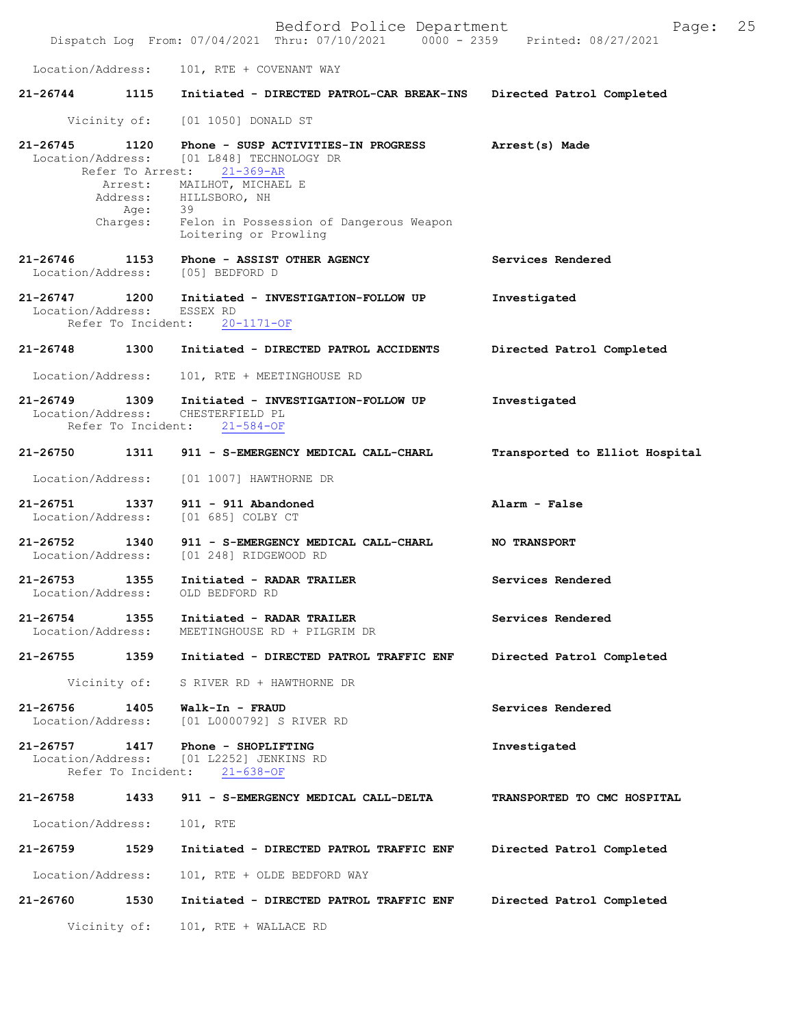|                                    |                            | Bedford Police Department<br>Dispatch Log From: 07/04/2021 Thru: 07/10/2021 0000 - 2359 Printed: 08/27/2021 | Page:                          | 25 |
|------------------------------------|----------------------------|-------------------------------------------------------------------------------------------------------------|--------------------------------|----|
| Location/Address:                  |                            | 101, RTE + COVENANT WAY                                                                                     |                                |    |
| $21 - 26744$                       | 1115                       | Initiated - DIRECTED PATROL-CAR BREAK-INS                                                                   | Directed Patrol Completed      |    |
|                                    |                            | Vicinity of: [01 1050] DONALD ST                                                                            |                                |    |
| 21-26745                           | 1120<br>Refer To Arrest:   | Phone - SUSP ACTIVITIES-IN PROGRESS<br>Location/Address: [01 L848] TECHNOLOGY DR<br>$21 - 369 - AR$         | Arrest(s) Made                 |    |
|                                    | Age:                       | Arrest: MAILHOT, MICHAEL E<br>Address: HILLSBORO, NH<br>- 39                                                |                                |    |
|                                    | Charges:                   | Felon in Possession of Dangerous Weapon<br>Loitering or Prowling                                            |                                |    |
| $21 - 26746$                       | 1153                       | Phone - ASSIST OTHER AGENCY<br>Location/Address: [05] BEDFORD D                                             | Services Rendered              |    |
| 21-26747<br>Location/Address:      | 1200<br>Refer To Incident: | Initiated - INVESTIGATION-FOLLOW UP<br>ESSEX RD<br>$20 - 1171 - OF$                                         | Investigated                   |    |
| 21-26748                           | 1300                       | Initiated - DIRECTED PATROL ACCIDENTS                                                                       | Directed Patrol Completed      |    |
| Location/Address:                  |                            | 101, RTE + MEETINGHOUSE RD                                                                                  |                                |    |
| 21-26749 1309<br>Location/Address: | Refer To Incident:         | Initiated - INVESTIGATION-FOLLOW UP<br>CHESTERFIELD PL<br>$21 - 584 - OF$                                   | Investigated                   |    |
| 21-26750 1311                      |                            | 911 - S-EMERGENCY MEDICAL CALL-CHARL                                                                        | Transported to Elliot Hospital |    |
| Location/Address:                  |                            | [01 1007] HAWTHORNE DR                                                                                      |                                |    |
| 21-26751 1337<br>Location/Address: |                            | $911 - 911$ Abandoned<br>[01 685] COLBY CT                                                                  | Alarm - False                  |    |
| 21-26752<br>Location/Address:      | 1340                       | 911 - S-EMERGENCY MEDICAL CALL-CHARL<br>[01 248] RIDGEWOOD RD                                               | <b>NO TRANSPORT</b>            |    |
| $21 - 26753$<br>Location/Address:  | 1355                       | Initiated - RADAR TRAILER<br>OLD BEDFORD RD                                                                 | Services Rendered              |    |
| 21-26754<br>Location/Address:      | 1355                       | Initiated - RADAR TRAILER<br>MEETINGHOUSE RD + PILGRIM DR                                                   | Services Rendered              |    |
| 21-26755                           | 1359                       | Initiated - DIRECTED PATROL TRAFFIC ENF                                                                     | Directed Patrol Completed      |    |
| Vicinity of:                       |                            | S RIVER RD + HAWTHORNE DR                                                                                   |                                |    |
| $21 - 26756$<br>Location/Address:  | 1405                       | Walk-In - FRAUD<br>[01 L0000792] S RIVER RD                                                                 | Services Rendered              |    |
| 21-26757<br>Location/Address:      | 1417<br>Refer To Incident: | Phone - SHOPLIFTING<br>[01 L2252] JENKINS RD<br>$21 - 638 - OF$                                             | Investigated                   |    |
| 21-26758                           | 1433                       | 911 - S-EMERGENCY MEDICAL CALL-DELTA                                                                        | TRANSPORTED TO CMC HOSPITAL    |    |
| Location/Address:                  |                            | 101, RTE                                                                                                    |                                |    |
| 21-26759                           | 1529                       | Initiated - DIRECTED PATROL TRAFFIC ENF                                                                     | Directed Patrol Completed      |    |
| Location/Address:                  |                            | 101, RTE + OLDE BEDFORD WAY                                                                                 |                                |    |
| 21-26760                           | 1530                       | Initiated - DIRECTED PATROL TRAFFIC ENF                                                                     | Directed Patrol Completed      |    |
|                                    | Vicinity of:               | 101, RTE + WALLACE RD                                                                                       |                                |    |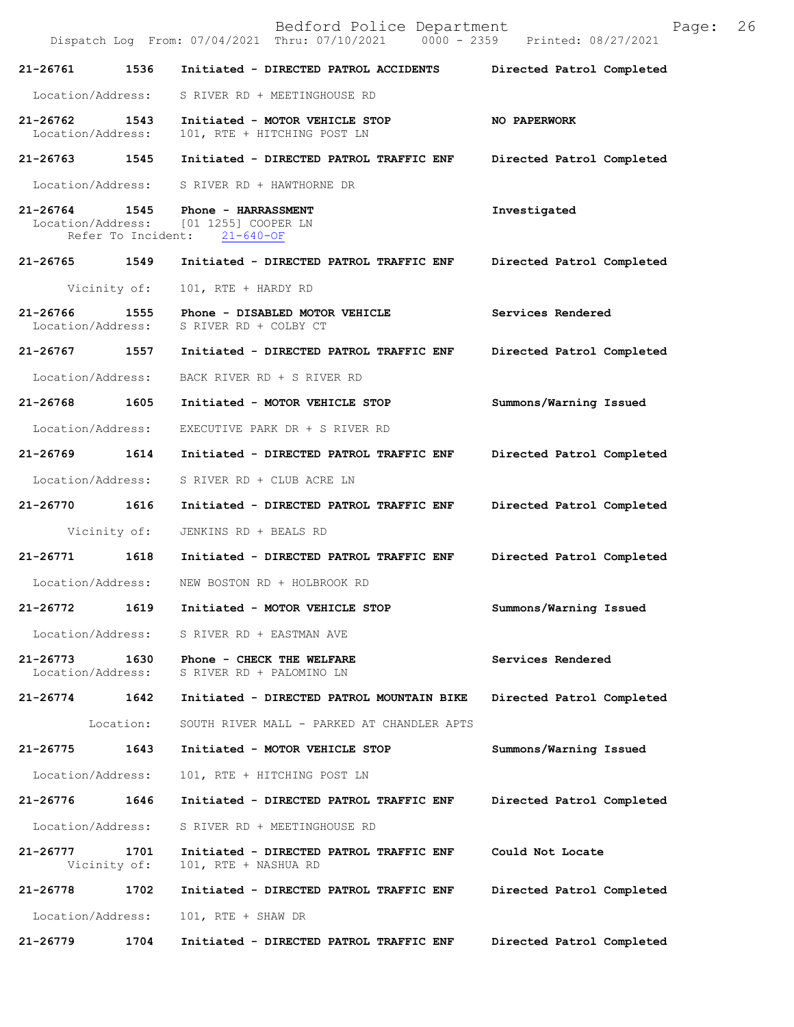Bedford Police Department Page: 26 Dispatch Log From: 07/04/2021 Thru: 07/10/2021 **21-26761 1536 Initiated - DIRECTED PATROL ACCIDENTS Directed Patrol Completed**  Location/Address: S RIVER RD + MEETINGHOUSE RD **21-26762 1543 Initiated - MOTOR VEHICLE STOP NO PAPERWORK**  101, RTE + HITCHING POST LN **21-26763 1545 Initiated - DIRECTED PATROL TRAFFIC ENF Directed Patrol Completed**  Location/Address: S RIVER RD + HAWTHORNE DR **21-26764 1545 Phone - HARRASSMENT Investigated**  Location/Address: [01 1255] COOPER LN<br>Refer To Incident: 21-640-OF Refer To Incident: **21-26765 1549 Initiated - DIRECTED PATROL TRAFFIC ENF Directed Patrol Completed**  Vicinity of: 101, RTE + HARDY RD **21-26766 1555 Phone - DISABLED MOTOR VEHICLE Services Rendered**  Location/Address: S RIVER RD + COLBY CT **21-26767 1557 Initiated - DIRECTED PATROL TRAFFIC ENF Directed Patrol Completed**  Location/Address: BACK RIVER RD + S RIVER RD **21-26768 1605 Initiated - MOTOR VEHICLE STOP Summons/Warning Issued**  Location/Address: EXECUTIVE PARK DR + S RIVER RD **21-26769 1614 Initiated - DIRECTED PATROL TRAFFIC ENF Directed Patrol Completed**  Location/Address: S RIVER RD + CLUB ACRE LN **21-26770 1616 Initiated - DIRECTED PATROL TRAFFIC ENF Directed Patrol Completed**  Vicinity of: JENKINS RD + BEALS RD **21-26771 1618 Initiated - DIRECTED PATROL TRAFFIC ENF Directed Patrol Completed**  Location/Address: NEW BOSTON RD + HOLBROOK RD **21-26772 1619 Initiated - MOTOR VEHICLE STOP Summons/Warning Issued**  Location/Address: S RIVER RD + EASTMAN AVE **21-26773 1630 Phone - CHECK THE WELFARE Services Rendered**  Location/Address: S RIVER RD + PALOMINO LN **21-26774 1642 Initiated - DIRECTED PATROL MOUNTAIN BIKE Directed Patrol Completed**  Location: SOUTH RIVER MALL - PARKED AT CHANDLER APTS **21-26775 1643 Initiated - MOTOR VEHICLE STOP Summons/Warning Issued**  Location/Address: 101, RTE + HITCHING POST LN **21-26776 1646 Initiated - DIRECTED PATROL TRAFFIC ENF Directed Patrol Completed**  Location/Address: S RIVER RD + MEETINGHOUSE RD **21-26777 1701 Initiated - DIRECTED PATROL TRAFFIC ENF Could Not Locate**  Vicinity of: 101, RTE + NASHUA RD **21-26778 1702 Initiated - DIRECTED PATROL TRAFFIC ENF Directed Patrol Completed**  Location/Address: 101, RTE + SHAW DR **21-26779 1704 Initiated - DIRECTED PATROL TRAFFIC ENF Directed Patrol Completed**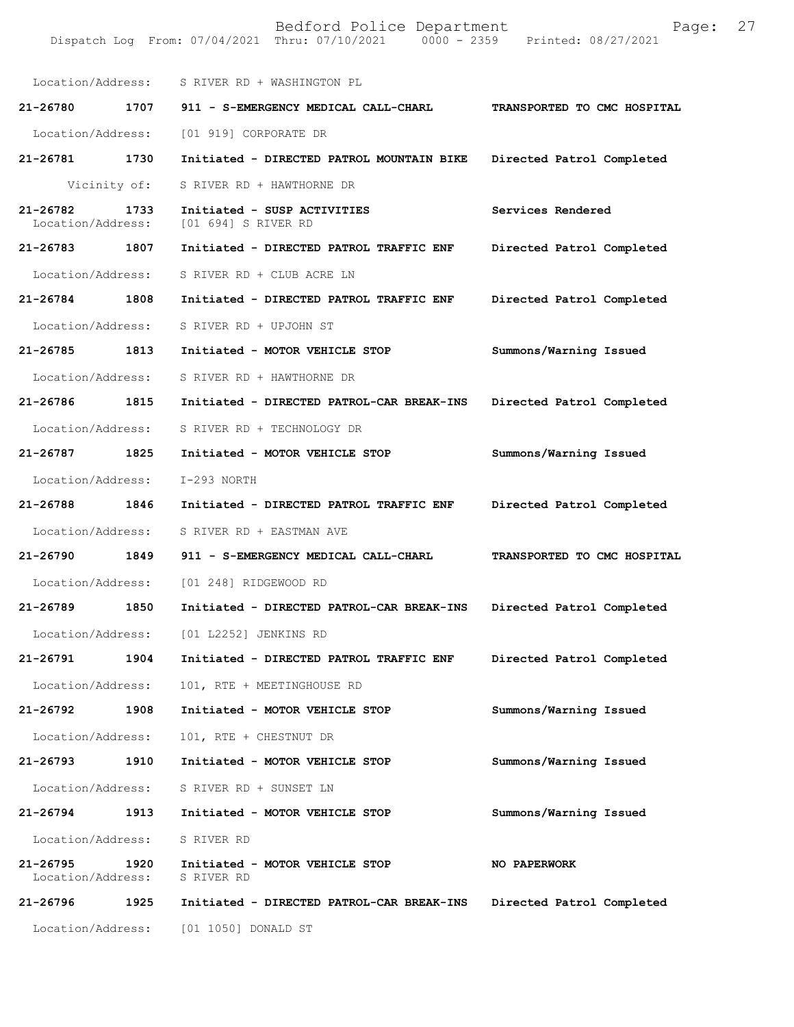| Location/Address:                 |      | S RIVER RD + WASHINGTON PL                         |                             |
|-----------------------------------|------|----------------------------------------------------|-----------------------------|
| 21-26780                          | 1707 | 911 - S-EMERGENCY MEDICAL CALL-CHARL               | TRANSPORTED TO CMC HOSPITAL |
| Location/Address:                 |      | [01 919] CORPORATE DR                              |                             |
| 21-26781                          | 1730 | Initiated - DIRECTED PATROL MOUNTAIN BIKE          | Directed Patrol Completed   |
| Vicinity of:                      |      | S RIVER RD + HAWTHORNE DR                          |                             |
| $21 - 26782$<br>Location/Address: | 1733 | Initiated - SUSP ACTIVITIES<br>[01 694] S RIVER RD | Services Rendered           |
| 21-26783                          | 1807 | Initiated - DIRECTED PATROL TRAFFIC ENF            | Directed Patrol Completed   |
| Location/Address:                 |      | S RIVER RD + CLUB ACRE LN                          |                             |
| 21-26784                          | 1808 | Initiated - DIRECTED PATROL TRAFFIC ENF            | Directed Patrol Completed   |
| Location/Address:                 |      | S RIVER RD + UPJOHN ST                             |                             |
| 21-26785                          | 1813 | Initiated - MOTOR VEHICLE STOP                     | Summons/Warning Issued      |
| Location/Address:                 |      | S RIVER RD + HAWTHORNE DR                          |                             |
| 21-26786                          | 1815 | Initiated - DIRECTED PATROL-CAR BREAK-INS          | Directed Patrol Completed   |
| Location/Address:                 |      | S RIVER RD + TECHNOLOGY DR                         |                             |
| 21-26787                          | 1825 | Initiated - MOTOR VEHICLE STOP                     | Summons/Warning Issued      |
| Location/Address:                 |      | I-293 NORTH                                        |                             |
| 21-26788                          | 1846 | Initiated - DIRECTED PATROL TRAFFIC ENF            | Directed Patrol Completed   |
| Location/Address:                 |      | S RIVER RD + EASTMAN AVE                           |                             |
| 21-26790                          | 1849 | 911 - S-EMERGENCY MEDICAL CALL-CHARL               | TRANSPORTED TO CMC HOSPITAL |
| Location/Address:                 |      | [01 248] RIDGEWOOD RD                              |                             |
| 21-26789                          | 1850 | Initiated - DIRECTED PATROL-CAR BREAK-INS          | Directed Patrol Completed   |
| Location/Address:                 |      | [01 L2252] JENKINS RD                              |                             |
| 21-26791                          | 1904 | Initiated - DIRECTED PATROL TRAFFIC ENF            | Directed Patrol Completed   |
| Location/Address:                 |      | 101, RTE + MEETINGHOUSE RD                         |                             |
| 21-26792                          | 1908 | Initiated - MOTOR VEHICLE STOP                     | Summons/Warning Issued      |
| Location/Address:                 |      | 101, RTE + CHESTNUT DR                             |                             |
| 21-26793                          | 1910 | Initiated - MOTOR VEHICLE STOP                     | Summons/Warning Issued      |
| Location/Address:                 |      | S RIVER RD + SUNSET LN                             |                             |
| 21-26794                          | 1913 | Initiated - MOTOR VEHICLE STOP                     | Summons/Warning Issued      |
| Location/Address:                 |      | S RIVER RD                                         |                             |
| $21 - 26795$<br>Location/Address: | 1920 | Initiated - MOTOR VEHICLE STOP<br>S RIVER RD       | <b>NO PAPERWORK</b>         |
| 21-26796                          | 1925 | Initiated - DIRECTED PATROL-CAR BREAK-INS          | Directed Patrol Completed   |
| Location/Address:                 |      | [01 1050] DONALD ST                                |                             |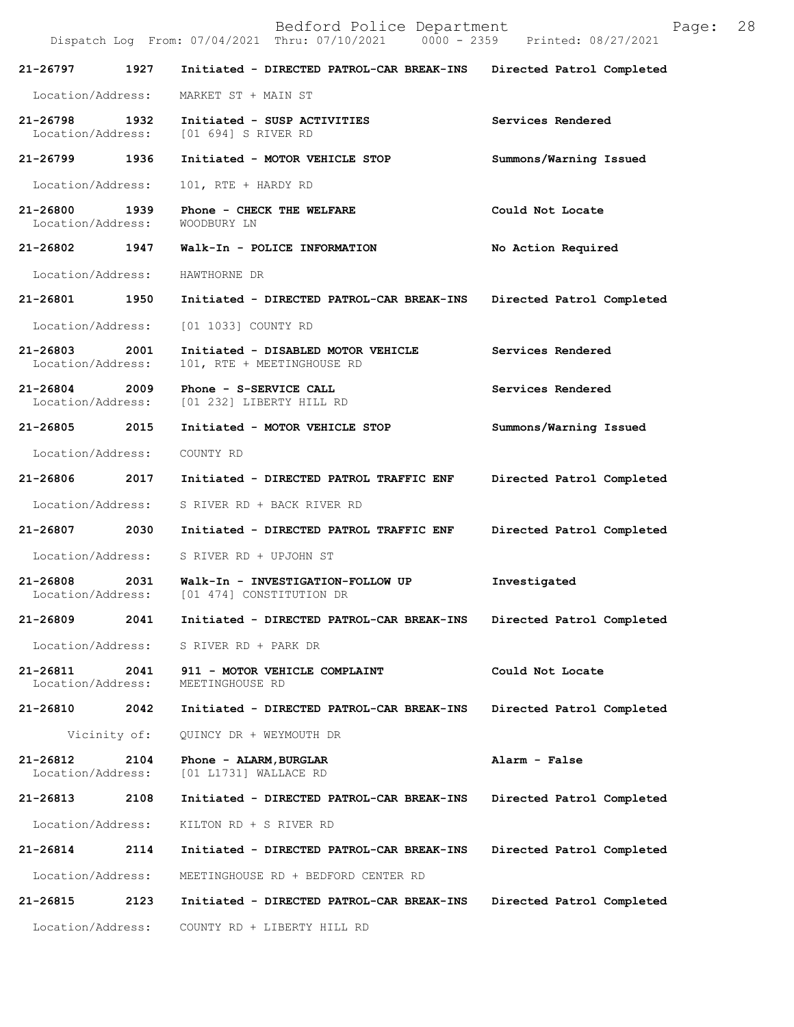| Bedford Police Department<br>Page:<br>Dispatch Log From: 07/04/2021 Thru: 07/10/2021 0000 - 2359 Printed: 08/27/2021 |              |                                                                                 |                           |  |
|----------------------------------------------------------------------------------------------------------------------|--------------|---------------------------------------------------------------------------------|---------------------------|--|
| 21-26797                                                                                                             | 1927         | Initiated - DIRECTED PATROL-CAR BREAK-INS Directed Patrol Completed             |                           |  |
| Location/Address:                                                                                                    |              | MARKET ST + MAIN ST                                                             |                           |  |
| 21-26798<br>Location/Address:                                                                                        | 1932         | Initiated - SUSP ACTIVITIES<br>[01 694] S RIVER RD                              | Services Rendered         |  |
| 21-26799                                                                                                             | 1936         | Initiated - MOTOR VEHICLE STOP                                                  | Summons/Warning Issued    |  |
| Location/Address:                                                                                                    |              | 101, RTE + HARDY RD                                                             |                           |  |
| 21-26800<br>Location/Address:                                                                                        | 1939         | Phone - CHECK THE WELFARE<br>WOODBURY LN                                        | Could Not Locate          |  |
| 21-26802                                                                                                             | 1947         | Walk-In - POLICE INFORMATION                                                    | No Action Required        |  |
| Location/Address:                                                                                                    |              | HAWTHORNE DR                                                                    |                           |  |
| 21-26801 1950                                                                                                        |              | Initiated - DIRECTED PATROL-CAR BREAK-INS                                       | Directed Patrol Completed |  |
| Location/Address:                                                                                                    |              | [01 1033] COUNTY RD                                                             |                           |  |
| 21-26803<br>Location/Address:                                                                                        | 2001         | Initiated - DISABLED MOTOR VEHICLE<br>101, RTE + MEETINGHOUSE RD                | Services Rendered         |  |
| 21-26804 2009<br>Location/Address:                                                                                   |              | Phone - S-SERVICE CALL<br>[01 232] LIBERTY HILL RD                              | Services Rendered         |  |
| 21-26805                                                                                                             | 2015         | Initiated - MOTOR VEHICLE STOP                                                  | Summons/Warning Issued    |  |
| Location/Address:                                                                                                    |              | COUNTY RD                                                                       |                           |  |
| 21-26806                                                                                                             | 2017         | Initiated - DIRECTED PATROL TRAFFIC ENF                                         | Directed Patrol Completed |  |
| Location/Address:                                                                                                    |              | S RIVER RD + BACK RIVER RD                                                      |                           |  |
| 21-26807                                                                                                             | 2030         | Initiated - DIRECTED PATROL TRAFFIC ENF                                         | Directed Patrol Completed |  |
| Location/Address:                                                                                                    |              | S RIVER RD + UPJOHN ST                                                          |                           |  |
| 21-26808                                                                                                             | 2031         | Walk-In - INVESTIGATION-FOLLOW UP<br>Location/Address: [01 474] CONSTITUTION DR | Investigated              |  |
| 21-26809                                                                                                             | 2041         | Initiated - DIRECTED PATROL-CAR BREAK-INS                                       | Directed Patrol Completed |  |
| Location/Address:                                                                                                    |              | S RIVER RD + PARK DR                                                            |                           |  |
| 21-26811<br>Location/Address:                                                                                        | 2041         | 911 - MOTOR VEHICLE COMPLAINT<br>MEETINGHOUSE RD                                | Could Not Locate          |  |
| 21-26810                                                                                                             | 2042         | Initiated - DIRECTED PATROL-CAR BREAK-INS                                       | Directed Patrol Completed |  |
|                                                                                                                      | Vicinity of: | QUINCY DR + WEYMOUTH DR                                                         |                           |  |
| 21-26812<br>Location/Address:                                                                                        | 2104         | Phone - ALARM, BURGLAR<br>[01 L1731] WALLACE RD                                 | Alarm - False             |  |
| 21-26813                                                                                                             | 2108         | Initiated - DIRECTED PATROL-CAR BREAK-INS                                       | Directed Patrol Completed |  |
| Location/Address:                                                                                                    |              | KILTON RD + S RIVER RD                                                          |                           |  |
| 21-26814                                                                                                             | 2114         | Initiated - DIRECTED PATROL-CAR BREAK-INS                                       | Directed Patrol Completed |  |
| Location/Address:                                                                                                    |              | MEETINGHOUSE RD + BEDFORD CENTER RD                                             |                           |  |
| 21-26815                                                                                                             | 2123         | Initiated - DIRECTED PATROL-CAR BREAK-INS                                       | Directed Patrol Completed |  |
| Location/Address:                                                                                                    |              | COUNTY RD + LIBERTY HILL RD                                                     |                           |  |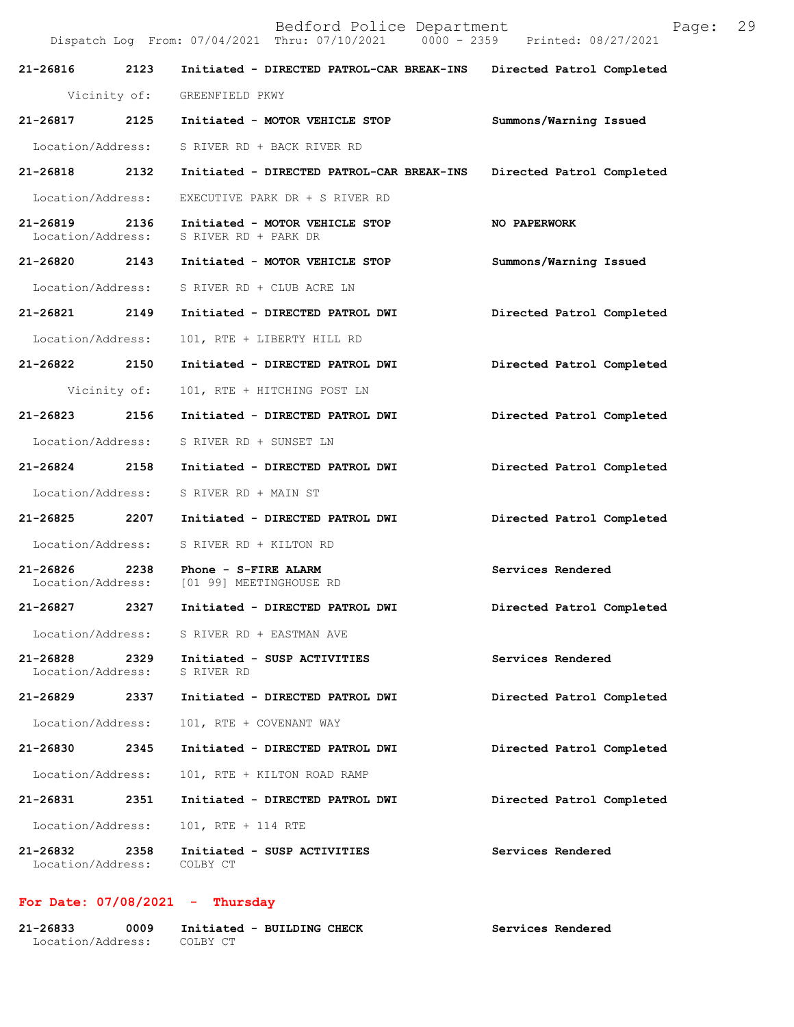|                                    |      | Dispatch Log From: 07/04/2021 Thru: 07/10/2021 0000 - 2359 Printed: 08/27/2021 |                           |
|------------------------------------|------|--------------------------------------------------------------------------------|---------------------------|
| 21-26816 2123                      |      | Initiated - DIRECTED PATROL-CAR BREAK-INS Directed Patrol Completed            |                           |
|                                    |      | Vicinity of: GREENFIELD PKWY                                                   |                           |
| 21-26817 2125                      |      | Initiated - MOTOR VEHICLE STOP                                                 | Summons/Warning Issued    |
| Location/Address:                  |      | S RIVER RD + BACK RIVER RD                                                     |                           |
| 21-26818 2132                      |      | Initiated - DIRECTED PATROL-CAR BREAK-INS                                      | Directed Patrol Completed |
| Location/Address:                  |      | EXECUTIVE PARK DR + S RIVER RD                                                 |                           |
| 21-26819 2136<br>Location/Address: |      | Initiated - MOTOR VEHICLE STOP<br>S RIVER RD + PARK DR                         | NO PAPERWORK              |
| 21-26820 2143                      |      | Initiated - MOTOR VEHICLE STOP                                                 | Summons/Warning Issued    |
| Location/Address:                  |      | S RIVER RD + CLUB ACRE LN                                                      |                           |
| 21-26821 2149                      |      | Initiated - DIRECTED PATROL DWI                                                | Directed Patrol Completed |
| Location/Address:                  |      | 101, RTE + LIBERTY HILL RD                                                     |                           |
| 21-26822 2150                      |      | Initiated - DIRECTED PATROL DWI                                                | Directed Patrol Completed |
| Vicinity of:                       |      | 101, RTE + HITCHING POST LN                                                    |                           |
| 21-26823 2156                      |      | Initiated - DIRECTED PATROL DWI                                                | Directed Patrol Completed |
| Location/Address:                  |      | S RIVER RD + SUNSET LN                                                         |                           |
| 21-26824 2158                      |      | Initiated - DIRECTED PATROL DWI                                                | Directed Patrol Completed |
| Location/Address:                  |      | S RIVER RD + MAIN ST                                                           |                           |
| 21-26825 2207                      |      | Initiated - DIRECTED PATROL DWI                                                | Directed Patrol Completed |
| Location/Address:                  |      | S RIVER RD + KILTON RD                                                         |                           |
| 21-26826                           | 2238 | Phone - S-FIRE ALARM<br>Location/Address: [01 99] MEETINGHOUSE RD              | Services Rendered         |
| 21-26827                           | 2327 | Initiated - DIRECTED PATROL DWI                                                | Directed Patrol Completed |
|                                    |      | Location/Address: S RIVER RD + EASTMAN AVE                                     |                           |
| 21-26828<br>Location/Address:      | 2329 | Initiated - SUSP ACTIVITIES<br>S RIVER RD                                      | Services Rendered         |
| 21-26829                           | 2337 | Initiated - DIRECTED PATROL DWI                                                | Directed Patrol Completed |
| Location/Address:                  |      | 101, RTE + COVENANT WAY                                                        |                           |
| 21-26830                           | 2345 | Initiated - DIRECTED PATROL DWI                                                | Directed Patrol Completed |
| Location/Address:                  |      | 101, RTE + KILTON ROAD RAMP                                                    |                           |
| 21-26831                           | 2351 | Initiated - DIRECTED PATROL DWI                                                | Directed Patrol Completed |
| Location/Address:                  |      | 101, RTE + 114 RTE                                                             |                           |
| 21-26832<br>Location/Address:      | 2358 | Initiated - SUSP ACTIVITIES<br>COLBY CT                                        | Services Rendered         |

# **For Date: 07/08/2021 - Thursday**

| 21-26833          | 0009 | Initiated - BUILDING CHECK | Services Rendered |
|-------------------|------|----------------------------|-------------------|
| Location/Address: |      | COLBY CT                   |                   |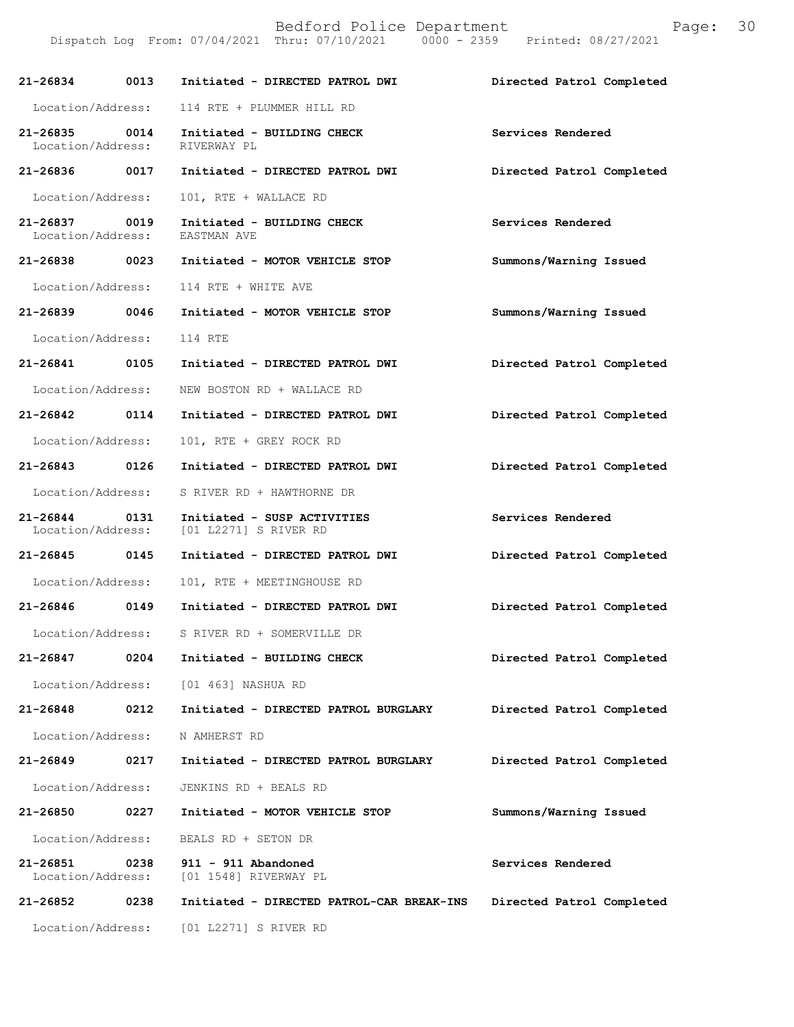Dispatch Log From: 07/04/2021 Thru: 07/10/2021 0000 - 2359 Printed: 08/27/2021

| 21-26834 0013                             |      | Initiated - DIRECTED PATROL DWI                      | Directed Patrol Completed |
|-------------------------------------------|------|------------------------------------------------------|---------------------------|
| Location/Address:                         |      | 114 RTE + PLUMMER HILL RD                            |                           |
| 21-26835<br>Location/Address: RIVERWAY PL | 0014 | Initiated - BUILDING CHECK                           | Services Rendered         |
| 21-26836 0017                             |      | Initiated - DIRECTED PATROL DWI                      | Directed Patrol Completed |
| Location/Address:                         |      | 101, RTE + WALLACE RD                                |                           |
| 21-26837<br>Location/Address:             | 0019 | Initiated - BUILDING CHECK<br>EASTMAN AVE            | Services Rendered         |
| 21-26838 0023                             |      | Initiated - MOTOR VEHICLE STOP                       | Summons/Warning Issued    |
| Location/Address:                         |      | 114 RTE + WHITE AVE                                  |                           |
| 21-26839 0046                             |      | Initiated - MOTOR VEHICLE STOP                       | Summons/Warning Issued    |
| Location/Address:                         |      | 114 RTE                                              |                           |
| 21-26841 0105                             |      | Initiated - DIRECTED PATROL DWI                      | Directed Patrol Completed |
| Location/Address:                         |      | NEW BOSTON RD + WALLACE RD                           |                           |
| 21-26842 0114                             |      | Initiated - DIRECTED PATROL DWI                      | Directed Patrol Completed |
| Location/Address:                         |      | 101, RTE + GREY ROCK RD                              |                           |
| 21-26843 0126                             |      | Initiated - DIRECTED PATROL DWI                      | Directed Patrol Completed |
| Location/Address:                         |      | S RIVER RD + HAWTHORNE DR                            |                           |
| 21-26844 0131<br>Location/Address:        |      | Initiated - SUSP ACTIVITIES<br>[01 L2271] S RIVER RD | Services Rendered         |
| 21-26845 0145                             |      | Initiated - DIRECTED PATROL DWI                      | Directed Patrol Completed |
| Location/Address:                         |      | 101, RTE + MEETINGHOUSE RD                           |                           |
| 21-26846 0149                             |      | Initiated - DIRECTED PATROL DWI                      | Directed Patrol Completed |
| Location/Address:                         |      | S RIVER RD + SOMERVILLE DR                           |                           |
| 21-26847                                  | 0204 | Initiated - BUILDING CHECK                           | Directed Patrol Completed |
| Location/Address:                         |      | [01 463] NASHUA RD                                   |                           |
| 21-26848                                  | 0212 | Initiated - DIRECTED PATROL BURGLARY                 | Directed Patrol Completed |
| Location/Address:                         |      | N AMHERST RD                                         |                           |
| $21 - 26849$                              | 0217 | Initiated - DIRECTED PATROL BURGLARY                 | Directed Patrol Completed |
| Location/Address:                         |      | JENKINS RD + BEALS RD                                |                           |
| 21-26850                                  | 0227 | Initiated - MOTOR VEHICLE STOP                       | Summons/Warning Issued    |
| Location/Address:                         |      | BEALS RD + SETON DR                                  |                           |
| 21-26851<br>Location/Address:             | 0238 | 911 - 911 Abandoned<br>[01 1548] RIVERWAY PL         | Services Rendered         |
| 21-26852                                  | 0238 | Initiated - DIRECTED PATROL-CAR BREAK-INS            | Directed Patrol Completed |
| Location/Address:                         |      | [01 L2271] S RIVER RD                                |                           |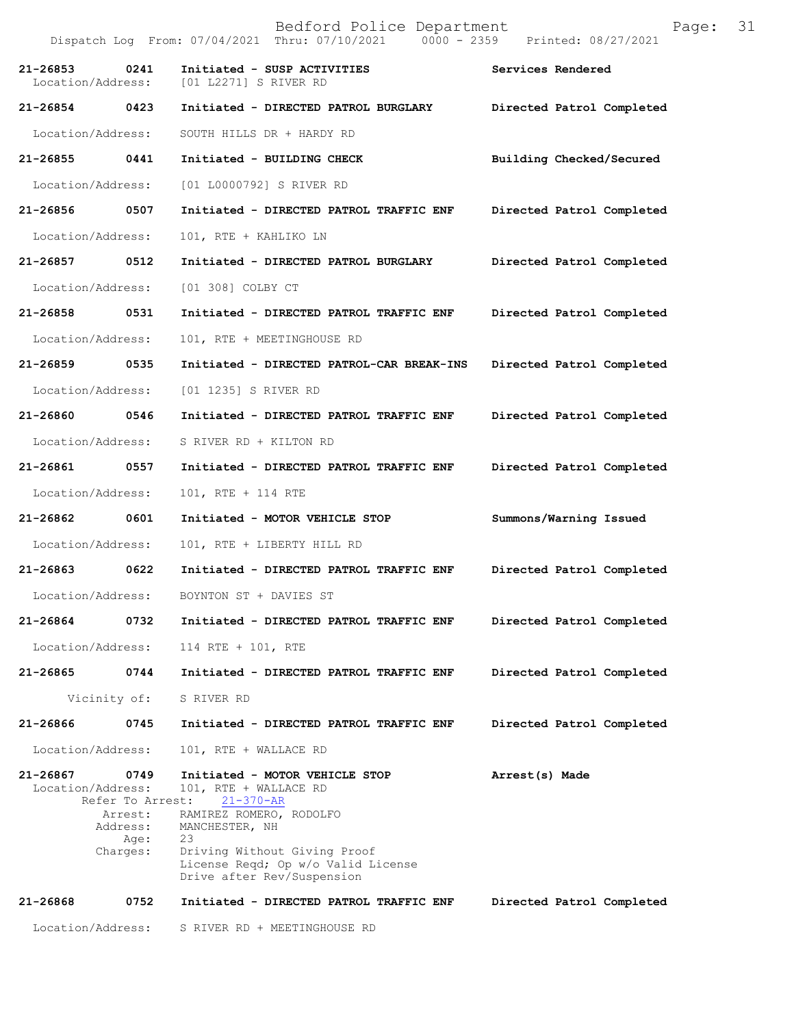Bedford Police Department Page: 31 Dispatch Log From: 07/04/2021 Thru: 07/10/2021 **21-26853 0241 Initiated - SUSP ACTIVITIES 5 8ervices Rendered** Location/Address: [01 L2271] S RIVER RD [01 L2271] S RIVER RD **21-26854 0423 Initiated - DIRECTED PATROL BURGLARY Directed Patrol Completed**  Location/Address: SOUTH HILLS DR + HARDY RD **21-26855 0441 Initiated - BUILDING CHECK Building Checked/Secured**  Location/Address: [01 L0000792] S RIVER RD **21-26856 0507 Initiated - DIRECTED PATROL TRAFFIC ENF Directed Patrol Completed**  Location/Address: 101, RTE + KAHLIKO LN **21-26857 0512 Initiated - DIRECTED PATROL BURGLARY Directed Patrol Completed**  Location/Address: [01 308] COLBY CT **21-26858 0531 Initiated - DIRECTED PATROL TRAFFIC ENF Directed Patrol Completed**  Location/Address: 101, RTE + MEETINGHOUSE RD **21-26859 0535 Initiated - DIRECTED PATROL-CAR BREAK-INS Directed Patrol Completed**  Location/Address: [01 1235] S RIVER RD **21-26860 0546 Initiated - DIRECTED PATROL TRAFFIC ENF Directed Patrol Completed**  Location/Address: S RIVER RD + KILTON RD **21-26861 0557 Initiated - DIRECTED PATROL TRAFFIC ENF Directed Patrol Completed**  Location/Address: 101, RTE + 114 RTE **21-26862 0601 Initiated - MOTOR VEHICLE STOP Summons/Warning Issued**  Location/Address: 101, RTE + LIBERTY HILL RD **21-26863 0622 Initiated - DIRECTED PATROL TRAFFIC ENF Directed Patrol Completed**  Location/Address: BOYNTON ST + DAVIES ST **21-26864 0732 Initiated - DIRECTED PATROL TRAFFIC ENF Directed Patrol Completed**  Location/Address: 114 RTE + 101, RTE **21-26865 0744 Initiated - DIRECTED PATROL TRAFFIC ENF Directed Patrol Completed**  Vicinity of: S RIVER RD **21-26866 0745 Initiated - DIRECTED PATROL TRAFFIC ENF Directed Patrol Completed**  Location/Address: 101, RTE + WALLACE RD **21-26867 0749 Initiated - MOTOR VEHICLE STOP Arrest(s) Made**  Location/Address: 101, RTE + WALLACE RD Refer To Arrest: 21-370-AR Arrest: RAMIREZ ROMERO, RODOLFO Address: MANCHESTER, NH Age: 23 Charges: Driving Without Giving Proof License Reqd; Op w/o Valid License Drive after Rev/Suspension **21-26868 0752 Initiated - DIRECTED PATROL TRAFFIC ENF Directed Patrol Completed** Location/Address: S RIVER RD + MEETINGHOUSE RD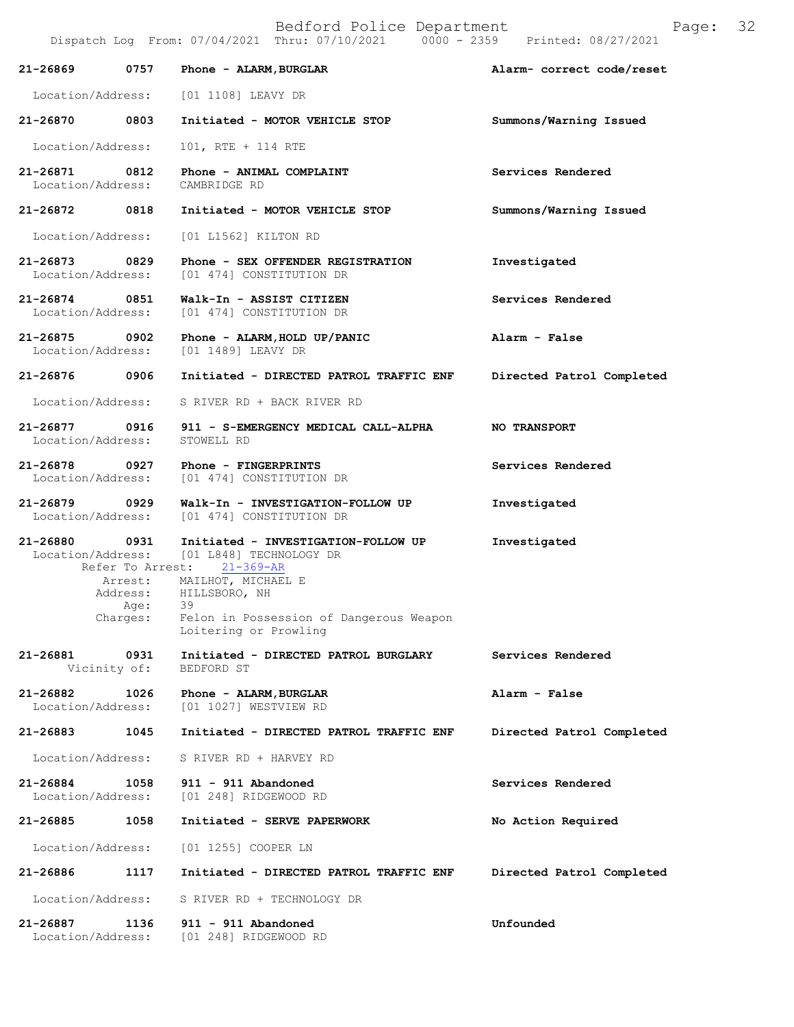|                                                       | Dispatch Log From: 07/04/2021 Thru: 07/10/2021 0000 - 2359 Printed: 08/27/2021                                 |                           |
|-------------------------------------------------------|----------------------------------------------------------------------------------------------------------------|---------------------------|
| 0757<br>21-26869                                      | Phone - ALARM, BURGLAR                                                                                         | Alarm- correct code/reset |
| Location/Address: [01 1108] LEAVY DR                  |                                                                                                                |                           |
| 21-26870 0803                                         | Initiated - MOTOR VEHICLE STOP                                                                                 | Summons/Warning Issued    |
| Location/Address:                                     | 101, RTE + 114 RTE                                                                                             |                           |
| 0812<br>21-26871<br>Location/Address: CAMBRIDGE RD    | Phone - ANIMAL COMPLAINT                                                                                       | Services Rendered         |
| 21-26872 0818                                         | Initiated - MOTOR VEHICLE STOP                                                                                 | Summons/Warning Issued    |
| Location/Address:                                     | [01 L1562] KILTON RD                                                                                           |                           |
| 21-26873 0829<br>Location/Address:                    | Phone - SEX OFFENDER REGISTRATION<br>[01 474] CONSTITUTION DR                                                  | Investigated              |
| 21-26874 0851                                         | Walk-In - ASSIST CITIZEN<br>Location/Address: [01 474] CONSTITUTION DR                                         | Services Rendered         |
| 21-26875 0902<br>Location/Address: [01 1489] LEAVY DR | Phone - ALARM, HOLD UP/PANIC                                                                                   | Alarm - False             |
| 21-26876 0906                                         | Initiated - DIRECTED PATROL TRAFFIC ENF                                                                        | Directed Patrol Completed |
| Location/Address:                                     | S RIVER RD + BACK RIVER RD                                                                                     |                           |
| Location/Address:                                     | 21-26877 0916 911 - S-EMERGENCY MEDICAL CALL-ALPHA<br>STOWELL RD                                               | NO TRANSPORT              |
| 21-26878 0927<br>Location/Address:                    | Phone - FINGERPRINTS<br>[01 474] CONSTITUTION DR                                                               | Services Rendered         |
| 21-26879 0929                                         | Walk-In - INVESTIGATION-FOLLOW UP<br>Location/Address: [01 474] CONSTITUTION DR                                | Investigated              |
| 21-26880 0931                                         | Initiated - INVESTIGATION-FOLLOW UP<br>Location/Address: [01 L848] TECHNOLOGY DR<br>Refer To Arrest: 21-369-AR | Investigated              |
| Age:                                                  | Arrest: MAILHOT, MICHAEL E<br>Address: HILLSBORO, NH<br>39                                                     |                           |
|                                                       | Charges: Felon in Possession of Dangerous Weapon<br>Loitering or Prowling                                      |                           |
| $21 - 26881$<br>0931<br>Vicinity of:                  | Initiated - DIRECTED PATROL BURGLARY<br>BEDFORD ST                                                             | Services Rendered         |
| 21-26882<br>1026<br>Location/Address:                 | Phone - ALARM, BURGLAR<br>[01 1027] WESTVIEW RD                                                                | Alarm - False             |
| 21-26883<br>1045                                      | Initiated - DIRECTED PATROL TRAFFIC ENF                                                                        | Directed Patrol Completed |
| Location/Address:                                     | S RIVER RD + HARVEY RD                                                                                         |                           |
| 21-26884<br>1058<br>Location/Address:                 | 911 - 911 Abandoned<br>[01 248] RIDGEWOOD RD                                                                   | Services Rendered         |
| 21-26885<br>1058                                      | Initiated - SERVE PAPERWORK                                                                                    | No Action Required        |
| Location/Address:                                     | [01 1255] COOPER LN                                                                                            |                           |
| 21-26886<br>1117                                      | Initiated - DIRECTED PATROL TRAFFIC ENF                                                                        | Directed Patrol Completed |
| Location/Address:                                     | S RIVER RD + TECHNOLOGY DR                                                                                     |                           |
| 21-26887<br>1136<br>Location/Address:                 | 911 - 911 Abandoned<br>[01 248] RIDGEWOOD RD                                                                   | Unfounded                 |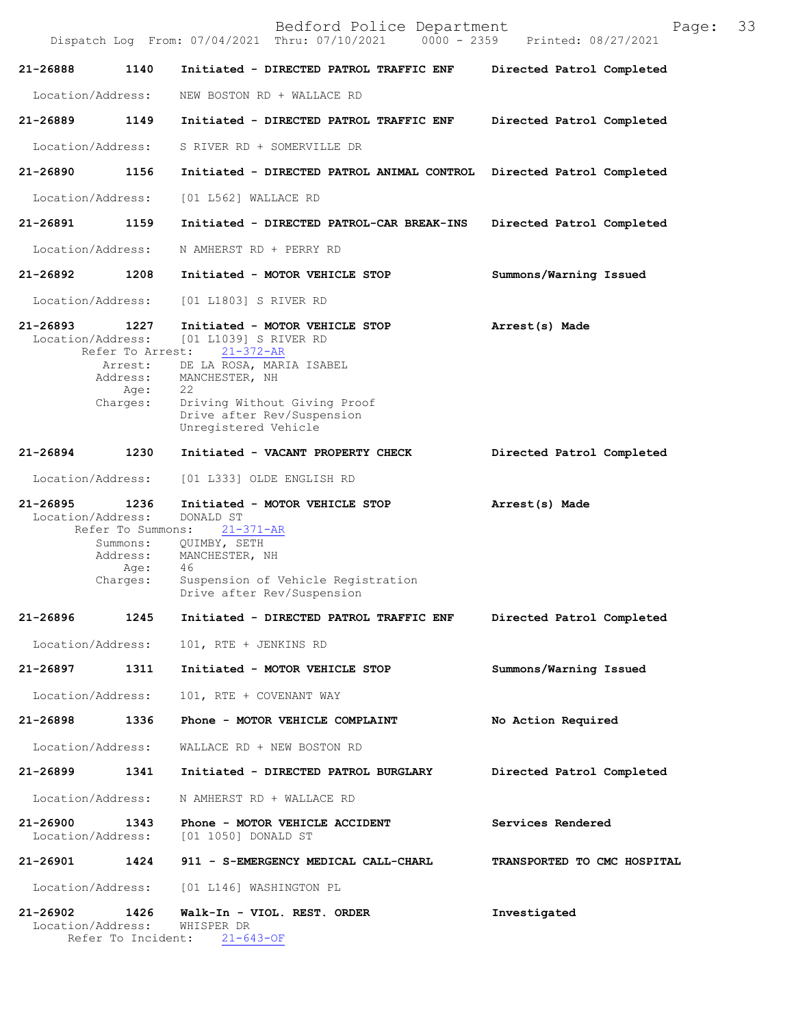|              |                                                                                            | Bedford Police Department<br>Dispatch Log From: 07/04/2021 Thru: 07/10/2021 0000 - 2359 Printed: 08/27/2021                                                                                                    | Page:                       | 33 |
|--------------|--------------------------------------------------------------------------------------------|----------------------------------------------------------------------------------------------------------------------------------------------------------------------------------------------------------------|-----------------------------|----|
| 21-26888     | 1140                                                                                       | Initiated - DIRECTED PATROL TRAFFIC ENF                                                                                                                                                                        | Directed Patrol Completed   |    |
|              | Location/Address:                                                                          | NEW BOSTON RD + WALLACE RD                                                                                                                                                                                     |                             |    |
| 21-26889     | 1149                                                                                       | Initiated - DIRECTED PATROL TRAFFIC ENF                                                                                                                                                                        | Directed Patrol Completed   |    |
|              | Location/Address:                                                                          | S RIVER RD + SOMERVILLE DR                                                                                                                                                                                     |                             |    |
| 21-26890     | 1156                                                                                       | Initiated - DIRECTED PATROL ANIMAL CONTROL Directed Patrol Completed                                                                                                                                           |                             |    |
|              | Location/Address:                                                                          | [01 L562] WALLACE RD                                                                                                                                                                                           |                             |    |
| 21-26891     | 1159                                                                                       | Initiated - DIRECTED PATROL-CAR BREAK-INS                                                                                                                                                                      | Directed Patrol Completed   |    |
|              | Location/Address:                                                                          | N AMHERST RD + PERRY RD                                                                                                                                                                                        |                             |    |
| 21-26892     | 1208                                                                                       | Initiated - MOTOR VEHICLE STOP                                                                                                                                                                                 | Summons/Warning Issued      |    |
|              | Location/Address:                                                                          | [01 L1803] S RIVER RD                                                                                                                                                                                          |                             |    |
| $21 - 26893$ | 1227<br>Location/Address:<br>Refer To Arrest:<br>Arrest:<br>Address:<br>Age:<br>Charges:   | Initiated - MOTOR VEHICLE STOP<br>[01 L1039] S RIVER RD<br>21-372-AR<br>DE LA ROSA, MARIA ISABEL<br>MANCHESTER, NH<br>22<br>Driving Without Giving Proof<br>Drive after Rev/Suspension<br>Unregistered Vehicle | Arrest(s) Made              |    |
| 21-26894     | 1230                                                                                       | Initiated - VACANT PROPERTY CHECK                                                                                                                                                                              | Directed Patrol Completed   |    |
|              | Location/Address:                                                                          | [01 L333] OLDE ENGLISH RD                                                                                                                                                                                      |                             |    |
| 21-26895     | 1236<br>Location/Address:<br>Refer To Summons:<br>Summons:<br>Address:<br>Age:<br>Charges: | Initiated - MOTOR VEHICLE STOP<br>DONALD ST<br>$21 - 371 - AR$<br>QUIMBY, SETH<br>MANCHESTER, NH<br>46<br>Suspension of Vehicle Registration                                                                   | Arrest(s) Made              |    |
|              |                                                                                            | Drive after Rev/Suspension                                                                                                                                                                                     |                             |    |
| 21-26896     | 1245                                                                                       | Initiated - DIRECTED PATROL TRAFFIC ENF                                                                                                                                                                        | Directed Patrol Completed   |    |
|              | Location/Address:                                                                          | 101, RTE + JENKINS RD                                                                                                                                                                                          |                             |    |
| 21-26897     | 1311                                                                                       | Initiated - MOTOR VEHICLE STOP                                                                                                                                                                                 | Summons/Warning Issued      |    |
|              | Location/Address:                                                                          | 101, RTE + COVENANT WAY                                                                                                                                                                                        |                             |    |
| 21-26898     | 1336                                                                                       | Phone - MOTOR VEHICLE COMPLAINT                                                                                                                                                                                | No Action Required          |    |
|              | Location/Address:                                                                          | WALLACE RD + NEW BOSTON RD                                                                                                                                                                                     |                             |    |
| 21-26899     | 1341                                                                                       | Initiated - DIRECTED PATROL BURGLARY                                                                                                                                                                           | Directed Patrol Completed   |    |
|              | Location/Address:                                                                          | N AMHERST RD + WALLACE RD                                                                                                                                                                                      |                             |    |
| 21-26900     | 1343<br>Location/Address:                                                                  | Phone - MOTOR VEHICLE ACCIDENT<br>[01 1050] DONALD ST                                                                                                                                                          | Services Rendered           |    |
| 21-26901     | 1424                                                                                       | 911 - S-EMERGENCY MEDICAL CALL-CHARL                                                                                                                                                                           | TRANSPORTED TO CMC HOSPITAL |    |
|              | Location/Address:                                                                          | [01 L146] WASHINGTON PL                                                                                                                                                                                        |                             |    |
| 21-26902     | 1426<br>Location/Address:                                                                  | Walk-In - VIOL. REST. ORDER<br>WHISPER DR<br>Refer To Incident: 21-643-OF                                                                                                                                      | Investigated                |    |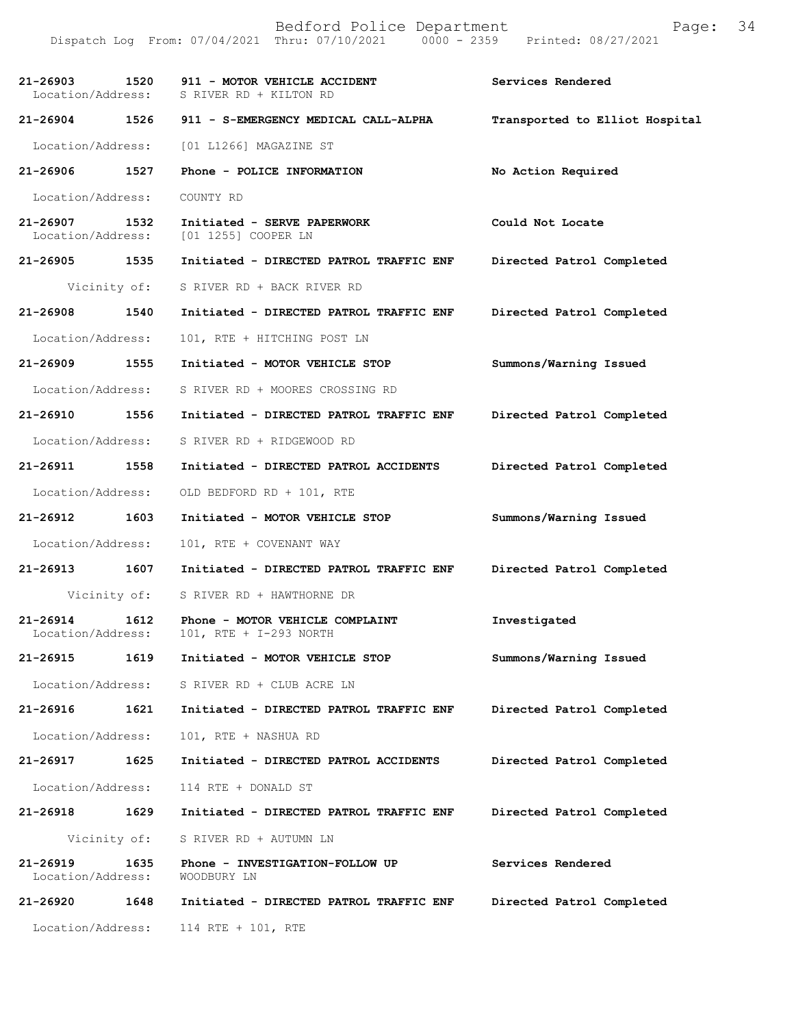Bedford Police Department Page: 34 Dispatch Log From: 07/04/2021 Thru: 07/10/2021 **21-26903 1520 911 - MOTOR VEHICLE ACCIDENT Services Rendered**  Location/Address: S RIVER RD + KILTON RD **21-26904 1526 911 - S-EMERGENCY MEDICAL CALL-ALPHA Transported to Elliot Hospital** Location/Address: [01 L1266] MAGAZINE ST **21-26906 1527 Phone - POLICE INFORMATION No Action Required**  Location/Address: COUNTY RD **21-26907 1532 Initiated - SERVE PAPERWORK Could Not Locate**  Location/Address: [01 1255] COOPER LN **21-26905 1535 Initiated - DIRECTED PATROL TRAFFIC ENF Directed Patrol Completed**  Vicinity of: S RIVER RD + BACK RIVER RD **21-26908 1540 Initiated - DIRECTED PATROL TRAFFIC ENF Directed Patrol Completed**  Location/Address: 101, RTE + HITCHING POST LN **21-26909 1555 Initiated - MOTOR VEHICLE STOP Summons/Warning Issued**  Location/Address: S RIVER RD + MOORES CROSSING RD **21-26910 1556 Initiated - DIRECTED PATROL TRAFFIC ENF Directed Patrol Completed**  Location/Address: S RIVER RD + RIDGEWOOD RD **21-26911 1558 Initiated - DIRECTED PATROL ACCIDENTS Directed Patrol Completed**  Location/Address: OLD BEDFORD RD + 101, RTE **21-26912 1603 Initiated - MOTOR VEHICLE STOP Summons/Warning Issued**  Location/Address: 101, RTE + COVENANT WAY **21-26913 1607 Initiated - DIRECTED PATROL TRAFFIC ENF Directed Patrol Completed**  Vicinity of: S RIVER RD + HAWTHORNE DR **21-26914 1612 Phone - MOTOR VEHICLE COMPLAINT Investigated**  Location/Address: 101, RTE + I-293 NORTH **21-26915 1619 Initiated - MOTOR VEHICLE STOP Summons/Warning Issued**  Location/Address: S RIVER RD + CLUB ACRE LN **21-26916 1621 Initiated - DIRECTED PATROL TRAFFIC ENF Directed Patrol Completed**  Location/Address: 101, RTE + NASHUA RD **21-26917 1625 Initiated - DIRECTED PATROL ACCIDENTS Directed Patrol Completed**  Location/Address: 114 RTE + DONALD ST **21-26918 1629 Initiated - DIRECTED PATROL TRAFFIC ENF Directed Patrol Completed**  Vicinity of: S RIVER RD + AUTUMN LN **21-26919 1635 Phone - INVESTIGATION-FOLLOW UP Services Rendered**  Location/Address: **21-26920 1648 Initiated - DIRECTED PATROL TRAFFIC ENF Directed Patrol Completed**  Location/Address: 114 RTE + 101, RTE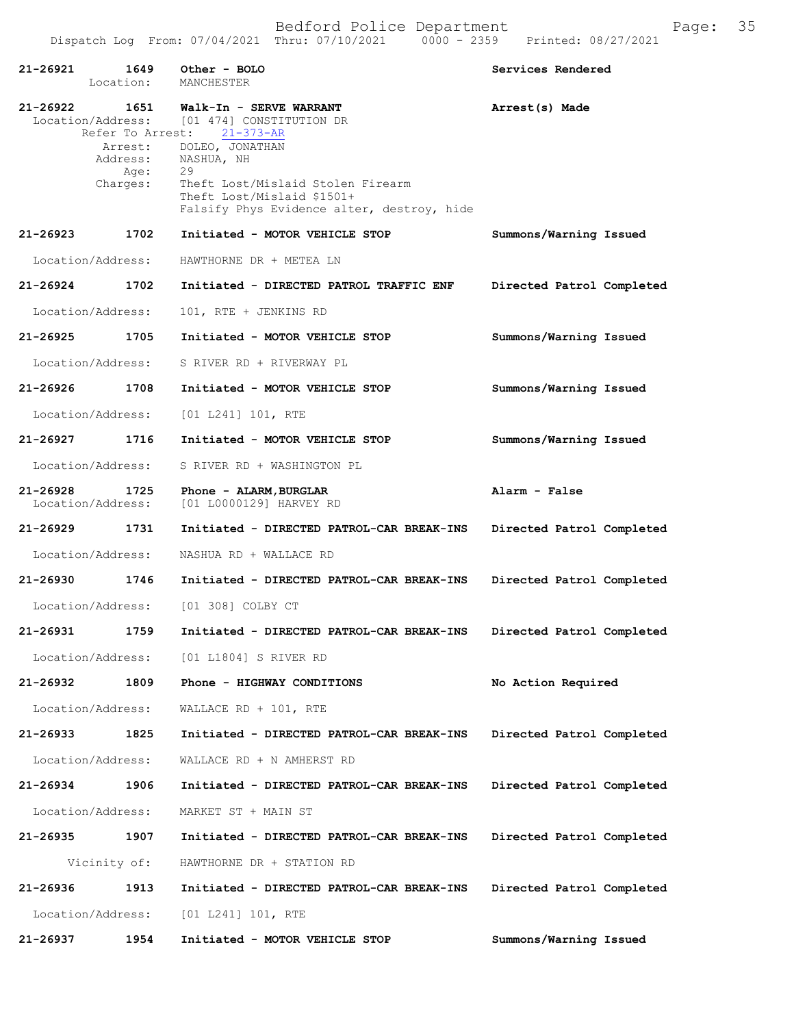| 21-26921 1649 Other - BOLO         |                              | Location: MANCHESTER                                                                                                                                                                                                                                                              | Services Rendered         |
|------------------------------------|------------------------------|-----------------------------------------------------------------------------------------------------------------------------------------------------------------------------------------------------------------------------------------------------------------------------------|---------------------------|
|                                    | Address:<br>Age:<br>Charges: | 21-26922 1651 Walk-In - SERVE WARRANT<br>Location/Address: [01 474] CONSTITUTION DR<br>Refer To Arrest: 21-373-AR<br>Arrest: DOLEO, JONATHAN<br>NASHUA, NH<br>29<br>Theft Lost/Mislaid Stolen Firearm<br>Theft Lost/Mislaid \$1501+<br>Falsify Phys Evidence alter, destroy, hide | Arrest(s) Made            |
| 21-26923 1702                      |                              | Initiated - MOTOR VEHICLE STOP                                                                                                                                                                                                                                                    | Summons/Warning Issued    |
| Location/Address:                  |                              | HAWTHORNE DR + METEA LN                                                                                                                                                                                                                                                           |                           |
| 21-26924                           | 1702                         | Initiated - DIRECTED PATROL TRAFFIC ENF                                                                                                                                                                                                                                           | Directed Patrol Completed |
| Location/Address:                  |                              | 101, RTE + JENKINS RD                                                                                                                                                                                                                                                             |                           |
| 21-26925 1705                      |                              | Initiated - MOTOR VEHICLE STOP                                                                                                                                                                                                                                                    | Summons/Warning Issued    |
| Location/Address:                  |                              | S RIVER RD + RIVERWAY PL                                                                                                                                                                                                                                                          |                           |
| 21-26926 1708                      |                              | Initiated - MOTOR VEHICLE STOP                                                                                                                                                                                                                                                    | Summons/Warning Issued    |
| Location/Address:                  |                              | $[01 L241] 101$ , RTE                                                                                                                                                                                                                                                             |                           |
| 21-26927                           | 1716                         | Initiated - MOTOR VEHICLE STOP                                                                                                                                                                                                                                                    | Summons/Warning Issued    |
| Location/Address:                  |                              | S RIVER RD + WASHINGTON PL                                                                                                                                                                                                                                                        |                           |
| 21-26928 1725<br>Location/Address: |                              | Phone - ALARM, BURGLAR<br>[01 L0000129] HARVEY RD                                                                                                                                                                                                                                 | Alarm - False             |
| 21-26929 1731                      |                              | Initiated - DIRECTED PATROL-CAR BREAK-INS                                                                                                                                                                                                                                         | Directed Patrol Completed |
| Location/Address:                  |                              | NASHUA RD + WALLACE RD                                                                                                                                                                                                                                                            |                           |
| 21-26930 1746                      |                              | Initiated - DIRECTED PATROL-CAR BREAK-INS                                                                                                                                                                                                                                         | Directed Patrol Completed |
|                                    |                              | Location/Address: [01 308] COLBY CT                                                                                                                                                                                                                                               |                           |
| 21-26931 1759                      |                              | Initiated - DIRECTED PATROL-CAR BREAK-INS                                                                                                                                                                                                                                         | Directed Patrol Completed |
|                                    |                              | Location/Address: [01 L1804] S RIVER RD                                                                                                                                                                                                                                           |                           |
| 21-26932                           | 1809                         | Phone - HIGHWAY CONDITIONS                                                                                                                                                                                                                                                        | No Action Required        |
| Location/Address:                  |                              | WALLACE RD + 101, RTE                                                                                                                                                                                                                                                             |                           |
| 21-26933                           | 1825                         | Initiated - DIRECTED PATROL-CAR BREAK-INS                                                                                                                                                                                                                                         | Directed Patrol Completed |
| Location/Address:                  |                              | WALLACE RD + N AMHERST RD                                                                                                                                                                                                                                                         |                           |
| 21-26934 1906                      |                              | Initiated - DIRECTED PATROL-CAR BREAK-INS                                                                                                                                                                                                                                         | Directed Patrol Completed |
| Location/Address:                  |                              | MARKET ST + MAIN ST                                                                                                                                                                                                                                                               |                           |
| 21-26935                           | 1907                         | Initiated - DIRECTED PATROL-CAR BREAK-INS                                                                                                                                                                                                                                         | Directed Patrol Completed |
| Vicinity of:                       |                              | HAWTHORNE DR + STATION RD                                                                                                                                                                                                                                                         |                           |
| 21-26936                           | 1913                         | Initiated - DIRECTED PATROL-CAR BREAK-INS                                                                                                                                                                                                                                         | Directed Patrol Completed |
|                                    |                              | Location/Address: [01 L241] 101, RTE                                                                                                                                                                                                                                              |                           |
| 21-26937                           | 1954                         | Initiated - MOTOR VEHICLE STOP                                                                                                                                                                                                                                                    | Summons/Warning Issued    |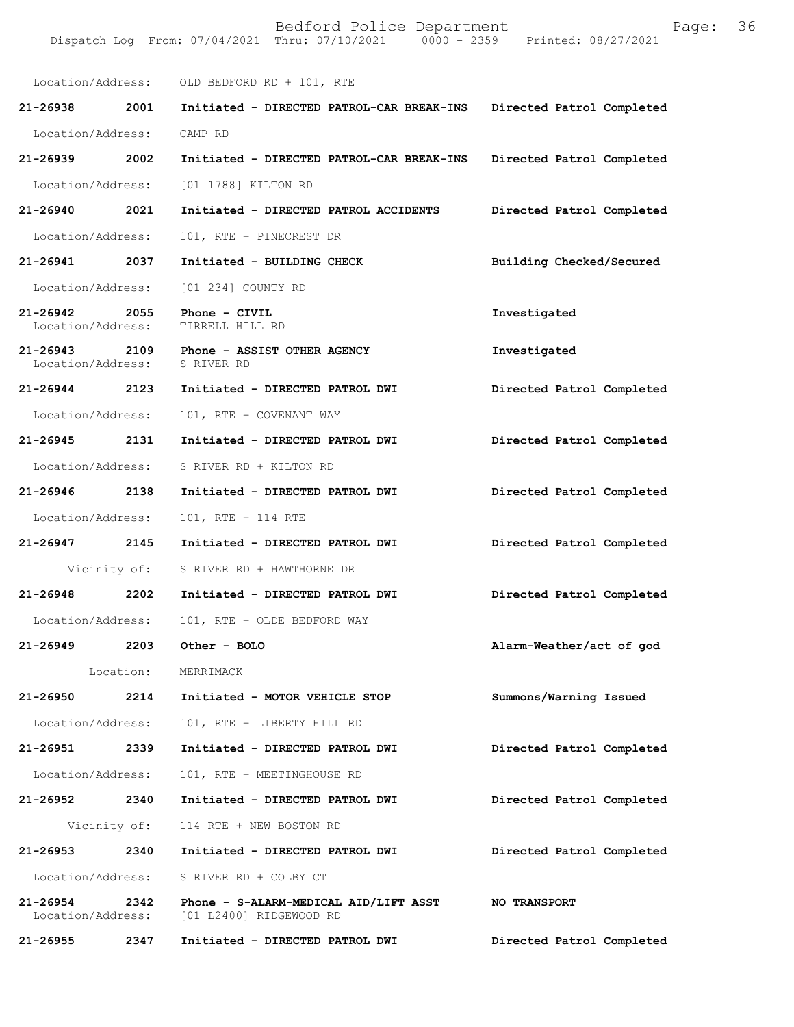Location/Address: OLD BEDFORD RD + 101, RTE **21-26938 2001 Initiated - DIRECTED PATROL-CAR BREAK-INS Directed Patrol Completed**  Location/Address: CAMP RD **21-26939 2002 Initiated - DIRECTED PATROL-CAR BREAK-INS Directed Patrol Completed**  Location/Address: [01 1788] KILTON RD **21-26940 2021 Initiated - DIRECTED PATROL ACCIDENTS Directed Patrol Completed**  Location/Address: 101, RTE + PINECREST DR **21-26941 2037 Initiated - BUILDING CHECK Building Checked/Secured**  Location/Address: [01 234] COUNTY RD **21-26942 2055 Phone - CIVIL Investigated**  Location/Address: **21-26943 2109 Phone - ASSIST OTHER AGENCY Investigated**  Location/Address: **21-26944 2123 Initiated - DIRECTED PATROL DWI Directed Patrol Completed**  Location/Address: 101, RTE + COVENANT WAY **21-26945 2131 Initiated - DIRECTED PATROL DWI Directed Patrol Completed**  Location/Address: S RIVER RD + KILTON RD **21-26946 2138 Initiated - DIRECTED PATROL DWI Directed Patrol Completed**  Location/Address: 101, RTE + 114 RTE **21-26947 2145 Initiated - DIRECTED PATROL DWI Directed Patrol Completed**  Vicinity of: S RIVER RD + HAWTHORNE DR **21-26948 2202 Initiated - DIRECTED PATROL DWI Directed Patrol Completed**  Location/Address: 101, RTE + OLDE BEDFORD WAY **21-26949 2203 Other - BOLO Alarm-Weather/act of god**  Location: MERRIMACK **21-26950 2214 Initiated - MOTOR VEHICLE STOP Summons/Warning Issued**  Location/Address: 101, RTE + LIBERTY HILL RD **21-26951 2339 Initiated - DIRECTED PATROL DWI Directed Patrol Completed**  Location/Address: 101, RTE + MEETINGHOUSE RD **21-26952 2340 Initiated - DIRECTED PATROL DWI Directed Patrol Completed**  Vicinity of: 114 RTE + NEW BOSTON RD **21-26953 2340 Initiated - DIRECTED PATROL DWI Directed Patrol Completed**  Location/Address: S RIVER RD + COLBY CT **21-26954 2342 Phone - S-ALARM-MEDICAL AID/LIFT ASST NO TRANSPORT**  Location/Address: [01 L2400] RIDGEWOOD RD **21-26955 2347 Initiated - DIRECTED PATROL DWI Directed Patrol Completed**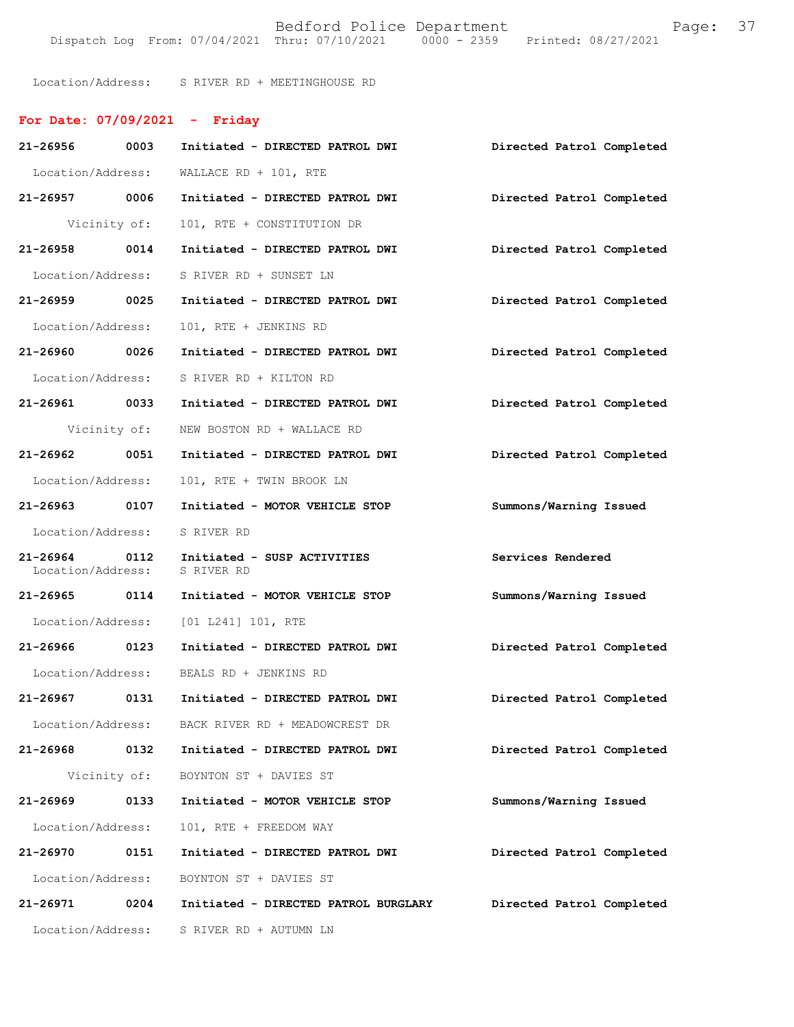Location/Address: S RIVER RD + MEETINGHOUSE RD

# **For Date: 07/09/2021 - Friday**

| 21-26956 0003                      |      | Initiated - DIRECTED PATROL DWI           | Directed Patrol Completed |
|------------------------------------|------|-------------------------------------------|---------------------------|
| Location/Address:                  |      | WALLACE RD + 101, RTE                     |                           |
| 21-26957 0006                      |      | Initiated - DIRECTED PATROL DWI           | Directed Patrol Completed |
| Vicinity of:                       |      | 101, RTE + CONSTITUTION DR                |                           |
| 21-26958 0014                      |      | Initiated - DIRECTED PATROL DWI           | Directed Patrol Completed |
| Location/Address:                  |      | S RIVER RD + SUNSET LN                    |                           |
| 21-26959 0025                      |      | Initiated - DIRECTED PATROL DWI           | Directed Patrol Completed |
| Location/Address:                  |      | 101, RTE + JENKINS RD                     |                           |
| 21-26960 0026                      |      | Initiated - DIRECTED PATROL DWI           | Directed Patrol Completed |
| Location/Address:                  |      | S RIVER RD + KILTON RD                    |                           |
| 21-26961 0033                      |      | Initiated - DIRECTED PATROL DWI           | Directed Patrol Completed |
| Vicinity of:                       |      | NEW BOSTON RD + WALLACE RD                |                           |
| 21-26962 0051                      |      | Initiated - DIRECTED PATROL DWI           | Directed Patrol Completed |
| Location/Address:                  |      | 101, RTE + TWIN BROOK LN                  |                           |
| 21-26963 0107                      |      | Initiated - MOTOR VEHICLE STOP            | Summons/Warning Issued    |
| Location/Address:                  |      | S RIVER RD                                |                           |
|                                    |      |                                           |                           |
| 21-26964 0112<br>Location/Address: |      | Initiated - SUSP ACTIVITIES<br>S RIVER RD | Services Rendered         |
| 21-26965 0114                      |      | Initiated - MOTOR VEHICLE STOP            | Summons/Warning Issued    |
|                                    |      | Location/Address: [01 L241] 101, RTE      |                           |
| 21-26966 0123                      |      | Initiated - DIRECTED PATROL DWI           | Directed Patrol Completed |
|                                    |      | Location/Address: BEALS RD + JENKINS RD   |                           |
| 21-26967 0131                      |      | Initiated - DIRECTED PATROL DWI           | Directed Patrol Completed |
| Location/Address:                  |      | BACK RIVER RD + MEADOWCREST DR            |                           |
| 21-26968                           | 0132 | Initiated - DIRECTED PATROL DWI           | Directed Patrol Completed |
| Vicinity of:                       |      | BOYNTON ST + DAVIES ST                    |                           |
| 21-26969                           | 0133 | Initiated - MOTOR VEHICLE STOP            | Summons/Warning Issued    |
| Location/Address:                  |      | 101, RTE + FREEDOM WAY                    |                           |
| 21-26970                           | 0151 | Initiated - DIRECTED PATROL DWI           | Directed Patrol Completed |
| Location/Address:                  |      | BOYNTON ST + DAVIES ST                    |                           |
| 21-26971                           | 0204 | Initiated - DIRECTED PATROL BURGLARY      | Directed Patrol Completed |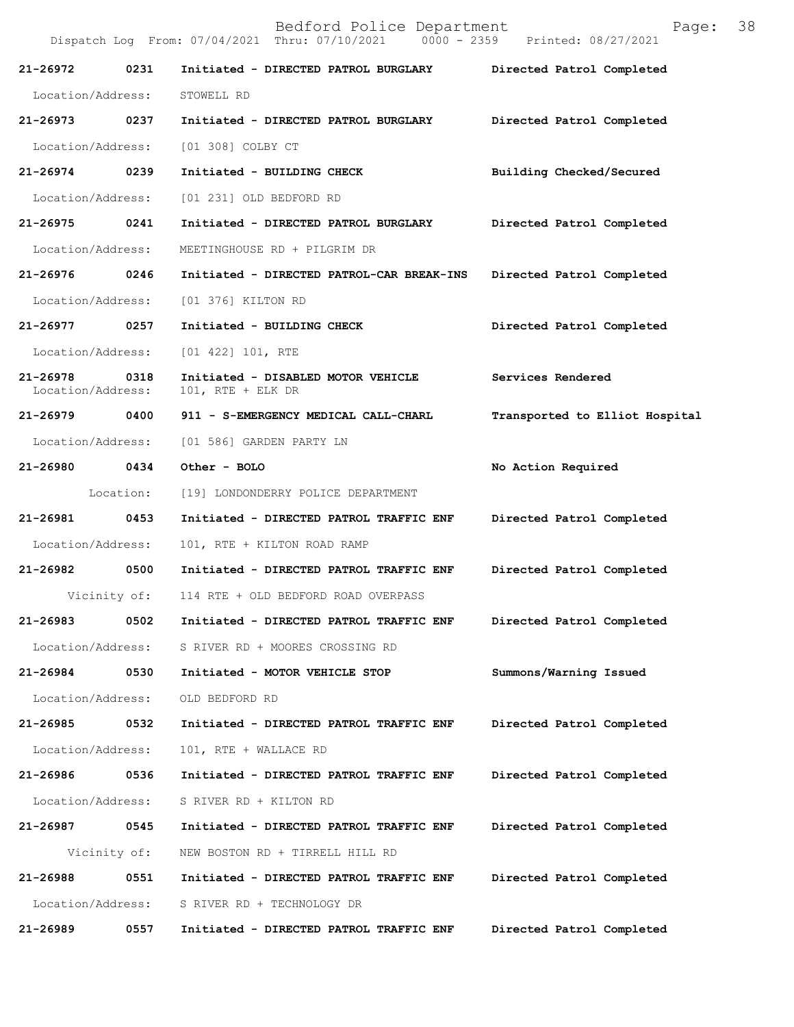Bedford Police Department Page: 38 Dispatch Log From: 07/04/2021 Thru: 07/10/2021 **21-26972 0231 Initiated - DIRECTED PATROL BURGLARY Directed Patrol Completed**  Location/Address: STOWELL RD **21-26973 0237 Initiated - DIRECTED PATROL BURGLARY Directed Patrol Completed**  Location/Address: [01 308] COLBY CT **21-26974 0239 Initiated - BUILDING CHECK Building Checked/Secured**  Location/Address: [01 231] OLD BEDFORD RD **21-26975 0241 Initiated - DIRECTED PATROL BURGLARY Directed Patrol Completed**  Location/Address: MEETINGHOUSE RD + PILGRIM DR **21-26976 0246 Initiated - DIRECTED PATROL-CAR BREAK-INS Directed Patrol Completed**  Location/Address: [01 376] KILTON RD **21-26977 0257 Initiated - BUILDING CHECK Directed Patrol Completed**  Location/Address: [01 422] 101, RTE **21-26978 0318 Initiated - DISABLED MOTOR VEHICLE Services Rendered**  Location/Address: 101, RTE + ELK DR **21-26979 0400 911 - S-EMERGENCY MEDICAL CALL-CHARL Transported to Elliot Hospital** Location/Address: [01 586] GARDEN PARTY LN **21-26980 0434 Other - BOLO No Action Required**  Location: [19] LONDONDERRY POLICE DEPARTMENT **21-26981 0453 Initiated - DIRECTED PATROL TRAFFIC ENF Directed Patrol Completed**  Location/Address: 101, RTE + KILTON ROAD RAMP **21-26982 0500 Initiated - DIRECTED PATROL TRAFFIC ENF Directed Patrol Completed**  Vicinity of: 114 RTE + OLD BEDFORD ROAD OVERPASS **21-26983 0502 Initiated - DIRECTED PATROL TRAFFIC ENF Directed Patrol Completed**  Location/Address: S RIVER RD + MOORES CROSSING RD **21-26984 0530 Initiated - MOTOR VEHICLE STOP Summons/Warning Issued**  Location/Address: OLD BEDFORD RD **21-26985 0532 Initiated - DIRECTED PATROL TRAFFIC ENF Directed Patrol Completed**  Location/Address: 101, RTE + WALLACE RD **21-26986 0536 Initiated - DIRECTED PATROL TRAFFIC ENF Directed Patrol Completed**  Location/Address: S RIVER RD + KILTON RD **21-26987 0545 Initiated - DIRECTED PATROL TRAFFIC ENF Directed Patrol Completed**  Vicinity of: NEW BOSTON RD + TIRRELL HILL RD **21-26988 0551 Initiated - DIRECTED PATROL TRAFFIC ENF Directed Patrol Completed**  Location/Address: S RIVER RD + TECHNOLOGY DR **21-26989 0557 Initiated - DIRECTED PATROL TRAFFIC ENF Directed Patrol Completed**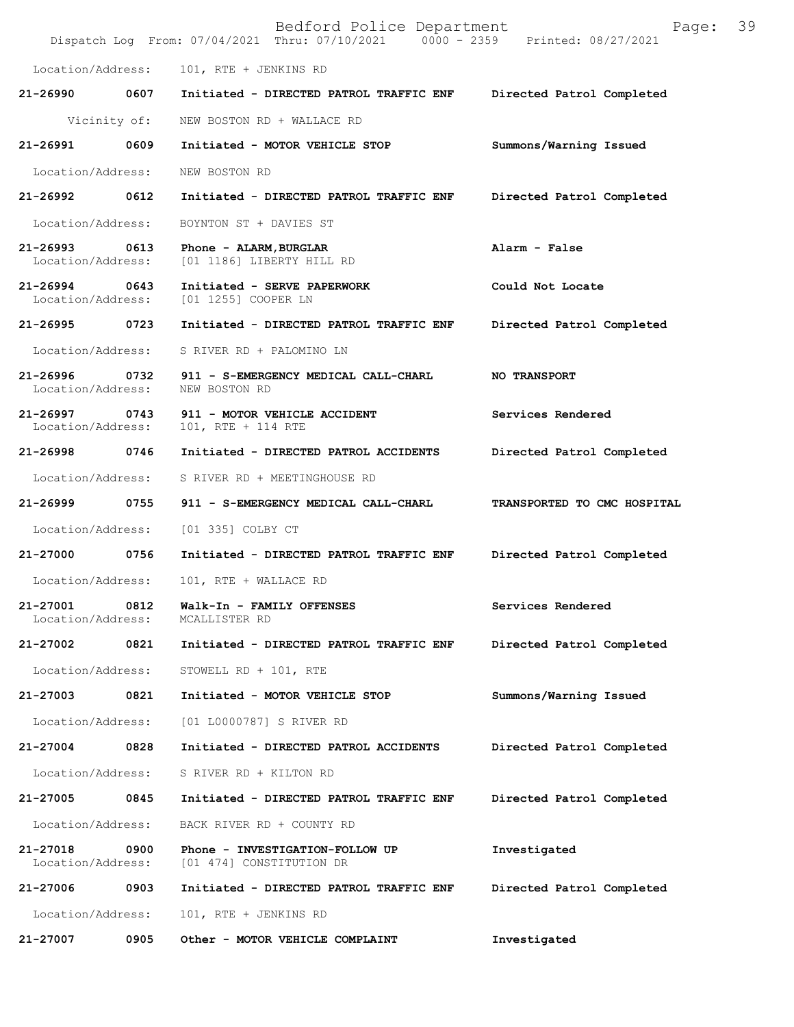|                                   |              | Bedford Police Department<br>Dispatch Log From: 07/04/2021 Thru: 07/10/2021 0000 - 2359 Printed: 08/27/2021 | 39<br>Page:                 |
|-----------------------------------|--------------|-------------------------------------------------------------------------------------------------------------|-----------------------------|
| Location/Address:                 |              | 101, RTE + JENKINS RD                                                                                       |                             |
| 21-26990                          | 0607         | Initiated - DIRECTED PATROL TRAFFIC ENF                                                                     | Directed Patrol Completed   |
|                                   | Vicinity of: | NEW BOSTON RD + WALLACE RD                                                                                  |                             |
| 21-26991                          | 0609         | Initiated - MOTOR VEHICLE STOP                                                                              | Summons/Warning Issued      |
| Location/Address:                 |              | NEW BOSTON RD                                                                                               |                             |
| 21-26992                          | 0612         | Initiated - DIRECTED PATROL TRAFFIC ENF                                                                     | Directed Patrol Completed   |
| Location/Address:                 |              | BOYNTON ST + DAVIES ST                                                                                      |                             |
| 21-26993<br>Location/Address:     | 0613         | Phone - ALARM, BURGLAR<br>[01 1186] LIBERTY HILL RD                                                         | Alarm - False               |
| $21 - 26994$<br>Location/Address: | 0643         | Initiated - SERVE PAPERWORK<br>[01 1255] COOPER LN                                                          | Could Not Locate            |
| 21-26995 0723                     |              | Initiated - DIRECTED PATROL TRAFFIC ENF                                                                     | Directed Patrol Completed   |
| Location/Address:                 |              | S RIVER RD + PALOMINO LN                                                                                    |                             |
| 21-26996<br>Location/Address:     | 0732         | 911 - S-EMERGENCY MEDICAL CALL-CHARL<br>NEW BOSTON RD                                                       | NO TRANSPORT                |
| 21-26997<br>Location/Address:     | 0743         | 911 - MOTOR VEHICLE ACCIDENT<br>101, RTE + 114 RTE                                                          | Services Rendered           |
| 21-26998                          | 0746         | Initiated - DIRECTED PATROL ACCIDENTS                                                                       | Directed Patrol Completed   |
| Location/Address:                 |              | S RIVER RD + MEETINGHOUSE RD                                                                                |                             |
| 21-26999                          | 0755         | 911 - S-EMERGENCY MEDICAL CALL-CHARL                                                                        | TRANSPORTED TO CMC HOSPITAL |
| Location/Address:                 |              | [01 335] COLBY CT                                                                                           |                             |
| 21-27000                          | 0756         | Initiated - DIRECTED PATROL TRAFFIC ENF                                                                     | Directed Patrol Completed   |
| Location/Address:                 |              | 101, RTE + WALLACE RD                                                                                       |                             |
| 21-27001<br>Location/Address:     | 0812         | Walk-In - FAMILY OFFENSES<br>MCALLISTER RD                                                                  | Services Rendered           |
| 21-27002                          | 0821         | Initiated - DIRECTED PATROL TRAFFIC ENF                                                                     | Directed Patrol Completed   |
| Location/Address:                 |              | STOWELL RD + 101, RTE                                                                                       |                             |
| 21-27003                          | 0821         | Initiated - MOTOR VEHICLE STOP                                                                              | Summons/Warning Issued      |
| Location/Address:                 |              | [01 L0000787] S RIVER RD                                                                                    |                             |
| 21-27004                          | 0828         | Initiated - DIRECTED PATROL ACCIDENTS                                                                       | Directed Patrol Completed   |
| Location/Address:                 |              | S RIVER RD + KILTON RD                                                                                      |                             |
| 21-27005                          | 0845         | Initiated - DIRECTED PATROL TRAFFIC ENF                                                                     | Directed Patrol Completed   |
| Location/Address:                 |              | BACK RIVER RD + COUNTY RD                                                                                   |                             |
| 21-27018<br>Location/Address:     | 0900         | Phone - INVESTIGATION-FOLLOW UP<br>[01 474] CONSTITUTION DR                                                 | Investigated                |
| 21-27006                          | 0903         | Initiated - DIRECTED PATROL TRAFFIC ENF                                                                     | Directed Patrol Completed   |
| Location/Address:                 |              | 101, RTE + JENKINS RD                                                                                       |                             |
| 21-27007                          | 0905         | Other - MOTOR VEHICLE COMPLAINT                                                                             | Investigated                |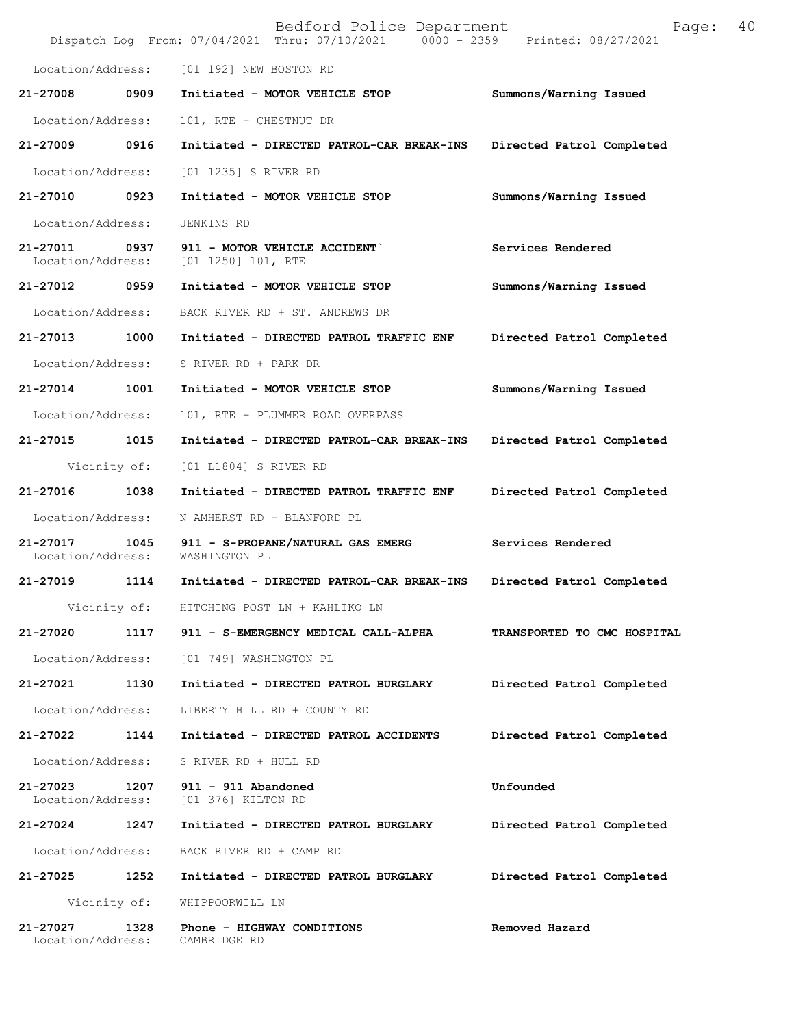|                               |              | Bedford Police Department<br>Dispatch Log From: 07/04/2021 Thru: 07/10/2021 0000 - 2359 Printed: 08/27/2021 | 40<br>Page:                 |
|-------------------------------|--------------|-------------------------------------------------------------------------------------------------------------|-----------------------------|
| Location/Address:             |              | [01 192] NEW BOSTON RD                                                                                      |                             |
| 21-27008                      | 0909         | Initiated - MOTOR VEHICLE STOP                                                                              | Summons/Warning Issued      |
| Location/Address:             |              | 101, RTE + CHESTNUT DR                                                                                      |                             |
| 21-27009                      | 0916         | Initiated - DIRECTED PATROL-CAR BREAK-INS                                                                   | Directed Patrol Completed   |
| Location/Address:             |              | [01 1235] S RIVER RD                                                                                        |                             |
| 21-27010 0923                 |              | Initiated - MOTOR VEHICLE STOP                                                                              | Summons/Warning Issued      |
| Location/Address:             |              | JENKINS RD                                                                                                  |                             |
| 21-27011<br>Location/Address: | 0937         | 911 - MOTOR VEHICLE ACCIDENT<br>$[01 1250] 101$ , RTE                                                       | Services Rendered           |
| 21-27012                      | 0959         | Initiated - MOTOR VEHICLE STOP                                                                              | Summons/Warning Issued      |
| Location/Address:             |              | BACK RIVER RD + ST. ANDREWS DR                                                                              |                             |
| 21-27013                      | 1000         | Initiated - DIRECTED PATROL TRAFFIC ENF                                                                     | Directed Patrol Completed   |
| Location/Address:             |              | S RIVER RD + PARK DR                                                                                        |                             |
| 21-27014                      | 1001         | Initiated - MOTOR VEHICLE STOP                                                                              | Summons/Warning Issued      |
| Location/Address:             |              | 101, RTE + PLUMMER ROAD OVERPASS                                                                            |                             |
| 21-27015                      | 1015         | Initiated - DIRECTED PATROL-CAR BREAK-INS                                                                   | Directed Patrol Completed   |
|                               | Vicinity of: | [01 L1804] S RIVER RD                                                                                       |                             |
| 21-27016                      | 1038         | Initiated - DIRECTED PATROL TRAFFIC ENF                                                                     | Directed Patrol Completed   |
| Location/Address:             |              | N AMHERST RD + BLANFORD PL                                                                                  |                             |
| 21-27017<br>Location/Address: | 1045         | 911 - S-PROPANE/NATURAL GAS EMERG<br>WASHINGTON PL                                                          | Services Rendered           |
| 21-27019                      | 1114         | Initiated - DIRECTED PATROL-CAR BREAK-INS                                                                   | Directed Patrol Completed   |
|                               | Vicinity of: | HITCHING POST LN + KAHLIKO LN                                                                               |                             |
| 21-27020                      | 1117         | 911 - S-EMERGENCY MEDICAL CALL-ALPHA                                                                        | TRANSPORTED TO CMC HOSPITAL |
| Location/Address:             |              | [01 749] WASHINGTON PL                                                                                      |                             |
| 21-27021                      | 1130         | Initiated - DIRECTED PATROL BURGLARY                                                                        | Directed Patrol Completed   |
| Location/Address:             |              | LIBERTY HILL RD + COUNTY RD                                                                                 |                             |
| 21-27022                      | 1144         | Initiated - DIRECTED PATROL ACCIDENTS                                                                       | Directed Patrol Completed   |
| Location/Address:             |              | S RIVER RD + HULL RD                                                                                        |                             |
| 21-27023<br>Location/Address: | 1207         | 911 - 911 Abandoned<br>[01 376] KILTON RD                                                                   | Unfounded                   |
| 21-27024                      | 1247         | Initiated - DIRECTED PATROL BURGLARY                                                                        | Directed Patrol Completed   |
| Location/Address:             |              | BACK RIVER RD + CAMP RD                                                                                     |                             |
| 21-27025                      | 1252         | Initiated - DIRECTED PATROL BURGLARY                                                                        | Directed Patrol Completed   |
|                               | Vicinity of: | WHIPPOORWILL LN                                                                                             |                             |
| 21-27027<br>Location/Address: | 1328         | Phone - HIGHWAY CONDITIONS<br>CAMBRIDGE RD                                                                  | Removed Hazard              |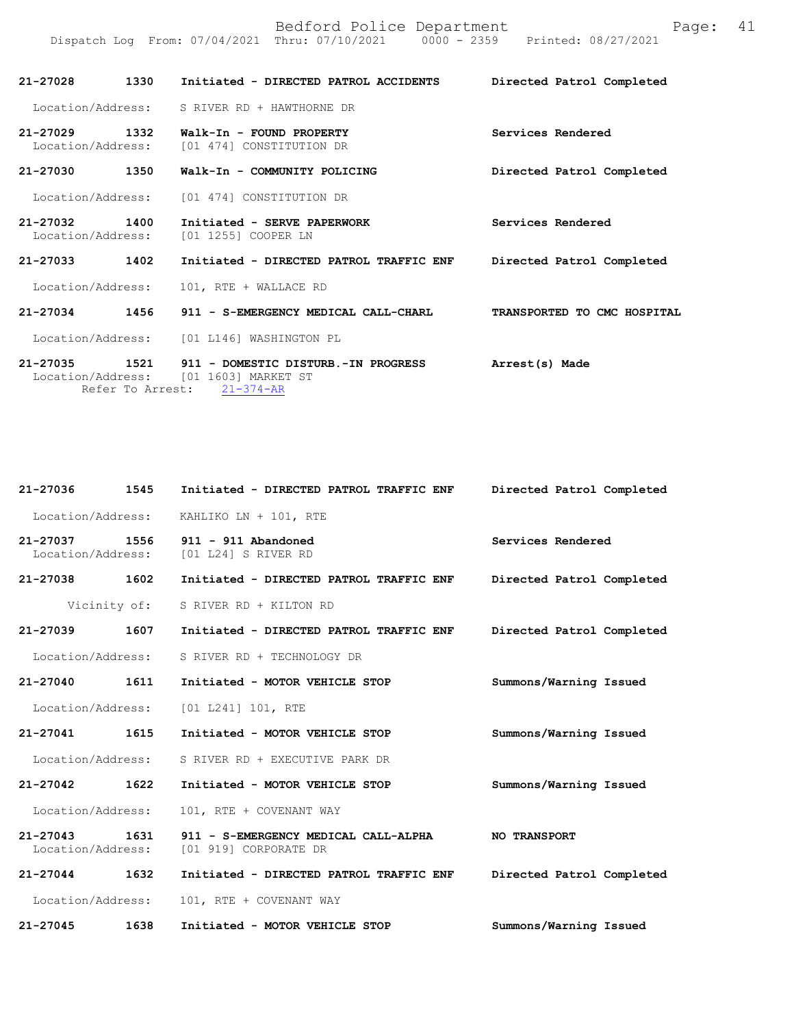| 21-27028                           | 1330 | Initiated - DIRECTED PATROL ACCIDENTS                                                                                                   | Directed Patrol Completed   |
|------------------------------------|------|-----------------------------------------------------------------------------------------------------------------------------------------|-----------------------------|
|                                    |      | Location/Address: S RIVER RD + HAWTHORNE DR                                                                                             |                             |
| 21–27029 1332<br>Location/Address: |      | Walk-In - FOUND PROPERTY<br>[01 474] CONSTITUTION DR                                                                                    | Services Rendered           |
| 21-27030                           | 1350 | Walk-In - COMMUNITY POLICING                                                                                                            | Directed Patrol Completed   |
|                                    |      | Location/Address: [01 474] CONSTITUTION DR                                                                                              |                             |
| 21-27032 1400<br>Location/Address: |      | Initiated - SERVE PAPERWORK<br>[01 1255] COOPER LN                                                                                      | Services Rendered           |
| 21-27033                           | 1402 | Initiated - DIRECTED PATROL TRAFFIC ENF Directed Patrol Completed                                                                       |                             |
| Location/Address:                  |      | 101, RTE + WALLACE RD                                                                                                                   |                             |
| 21-27034                           | 1456 | 911 - S-EMERGENCY MEDICAL CALL-CHARL                                                                                                    | TRANSPORTED TO CMC HOSPITAL |
|                                    |      | Location/Address: [01 L146] WASHINGTON PL                                                                                               |                             |
|                                    |      | 21-27035 1521 911 - DOMESTIC DISTURB.-IN PROGRESS Arrest(s) Made<br>Location/Address: [01 1603] MARKET ST<br>Refer To Arrest: 21-374-AR |                             |

Dispatch Log From: 07/04/2021 Thru: 07/10/2021 0000 - 2359 Printed: 08/27/2021

| 21-27036                           | 1545 | Initiated - DIRECTED PATROL TRAFFIC ENF                       | Directed Patrol Completed |
|------------------------------------|------|---------------------------------------------------------------|---------------------------|
| Location/Address:                  |      | KAHLIKO LN + 101, RTE                                         |                           |
| 21-27037<br>Location/Address:      | 1556 | 911 - 911 Abandoned<br>[01 L24] S RIVER RD                    | Services Rendered         |
| 21-27038 1602                      |      | Initiated - DIRECTED PATROL TRAFFIC ENF                       | Directed Patrol Completed |
| Vicinity of:                       |      | S RIVER RD + KILTON RD                                        |                           |
| 21-27039 1607                      |      | Initiated - DIRECTED PATROL TRAFFIC ENF                       | Directed Patrol Completed |
| Location/Address:                  |      | S RIVER RD + TECHNOLOGY DR                                    |                           |
| 21-27040 1611                      |      | Initiated - MOTOR VEHICLE STOP                                | Summons/Warning Issued    |
| Location/Address:                  |      | [01 L241] 101, RTE                                            |                           |
| 21-27041 1615                      |      | Initiated - MOTOR VEHICLE STOP                                | Summons/Warning Issued    |
| Location/Address:                  |      | S RIVER RD + EXECUTIVE PARK DR                                |                           |
| 21-27042 1622                      |      | Initiated - MOTOR VEHICLE STOP                                | Summons/Warning Issued    |
| Location/Address:                  |      | 101, RTE + COVENANT WAY                                       |                           |
| 21-27043 1631<br>Location/Address: |      | 911 - S-EMERGENCY MEDICAL CALL-ALPHA<br>[01 919] CORPORATE DR | <b>NO TRANSPORT</b>       |
| 21-27044 1632                      |      | Initiated - DIRECTED PATROL TRAFFIC ENF                       | Directed Patrol Completed |
| Location/Address:                  |      | 101, RTE + COVENANT WAY                                       |                           |
| $21 - 27045$                       | 1638 | Initiated - MOTOR VEHICLE STOP                                | Summons/Warning Issued    |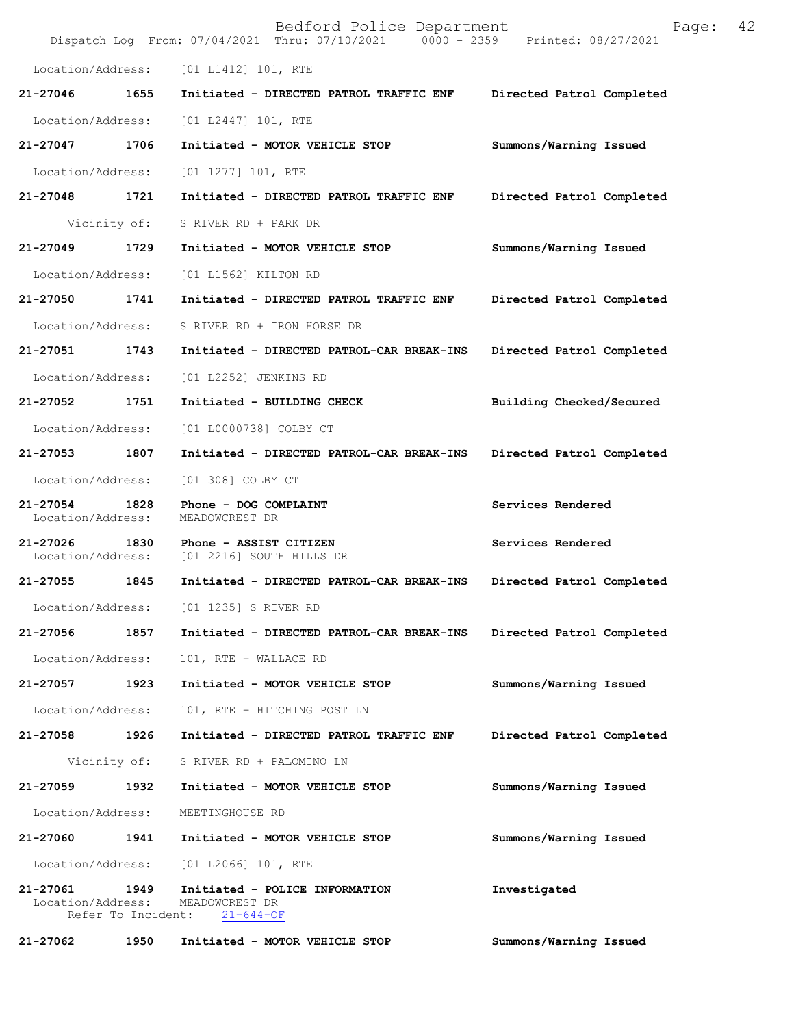|                               |                            | Bedford Police Department<br>Dispatch Log From: 07/04/2021 Thru: 07/10/2021 0000 - 2359 Printed: 08/27/2021 | Page:                     | 42 |
|-------------------------------|----------------------------|-------------------------------------------------------------------------------------------------------------|---------------------------|----|
| Location/Address:             |                            | [01 L1412] 101, RTE                                                                                         |                           |    |
| 21-27046                      | 1655                       | Initiated - DIRECTED PATROL TRAFFIC ENF                                                                     | Directed Patrol Completed |    |
| Location/Address:             |                            | $[01 L2447] 101$ , RTE                                                                                      |                           |    |
| 21-27047                      | 1706                       | Initiated - MOTOR VEHICLE STOP                                                                              | Summons/Warning Issued    |    |
| Location/Address:             |                            | $[01 1277] 101$ , RTE                                                                                       |                           |    |
| 21-27048                      | 1721                       | Initiated - DIRECTED PATROL TRAFFIC ENF                                                                     | Directed Patrol Completed |    |
|                               | Vicinity of:               | S RIVER RD + PARK DR                                                                                        |                           |    |
| 21-27049                      | 1729                       | Initiated - MOTOR VEHICLE STOP                                                                              | Summons/Warning Issued    |    |
| Location/Address:             |                            | [01 L1562] KILTON RD                                                                                        |                           |    |
| 21-27050                      | 1741                       | Initiated - DIRECTED PATROL TRAFFIC ENF                                                                     | Directed Patrol Completed |    |
| Location/Address:             |                            | S RIVER RD + IRON HORSE DR                                                                                  |                           |    |
| 21-27051                      | 1743                       | Initiated - DIRECTED PATROL-CAR BREAK-INS                                                                   | Directed Patrol Completed |    |
| Location/Address:             |                            | [01 L2252] JENKINS RD                                                                                       |                           |    |
| 21-27052                      | 1751                       | Initiated - BUILDING CHECK                                                                                  | Building Checked/Secured  |    |
| Location/Address:             |                            | [01 L0000738] COLBY CT                                                                                      |                           |    |
| 21-27053                      | 1807                       | Initiated - DIRECTED PATROL-CAR BREAK-INS                                                                   | Directed Patrol Completed |    |
| Location/Address:             |                            | [01 308] COLBY CT                                                                                           |                           |    |
| 21-27054<br>Location/Address: | 1828                       | Phone - DOG COMPLAINT<br>MEADOWCREST DR                                                                     | Services Rendered         |    |
| 21-27026<br>Location/Address: | 1830                       | Phone - ASSIST CITIZEN<br>[01 2216] SOUTH HILLS DR                                                          | Services Rendered         |    |
| 21-27055                      | 1845                       | Initiated - DIRECTED PATROL-CAR BREAK-INS                                                                   | Directed Patrol Completed |    |
| Location/Address:             |                            | [01 1235] S RIVER RD                                                                                        |                           |    |
| 21-27056                      | 1857                       | Initiated - DIRECTED PATROL-CAR BREAK-INS                                                                   | Directed Patrol Completed |    |
| Location/Address:             |                            | 101, RTE + WALLACE RD                                                                                       |                           |    |
| 21-27057                      | 1923                       | Initiated - MOTOR VEHICLE STOP                                                                              | Summons/Warning Issued    |    |
| Location/Address:             |                            | 101, RTE + HITCHING POST LN                                                                                 |                           |    |
| 21-27058                      | 1926                       | Initiated - DIRECTED PATROL TRAFFIC ENF                                                                     | Directed Patrol Completed |    |
|                               | Vicinity of:               | S RIVER RD + PALOMINO LN                                                                                    |                           |    |
| 21-27059                      | 1932                       | Initiated - MOTOR VEHICLE STOP                                                                              | Summons/Warning Issued    |    |
| Location/Address:             |                            | MEETINGHOUSE RD                                                                                             |                           |    |
| 21-27060                      | 1941                       | Initiated - MOTOR VEHICLE STOP                                                                              | Summons/Warning Issued    |    |
| Location/Address:             |                            | $[01 L2066] 101$ , RTE                                                                                      |                           |    |
| 21-27061<br>Location/Address: | 1949<br>Refer To Incident: | Initiated - POLICE INFORMATION<br>MEADOWCREST DR<br>$21 - 644 - OF$                                         | Investigated              |    |
| 21-27062                      | 1950                       | Initiated - MOTOR VEHICLE STOP                                                                              | Summons/Warning Issued    |    |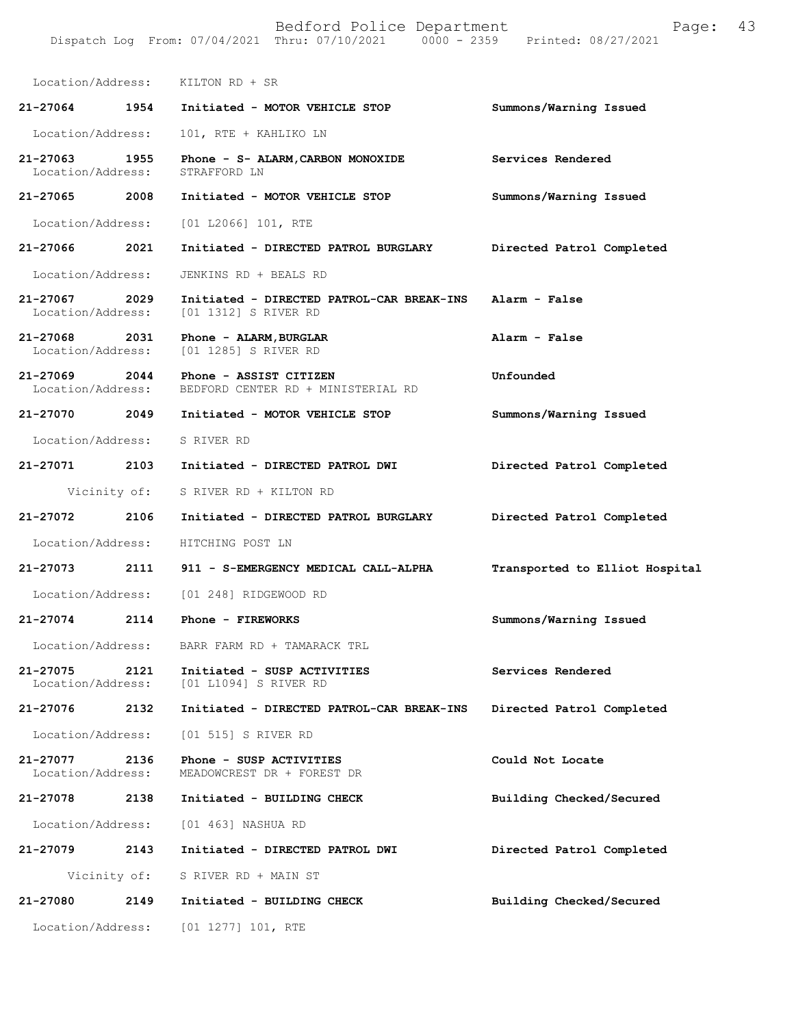Location/Address: KILTON RD + SR **21-27064 1954 Initiated - MOTOR VEHICLE STOP Summons/Warning Issued**  Location/Address: 101, RTE + KAHLIKO LN **21-27063 1955 Phone - S- ALARM, CARBON MONOXIDE** Services Rendered Location/Address: STRAFFORD LN Location/Address: **21-27065 2008 Initiated - MOTOR VEHICLE STOP Summons/Warning Issued**  Location/Address: [01 L2066] 101, RTE **21-27066 2021 Initiated - DIRECTED PATROL BURGLARY Directed Patrol Completed**  Location/Address: JENKINS RD + BEALS RD **21-27067 2029 Initiated - DIRECTED PATROL-CAR BREAK-INS Alarm - False**  [01 1312] S RIVER RD **21-27068 2031 Phone - ALARM,BURGLAR Alarm - False**  [01 1285] S RIVER RD **21-27069 2044 Phone - ASSIST CITIZEN Unfounded**  Location/Address: BEDFORD CENTER RD + MINISTERIAL RD **21-27070 2049 Initiated - MOTOR VEHICLE STOP Summons/Warning Issued**  Location/Address: S RIVER RD **21-27071 2103 Initiated - DIRECTED PATROL DWI Directed Patrol Completed**  Vicinity of: S RIVER RD + KILTON RD **21-27072 2106 Initiated - DIRECTED PATROL BURGLARY Directed Patrol Completed**  Location/Address: HITCHING POST LN **21-27073 2111 911 - S-EMERGENCY MEDICAL CALL-ALPHA Transported to Elliot Hospital** Location/Address: [01 248] RIDGEWOOD RD **21-27074 2114 Phone - FIREWORKS Summons/Warning Issued**  Location/Address: BARR FARM RD + TAMARACK TRL **21-27075 2121 Initiated - SUSP ACTIVITIES Services Rendered**  Location/Address: [01 L1094] S RIVER RD **21-27076 2132 Initiated - DIRECTED PATROL-CAR BREAK-INS Directed Patrol Completed**  Location/Address: [01 515] S RIVER RD **21-27077 2136 Phone - SUSP ACTIVITIES Could Not Locate**  Location/Address: MEADOWCREST DR + FOREST DR **21-27078 2138 Initiated - BUILDING CHECK Building Checked/Secured**  Location/Address: [01 463] NASHUA RD **21-27079 2143 Initiated - DIRECTED PATROL DWI Directed Patrol Completed**  Vicinity of: S RIVER RD + MAIN ST **21-27080 2149 Initiated - BUILDING CHECK Building Checked/Secured**  Location/Address: [01 1277] 101, RTE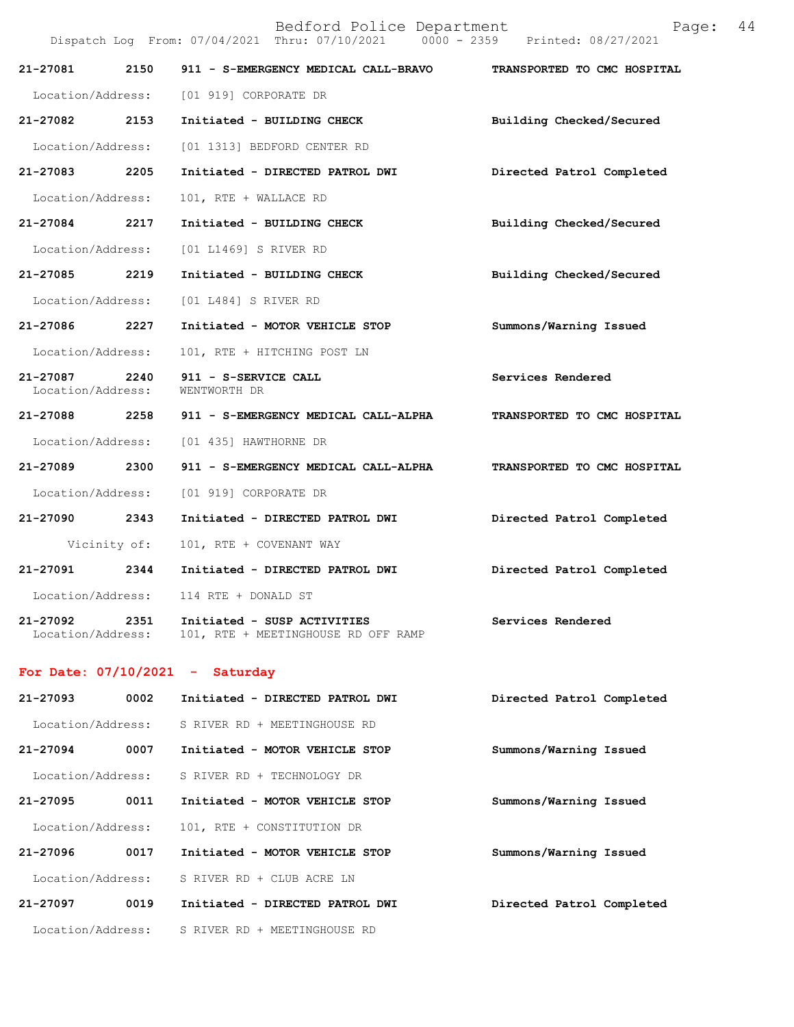Dispatch Log From: 07/04/2021 Thru: 07/10/2021 0000 - 2359 Printed: 08/27/2021

| 21-27081                      | 2150         | 911 - S-EMERGENCY MEDICAL CALL-BRAVO                               | TRANSPORTED TO CMC HOSPITAL |
|-------------------------------|--------------|--------------------------------------------------------------------|-----------------------------|
|                               |              | Location/Address: [01 919] CORPORATE DR                            |                             |
| 21-27082 2153                 |              | Initiated - BUILDING CHECK                                         | Building Checked/Secured    |
| Location/Address:             |              | [01 1313] BEDFORD CENTER RD                                        |                             |
| 21-27083                      | 2205         | Initiated - DIRECTED PATROL DWI                                    | Directed Patrol Completed   |
| Location/Address:             |              | 101, RTE + WALLACE RD                                              |                             |
| 21-27084 2217                 |              | Initiated - BUILDING CHECK                                         | Building Checked/Secured    |
| Location/Address:             |              | [01 L1469] S RIVER RD                                              |                             |
| 21-27085 2219                 |              | Initiated - BUILDING CHECK                                         | Building Checked/Secured    |
| Location/Address:             |              | [01 L484] S RIVER RD                                               |                             |
| 21-27086 2227                 |              | Initiated - MOTOR VEHICLE STOP                                     | Summons/Warning Issued      |
| Location/Address:             |              | 101, RTE + HITCHING POST LN                                        |                             |
| 21-27087<br>Location/Address: | 2240         | 911 - S-SERVICE CALL<br>WENTWORTH DR                               | Services Rendered           |
| 21-27088 2258                 |              | 911 - S-EMERGENCY MEDICAL CALL-ALPHA                               | TRANSPORTED TO CMC HOSPITAL |
| Location/Address:             |              | [01 435] HAWTHORNE DR                                              |                             |
| 21-27089 2300                 |              | 911 - S-EMERGENCY MEDICAL CALL-ALPHA                               | TRANSPORTED TO CMC HOSPITAL |
| Location/Address:             |              | [01 919] CORPORATE DR                                              |                             |
| 21-27090 2343                 |              | Initiated - DIRECTED PATROL DWI                                    | Directed Patrol Completed   |
|                               | Vicinity of: | 101, RTE + COVENANT WAY                                            |                             |
| 21-27091                      | 2344         | Initiated - DIRECTED PATROL DWI                                    | Directed Patrol Completed   |
| Location/Address:             |              | 114 RTE + DONALD ST                                                |                             |
| 21-27092<br>Location/Address: | 2351         | Initiated - SUSP ACTIVITIES<br>101, RTE + MEETINGHOUSE RD OFF RAMP | Services Rendered           |

# **For Date: 07/10/2021 - Saturday**

| $21 - 27093$      | 0002 | Initiated - DIRECTED PATROL DWI | Directed Patrol Completed |
|-------------------|------|---------------------------------|---------------------------|
| Location/Address: |      | S RIVER RD + MEETINGHOUSE RD    |                           |
| $21 - 27094$      | 0007 | Initiated - MOTOR VEHICLE STOP  | Summons/Warning Issued    |
| Location/Address: |      | S RIVER RD + TECHNOLOGY DR      |                           |
| 21-27095          | 0011 | Initiated - MOTOR VEHICLE STOP  | Summons/Warning Issued    |
| Location/Address: |      | 101, RTE + CONSTITUTION DR      |                           |
| 21-27096          | 0017 | Initiated - MOTOR VEHICLE STOP  | Summons/Warning Issued    |
| Location/Address: |      | S RIVER RD + CLUB ACRE LN       |                           |
| $21 - 27097$      | 0019 | Initiated - DIRECTED PATROL DWI | Directed Patrol Completed |
| Location/Address: |      | S RIVER RD + MEETINGHOUSE RD    |                           |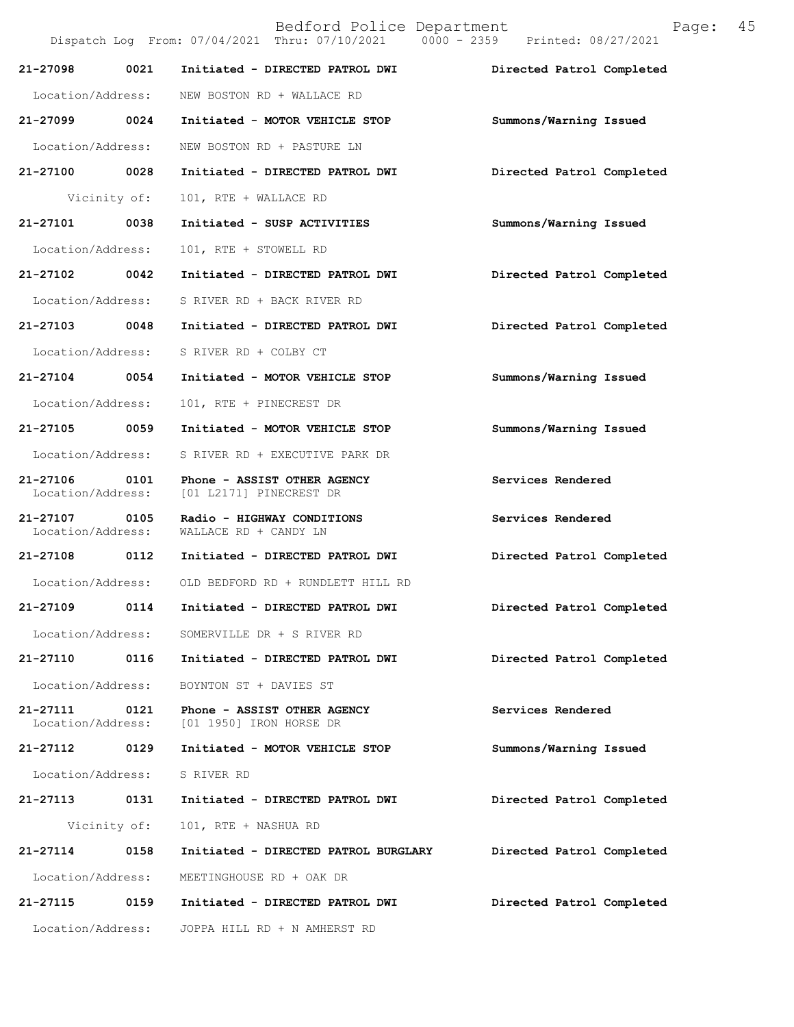|                                    |              | Dispatch Log From: 07/04/2021 Thru: 07/10/2021 0000 - 2359 Printed: 08/27/2021 |                           |
|------------------------------------|--------------|--------------------------------------------------------------------------------|---------------------------|
| 21-27098                           | 0021         | Initiated - DIRECTED PATROL DWI                                                | Directed Patrol Completed |
| Location/Address:                  |              | NEW BOSTON RD + WALLACE RD                                                     |                           |
| 21-27099 0024                      |              | Initiated - MOTOR VEHICLE STOP                                                 | Summons/Warning Issued    |
| Location/Address:                  |              | NEW BOSTON RD + PASTURE LN                                                     |                           |
| 21-27100 0028                      |              | Initiated - DIRECTED PATROL DWI                                                | Directed Patrol Completed |
|                                    | Vicinity of: | 101, RTE + WALLACE RD                                                          |                           |
| 21-27101 0038                      |              | Initiated - SUSP ACTIVITIES                                                    | Summons/Warning Issued    |
| Location/Address:                  |              | 101, RTE + STOWELL RD                                                          |                           |
| 21-27102 0042                      |              | Initiated - DIRECTED PATROL DWI                                                | Directed Patrol Completed |
| Location/Address:                  |              | S RIVER RD + BACK RIVER RD                                                     |                           |
| 21-27103 0048                      |              | Initiated - DIRECTED PATROL DWI                                                | Directed Patrol Completed |
| Location/Address:                  |              | S RIVER RD + COLBY CT                                                          |                           |
| 21-27104 0054                      |              | Initiated - MOTOR VEHICLE STOP                                                 | Summons/Warning Issued    |
| Location/Address:                  |              | 101, RTE + PINECREST DR                                                        |                           |
| 21-27105 0059                      |              | Initiated - MOTOR VEHICLE STOP                                                 | Summons/Warning Issued    |
| Location/Address:                  |              | S RIVER RD + EXECUTIVE PARK DR                                                 |                           |
| 21-27106<br>Location/Address:      | 0101         | Phone - ASSIST OTHER AGENCY<br>[01 L2171] PINECREST DR                         | Services Rendered         |
| 21-27107 0105<br>Location/Address: |              | Radio - HIGHWAY CONDITIONS<br>WALLACE RD + CANDY LN                            | Services Rendered         |
| 21-27108 0112                      |              | Initiated - DIRECTED PATROL DWI                                                | Directed Patrol Completed |
| Location/Address:                  |              | OLD BEDFORD RD + RUNDLETT HILL RD                                              |                           |
| 21-27109                           | 0114         | Initiated - DIRECTED PATROL DWI                                                | Directed Patrol Completed |
| Location/Address:                  |              | SOMERVILLE DR + S RIVER RD                                                     |                           |
| 21-27110                           | 0116         | Initiated - DIRECTED PATROL DWI                                                | Directed Patrol Completed |
| Location/Address:                  |              | BOYNTON ST + DAVIES ST                                                         |                           |
| 21-27111<br>Location/Address:      | 0121         | Phone - ASSIST OTHER AGENCY<br>[01 1950] IRON HORSE DR                         | Services Rendered         |
| 21-27112                           | 0129         | Initiated - MOTOR VEHICLE STOP                                                 | Summons/Warning Issued    |
| Location/Address:                  |              | S RIVER RD                                                                     |                           |
| 21-27113                           | 0131         | Initiated - DIRECTED PATROL DWI                                                | Directed Patrol Completed |
|                                    | Vicinity of: | 101, RTE + NASHUA RD                                                           |                           |
| $21 - 27114$                       | 0158         | Initiated - DIRECTED PATROL BURGLARY                                           | Directed Patrol Completed |
| Location/Address:                  |              | MEETINGHOUSE RD + OAK DR                                                       |                           |
| 21-27115                           | 0159         | Initiated - DIRECTED PATROL DWI                                                | Directed Patrol Completed |
| Location/Address:                  |              | JOPPA HILL RD + N AMHERST RD                                                   |                           |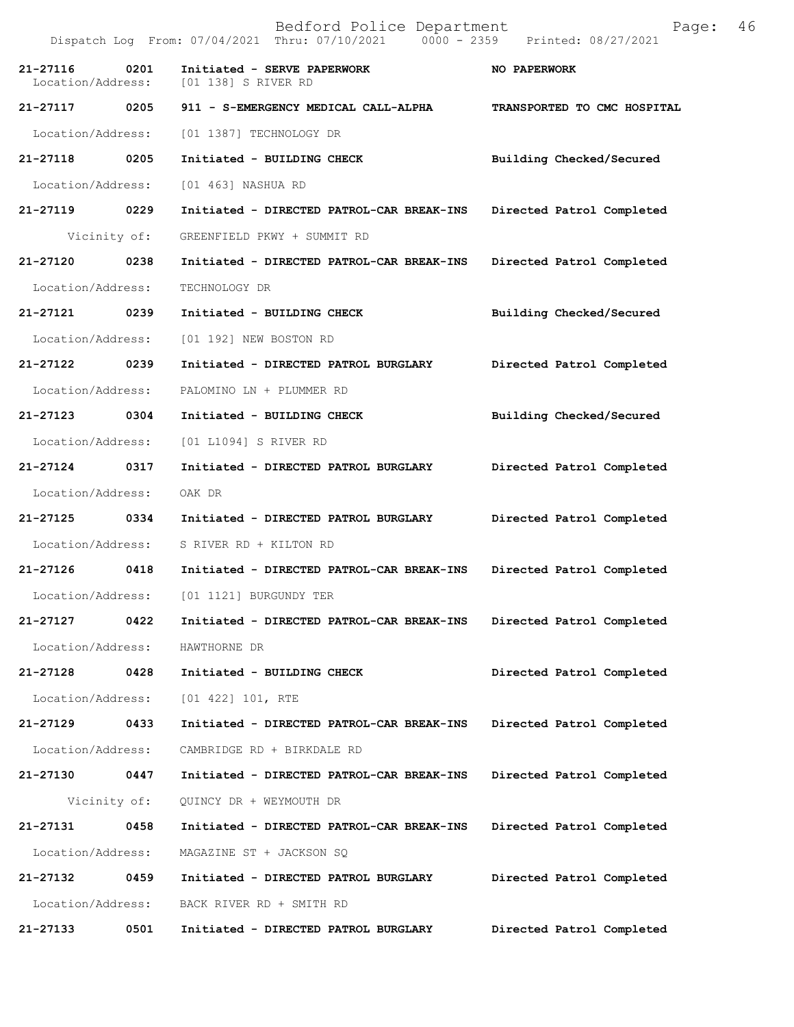Dispatch Log From: 07/04/2021 Thru: 07/10/2021 0000 - 2359 Printed: 08/27/2021 **21-27116 0201 Initiated - SERVE PAPERWORK MO PAPERWORK** Location/Address: [01 138] S RIVER RD Location/Address: **21-27117 0205 911 - S-EMERGENCY MEDICAL CALL-ALPHA TRANSPORTED TO CMC HOSPITAL**  Location/Address: [01 1387] TECHNOLOGY DR **21-27118 0205 Initiated - BUILDING CHECK Building Checked/Secured**  Location/Address: [01 463] NASHUA RD **21-27119 0229 Initiated - DIRECTED PATROL-CAR BREAK-INS Directed Patrol Completed**  Vicinity of: GREENFIELD PKWY + SUMMIT RD **21-27120 0238 Initiated - DIRECTED PATROL-CAR BREAK-INS Directed Patrol Completed**  Location/Address: TECHNOLOGY DR **21-27121 0239 Initiated - BUILDING CHECK Building Checked/Secured**  Location/Address: [01 192] NEW BOSTON RD **21-27122 0239 Initiated - DIRECTED PATROL BURGLARY Directed Patrol Completed**  Location/Address: PALOMINO LN + PLUMMER RD **21-27123 0304 Initiated - BUILDING CHECK Building Checked/Secured**  Location/Address: [01 L1094] S RIVER RD **21-27124 0317 Initiated - DIRECTED PATROL BURGLARY Directed Patrol Completed**  Location/Address: OAK DR **21-27125 0334 Initiated - DIRECTED PATROL BURGLARY Directed Patrol Completed**  Location/Address: S RIVER RD + KILTON RD **21-27126 0418 Initiated - DIRECTED PATROL-CAR BREAK-INS Directed Patrol Completed**  Location/Address: [01 1121] BURGUNDY TER **21-27127 0422 Initiated - DIRECTED PATROL-CAR BREAK-INS Directed Patrol Completed**  Location/Address: HAWTHORNE DR **21-27128 0428 Initiated - BUILDING CHECK Directed Patrol Completed**  Location/Address: [01 422] 101, RTE **21-27129 0433 Initiated - DIRECTED PATROL-CAR BREAK-INS Directed Patrol Completed**  Location/Address: CAMBRIDGE RD + BIRKDALE RD **21-27130 0447 Initiated - DIRECTED PATROL-CAR BREAK-INS Directed Patrol Completed**  Vicinity of: QUINCY DR + WEYMOUTH DR **21-27131 0458 Initiated - DIRECTED PATROL-CAR BREAK-INS Directed Patrol Completed**  Location/Address: MAGAZINE ST + JACKSON SQ **21-27132 0459 Initiated - DIRECTED PATROL BURGLARY Directed Patrol Completed**  Location/Address: BACK RIVER RD + SMITH RD **21-27133 0501 Initiated - DIRECTED PATROL BURGLARY Directed Patrol Completed**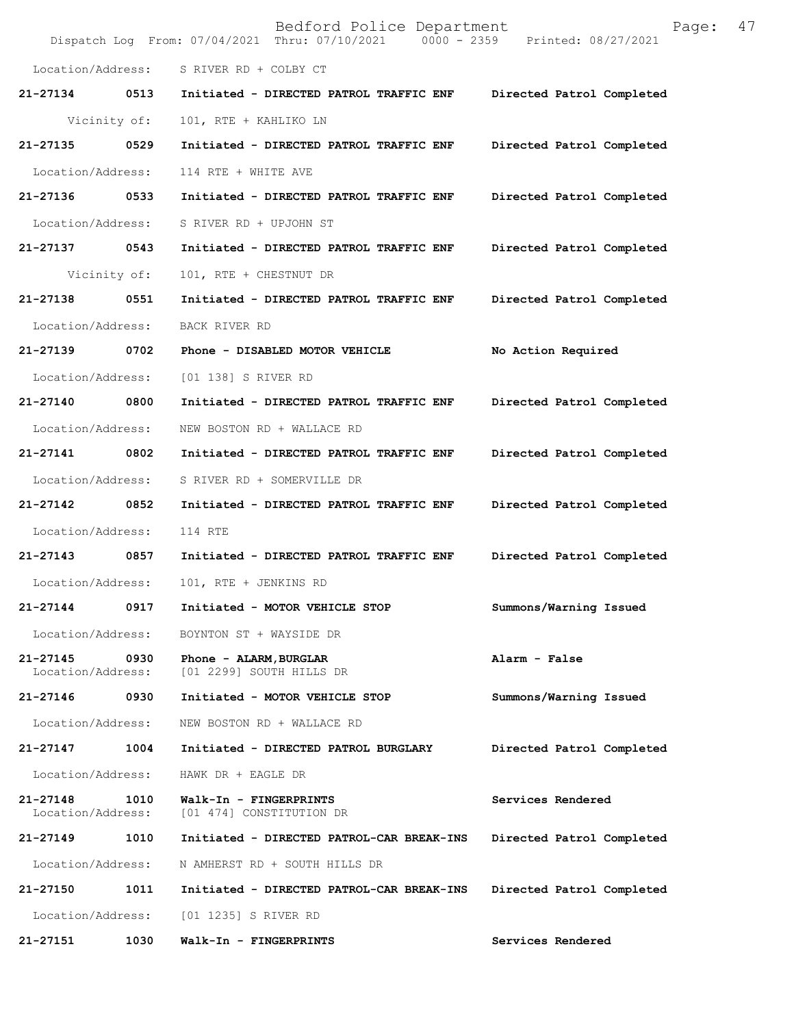|                               |              | Bedford Police Department<br>Dispatch Log From: 07/04/2021 Thru: 07/10/2021 0000 - 2359 | Page:<br>Printed: 08/27/2021 | 47 |
|-------------------------------|--------------|-----------------------------------------------------------------------------------------|------------------------------|----|
| Location/Address:             |              | S RIVER RD + COLBY CT                                                                   |                              |    |
| 21-27134                      | 0513         | Initiated - DIRECTED PATROL TRAFFIC ENF                                                 | Directed Patrol Completed    |    |
|                               | Vicinity of: | 101, RTE + KAHLIKO LN                                                                   |                              |    |
| 21-27135                      | 0529         | Initiated - DIRECTED PATROL TRAFFIC ENF                                                 | Directed Patrol Completed    |    |
| Location/Address:             |              | 114 RTE + WHITE AVE                                                                     |                              |    |
| 21-27136                      | 0533         | Initiated - DIRECTED PATROL TRAFFIC ENF                                                 | Directed Patrol Completed    |    |
| Location/Address:             |              | S RIVER RD + UPJOHN ST                                                                  |                              |    |
| 21-27137                      | 0543         | Initiated - DIRECTED PATROL TRAFFIC ENF                                                 | Directed Patrol Completed    |    |
|                               | Vicinity of: | 101, RTE + CHESTNUT DR                                                                  |                              |    |
| 21-27138                      | 0551         | Initiated - DIRECTED PATROL TRAFFIC ENF                                                 | Directed Patrol Completed    |    |
| Location/Address:             |              | BACK RIVER RD                                                                           |                              |    |
| 21-27139                      | 0702         | Phone - DISABLED MOTOR VEHICLE                                                          | No Action Required           |    |
| Location/Address:             |              | [01 138] S RIVER RD                                                                     |                              |    |
| 21-27140                      | 0800         | Initiated - DIRECTED PATROL TRAFFIC ENF                                                 | Directed Patrol Completed    |    |
| Location/Address:             |              | NEW BOSTON RD + WALLACE RD                                                              |                              |    |
| 21-27141                      | 0802         | Initiated - DIRECTED PATROL TRAFFIC ENF                                                 | Directed Patrol Completed    |    |
| Location/Address:             |              | S RIVER RD + SOMERVILLE DR                                                              |                              |    |
| 21-27142                      | 0852         | Initiated - DIRECTED PATROL TRAFFIC ENF                                                 | Directed Patrol Completed    |    |
| Location/Address:             |              | 114 RTE                                                                                 |                              |    |
| 21-27143                      | 0857         | Initiated - DIRECTED PATROL TRAFFIC ENF                                                 | Directed Patrol Completed    |    |
| Location/Address:             |              | 101, RTE + JENKINS RD                                                                   |                              |    |
| 21-27144                      | 0917         | Initiated - MOTOR VEHICLE STOP                                                          | Summons/Warning Issued       |    |
| Location/Address:             |              | BOYNTON ST + WAYSIDE DR                                                                 |                              |    |
| 21-27145<br>Location/Address: | 0930         | Phone - ALARM, BURGLAR<br>[01 2299] SOUTH HILLS DR                                      | Alarm - False                |    |
| 21-27146                      | 0930         | Initiated - MOTOR VEHICLE STOP                                                          | Summons/Warning Issued       |    |
| Location/Address:             |              | NEW BOSTON RD + WALLACE RD                                                              |                              |    |
| 21-27147                      | 1004         | Initiated - DIRECTED PATROL BURGLARY                                                    | Directed Patrol Completed    |    |
| Location/Address:             |              | HAWK DR + EAGLE DR                                                                      |                              |    |
| 21-27148<br>Location/Address: | 1010         | Walk-In - FINGERPRINTS<br>[01 474] CONSTITUTION DR                                      | Services Rendered            |    |
| 21-27149                      | 1010         | Initiated - DIRECTED PATROL-CAR BREAK-INS                                               | Directed Patrol Completed    |    |
| Location/Address:             |              | N AMHERST RD + SOUTH HILLS DR                                                           |                              |    |
| 21-27150                      | 1011         | Initiated - DIRECTED PATROL-CAR BREAK-INS                                               | Directed Patrol Completed    |    |
| Location/Address:             |              | [01 1235] S RIVER RD                                                                    |                              |    |
| 21-27151                      | 1030         | Walk-In - FINGERPRINTS                                                                  | Services Rendered            |    |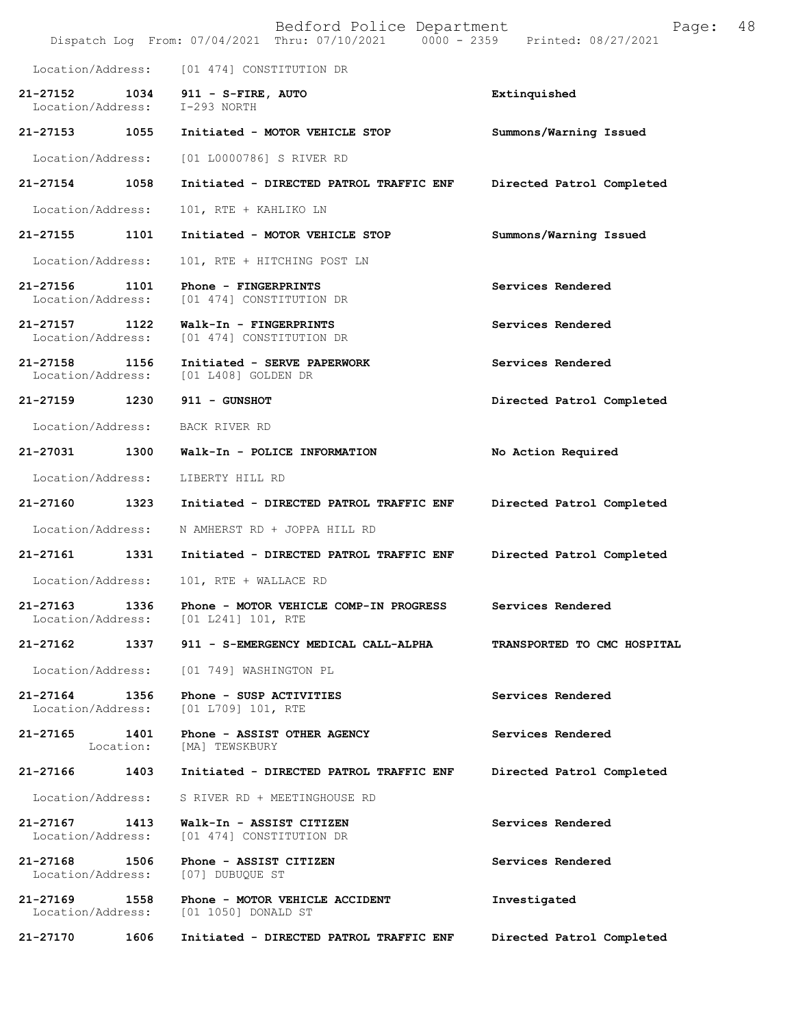|                                   |                   | Bedford Police Department<br>Dispatch Log From: 07/04/2021 Thru: 07/10/2021 0000 - 2359 | Printed: 08/27/2021         | 48<br>Page: |
|-----------------------------------|-------------------|-----------------------------------------------------------------------------------------|-----------------------------|-------------|
| Location/Address:                 |                   | [01 474] CONSTITUTION DR                                                                |                             |             |
| 21-27152<br>Location/Address:     | 1034              | 911 - S-FIRE, AUTO<br>$I-293$ NORTH                                                     | Extinquished                |             |
| 21-27153 1055                     |                   | Initiated - MOTOR VEHICLE STOP                                                          | Summons/Warning Issued      |             |
| Location/Address:                 |                   | [01 L0000786] S RIVER RD                                                                |                             |             |
| 21-27154                          | 1058              | Initiated - DIRECTED PATROL TRAFFIC ENF                                                 | Directed Patrol Completed   |             |
| Location/Address:                 |                   | 101, RTE + KAHLIKO LN                                                                   |                             |             |
| 21-27155                          | 1101              | Initiated - MOTOR VEHICLE STOP                                                          | Summons/Warning Issued      |             |
| Location/Address:                 |                   | 101, RTE + HITCHING POST LN                                                             |                             |             |
| 21-27156<br>Location/Address:     | 1101              | Phone - FINGERPRINTS<br>[01 474] CONSTITUTION DR                                        | Services Rendered           |             |
| 21-27157<br>Location/Address:     | 1122              | Walk-In - FINGERPRINTS<br>[01 474] CONSTITUTION DR                                      | Services Rendered           |             |
| $21 - 27158$<br>Location/Address: | 1156              | Initiated - SERVE PAPERWORK<br>[01 L408] GOLDEN DR                                      | Services Rendered           |             |
| 21-27159 1230                     |                   | 911 - GUNSHOT                                                                           | Directed Patrol Completed   |             |
| Location/Address:                 |                   | BACK RIVER RD                                                                           |                             |             |
| 21-27031                          | 1300              | Walk-In - POLICE INFORMATION                                                            | No Action Required          |             |
| Location/Address:                 |                   | LIBERTY HILL RD                                                                         |                             |             |
| 21-27160                          | 1323              | Initiated - DIRECTED PATROL TRAFFIC ENF                                                 | Directed Patrol Completed   |             |
| Location/Address:                 |                   | N AMHERST RD + JOPPA HILL RD                                                            |                             |             |
| 21-27161                          | 1331              | Initiated - DIRECTED PATROL TRAFFIC ENF                                                 | Directed Patrol Completed   |             |
| Location/Address:                 |                   | 101, RTE + WALLACE RD                                                                   |                             |             |
| 21-27163<br>Location/Address:     | 1336              | Phone - MOTOR VEHICLE COMP-IN PROGRESS<br>[01 L241] 101, RTE                            | Services Rendered           |             |
| 21-27162                          | 1337              | 911 - S-EMERGENCY MEDICAL CALL-ALPHA                                                    | TRANSPORTED TO CMC HOSPITAL |             |
| Location/Address:                 |                   | [01 749] WASHINGTON PL                                                                  |                             |             |
| 21-27164<br>Location/Address:     | 1356              | Phone - SUSP ACTIVITIES<br>[01 L709] 101, RTE                                           | Services Rendered           |             |
| 21-27165                          | 1401<br>Location: | Phone - ASSIST OTHER AGENCY<br>[MA] TEWSKBURY                                           | Services Rendered           |             |
| 21-27166                          | 1403              | Initiated - DIRECTED PATROL TRAFFIC ENF                                                 | Directed Patrol Completed   |             |
| Location/Address:                 |                   | S RIVER RD + MEETINGHOUSE RD                                                            |                             |             |
| 21-27167<br>Location/Address:     | 1413              | Walk-In - ASSIST CITIZEN<br>[01 474] CONSTITUTION DR                                    | Services Rendered           |             |
| 21-27168<br>Location/Address:     | 1506              | Phone - ASSIST CITIZEN<br>[07] DUBUQUE ST                                               | Services Rendered           |             |
| 21-27169<br>Location/Address:     | 1558              | Phone - MOTOR VEHICLE ACCIDENT<br>[01 1050] DONALD ST                                   | Investigated                |             |
| 21-27170                          | 1606              | Initiated - DIRECTED PATROL TRAFFIC ENF                                                 | Directed Patrol Completed   |             |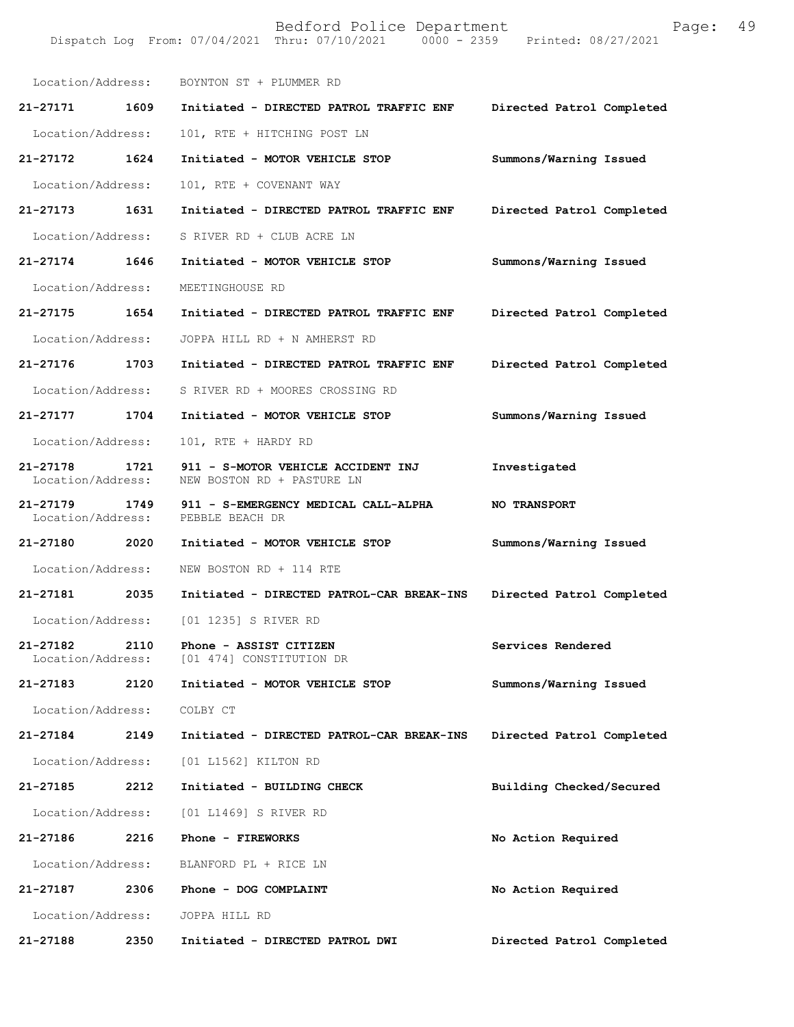|                                       | Location/Address: BOYNTON ST + PLUMMER RD                                       |                           |
|---------------------------------------|---------------------------------------------------------------------------------|---------------------------|
|                                       | 21-27171 1609 Initiated - DIRECTED PATROL TRAFFIC ENF Directed Patrol Completed |                           |
| Location/Address:                     | 101, RTE + HITCHING POST LN                                                     |                           |
| 21-27172 1624                         | Initiated - MOTOR VEHICLE STOP                                                  | Summons/Warning Issued    |
| Location/Address:                     | 101, RTE + COVENANT WAY                                                         |                           |
| 21-27173 1631                         | Initiated - DIRECTED PATROL TRAFFIC ENF Directed Patrol Completed               |                           |
| Location/Address:                     | S RIVER RD + CLUB ACRE LN                                                       |                           |
| 21-27174 1646                         | Initiated - MOTOR VEHICLE STOP                                                  | Summons/Warning Issued    |
| Location/Address:                     | MEETINGHOUSE RD                                                                 |                           |
| 21-27175 1654                         | Initiated - DIRECTED PATROL TRAFFIC ENF                                         | Directed Patrol Completed |
| Location/Address:                     | JOPPA HILL RD + N AMHERST RD                                                    |                           |
|                                       | 21-27176 1703 Initiated - DIRECTED PATROL TRAFFIC ENF                           | Directed Patrol Completed |
|                                       | Location/Address: S RIVER RD + MOORES CROSSING RD                               |                           |
| 21-27177 1704                         | Initiated - MOTOR VEHICLE STOP                                                  | Summons/Warning Issued    |
| Location/Address:                     | 101, RTE + HARDY RD                                                             |                           |
| 21-27178 1721<br>Location/Address:    | 911 - S-MOTOR VEHICLE ACCIDENT INJ<br>NEW BOSTON RD + PASTURE LN                | Investigated              |
| Location/Address: PEBBLE BEACH DR     | 21-27179 1749 911 - S-EMERGENCY MEDICAL CALL-ALPHA                              | <b>NO TRANSPORT</b>       |
|                                       | 21-27180 2020 Initiated - MOTOR VEHICLE STOP                                    | Summons/Warning Issued    |
|                                       | Location/Address: NEW BOSTON RD + 114 RTE                                       |                           |
| 21-27181 2035                         | Initiated - DIRECTED PATROL-CAR BREAK-INS                                       | Directed Patrol Completed |
|                                       | Location/Address: [01 1235] S RIVER RD                                          |                           |
| 2110<br>21-27182<br>Location/Address: | Phone - ASSIST CITIZEN<br>[01 474] CONSTITUTION DR                              | Services Rendered         |
| 2120<br>21-27183                      | Initiated - MOTOR VEHICLE STOP                                                  | Summons/Warning Issued    |
| Location/Address:                     | COLBY CT                                                                        |                           |
| 21-27184<br>2149                      | Initiated - DIRECTED PATROL-CAR BREAK-INS                                       | Directed Patrol Completed |
| Location/Address:                     | [01 L1562] KILTON RD                                                            |                           |
| 21-27185<br>2212                      | Initiated - BUILDING CHECK                                                      | Building Checked/Secured  |
| Location/Address:                     | [01 L1469] S RIVER RD                                                           |                           |
| 21-27186<br>2216                      | Phone - FIREWORKS                                                               | No Action Required        |
| Location/Address:                     | BLANFORD PL + RICE LN                                                           |                           |
| 21-27187<br>2306                      | Phone - DOG COMPLAINT                                                           | No Action Required        |
| Location/Address:                     | JOPPA HILL RD                                                                   |                           |
| 21-27188<br>2350                      | Initiated - DIRECTED PATROL DWI                                                 | Directed Patrol Completed |